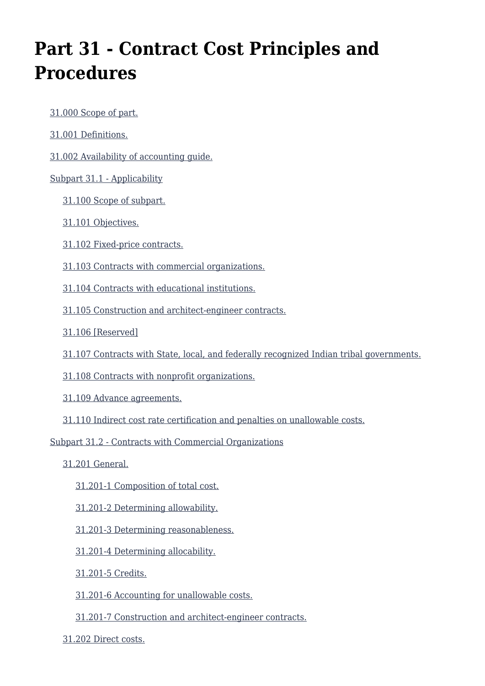# **Part 31 - Contract Cost Principles and Procedures**

- [31.000 Scope of part.](#page--1-0)
- [31.001 Definitions.](#page--1-0)
- [31.002 Availability of accounting guide.](#page--1-0)
- [Subpart 31.1 Applicability](#page--1-0)
	- [31.100 Scope of subpart.](#page--1-0)
	- [31.101 Objectives.](#page--1-0)
	- [31.102 Fixed-price contracts.](#page--1-0)
	- [31.103 Contracts with commercial organizations.](#page--1-0)
	- [31.104 Contracts with educational institutions.](#page--1-0)
	- [31.105 Construction and architect-engineer contracts.](#page--1-0)
	- [31.106 \[Reserved\]](#page--1-0)
	- [31.107 Contracts with State, local, and federally recognized Indian tribal governments.](#page--1-0)
	- [31.108 Contracts with nonprofit organizations.](#page--1-0)
	- [31.109 Advance agreements.](#page--1-0)
	- [31.110 Indirect cost rate certification and penalties on unallowable costs.](#page--1-0)

[Subpart 31.2 - Contracts with Commercial Organizations](#page--1-0)

- [31.201 General.](#page--1-0)
	- [31.201-1 Composition of total cost.](#page--1-0)
	- [31.201-2 Determining allowability.](#page--1-0)
	- [31.201-3 Determining reasonableness.](#page--1-0)
	- [31.201-4 Determining allocability.](#page--1-0)
	- [31.201-5 Credits.](#page--1-0)
	- [31.201-6 Accounting for unallowable costs.](#page--1-0)
	- [31.201-7 Construction and architect-engineer contracts.](#page--1-0)
- [31.202 Direct costs.](#page--1-0)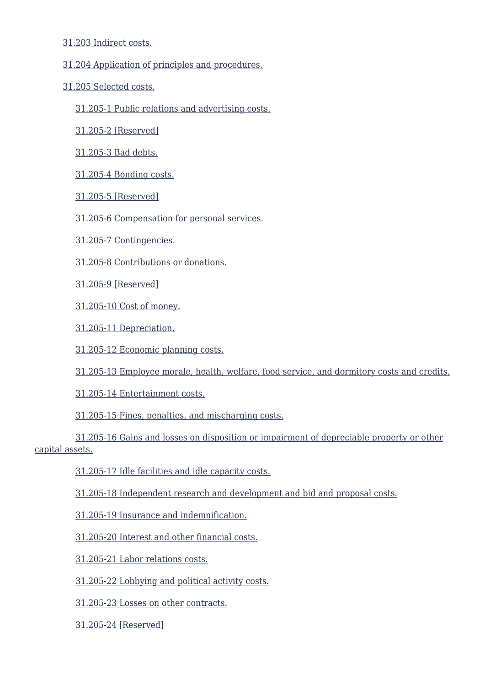#### [31.203 Indirect costs.](#page--1-0)

- [31.204 Application of principles and procedures.](#page--1-0)
- [31.205 Selected costs.](#page--1-0)
	- [31.205-1 Public relations and advertising costs.](#page--1-0)
	- [31.205-2 \[Reserved\]](#page--1-0)
	- [31.205-3 Bad debts.](#page--1-0)
	- [31.205-4 Bonding costs.](#page--1-0)
	- [31.205-5 \[Reserved\]](#page--1-0)
	- [31.205-6 Compensation for personal services.](#page--1-0)
	- [31.205-7 Contingencies.](#page--1-0)
	- [31.205-8 Contributions or donations.](#page--1-0)
	- [31.205-9 \[Reserved\]](#page--1-0)
	- [31.205-10 Cost of money.](#page--1-0)
	- [31.205-11 Depreciation.](#page--1-0)
	- [31.205-12 Economic planning costs.](#page--1-0)

[31.205-13 Employee morale, health, welfare, food service, and dormitory costs and credits.](#page--1-0)

[31.205-14 Entertainment costs.](#page--1-0)

[31.205-15 Fines, penalties, and mischarging costs.](#page--1-0)

 [31.205-16 Gains and losses on disposition or impairment of depreciable property or other](#page--1-0) [capital assets.](#page--1-0)

[31.205-17 Idle facilities and idle capacity costs.](#page--1-0)

[31.205-18 Independent research and development and bid and proposal costs.](#page--1-0)

[31.205-19 Insurance and indemnification.](#page--1-0)

[31.205-20 Interest and other financial costs.](#page--1-0)

[31.205-21 Labor relations costs.](#page--1-0)

[31.205-22 Lobbying and political activity costs.](#page--1-0)

[31.205-23 Losses on other contracts.](#page--1-0)

[31.205-24 \[Reserved\]](#page--1-0)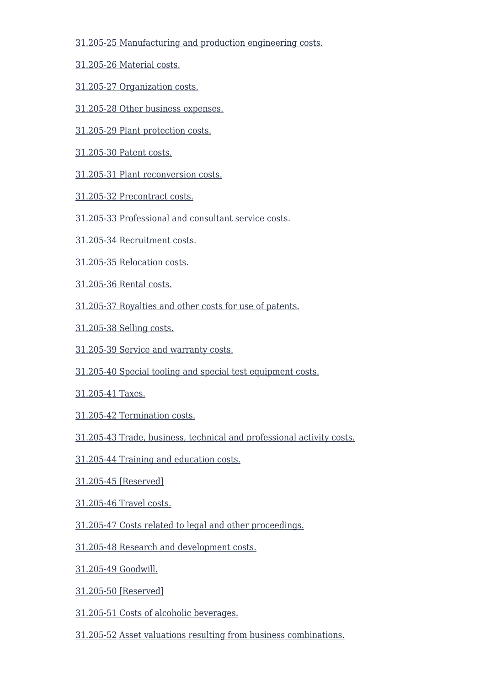[31.205-25 Manufacturing and production engineering costs.](#page--1-0)

- [31.205-26 Material costs.](#page--1-0)
- [31.205-27 Organization costs.](#page--1-0)
- [31.205-28 Other business expenses.](#page--1-0)
- [31.205-29 Plant protection costs.](#page--1-0)
- [31.205-30 Patent costs.](#page--1-0)
- [31.205-31 Plant reconversion costs.](#page--1-0)
- [31.205-32 Precontract costs.](#page--1-0)
- [31.205-33 Professional and consultant service costs.](#page--1-0)
- [31.205-34 Recruitment costs.](#page--1-0)
- [31.205-35 Relocation costs.](#page--1-0)
- [31.205-36 Rental costs.](#page--1-0)
- [31.205-37 Royalties and other costs for use of patents.](#page--1-0)
- [31.205-38 Selling costs.](#page--1-0)
- [31.205-39 Service and warranty costs.](#page--1-0)
- [31.205-40 Special tooling and special test equipment costs.](#page--1-0)
- [31.205-41 Taxes.](#page--1-0)
- [31.205-42 Termination costs.](#page--1-0)
- [31.205-43 Trade, business, technical and professional activity costs.](#page--1-0)
- [31.205-44 Training and education costs.](#page--1-0)
- [31.205-45 \[Reserved\]](#page--1-0)
- [31.205-46 Travel costs.](#page--1-0)
- [31.205-47 Costs related to legal and other proceedings.](#page--1-0)
- [31.205-48 Research and development costs.](#page--1-0)
- [31.205-49 Goodwill.](#page--1-0)
- [31.205-50 \[Reserved\]](#page--1-0)
- [31.205-51 Costs of alcoholic beverages.](#page--1-0)
- [31.205-52 Asset valuations resulting from business combinations.](#page--1-0)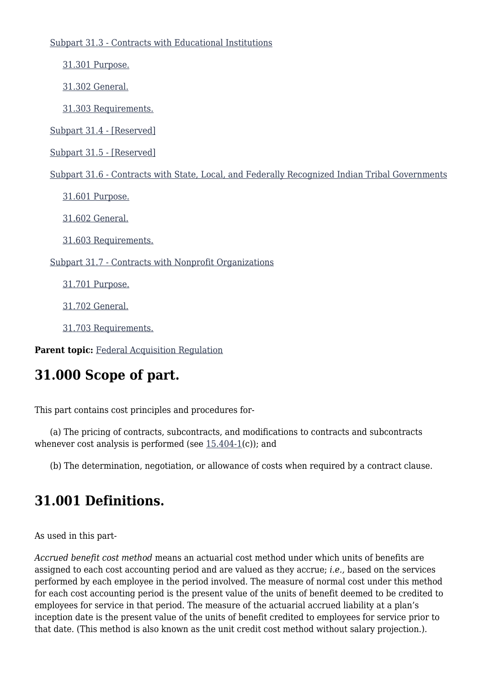[Subpart 31.3 - Contracts with Educational Institutions](#page--1-0)

| 31.301 Purpose.                                                                                |
|------------------------------------------------------------------------------------------------|
| 31.302 General.                                                                                |
| 31.303 Requirements.                                                                           |
| Subpart 31.4 - [Reserved]                                                                      |
| Subpart 31.5 - [Reserved]                                                                      |
| Subpart 31.6 - Contracts with State, Local, and Federally Recognized Indian Tribal Governments |
| 31.601 Purpose.                                                                                |
| 31.602 General.                                                                                |
| 31.603 Requirements.                                                                           |
| Subpart 31.7 - Contracts with Nonprofit Organizations                                          |
| 31.701 Purpose.                                                                                |
| 31.702 General.                                                                                |
| 31.703 Requirements.                                                                           |

Parent topic: [Federal Acquisition Regulation](https://www.acquisition.gov/far/far5)

## **31.000 Scope of part.**

This part contains cost principles and procedures for-

 (a) The pricing of contracts, subcontracts, and modifications to contracts and subcontracts whenever cost analysis is performed (see [15.404-1](https://www.acquisition.gov/far/part-15#FAR_15_404_1)(c)); and

(b) The determination, negotiation, or allowance of costs when required by a contract clause.

## **31.001 Definitions.**

As used in this part-

*Accrued benefit cost method* means an actuarial cost method under which units of benefits are assigned to each cost accounting period and are valued as they accrue; *i.e.,* based on the services performed by each employee in the period involved. The measure of normal cost under this method for each cost accounting period is the present value of the units of benefit deemed to be credited to employees for service in that period. The measure of the actuarial accrued liability at a plan's inception date is the present value of the units of benefit credited to employees for service prior to that date. (This method is also known as the unit credit cost method without salary projection.).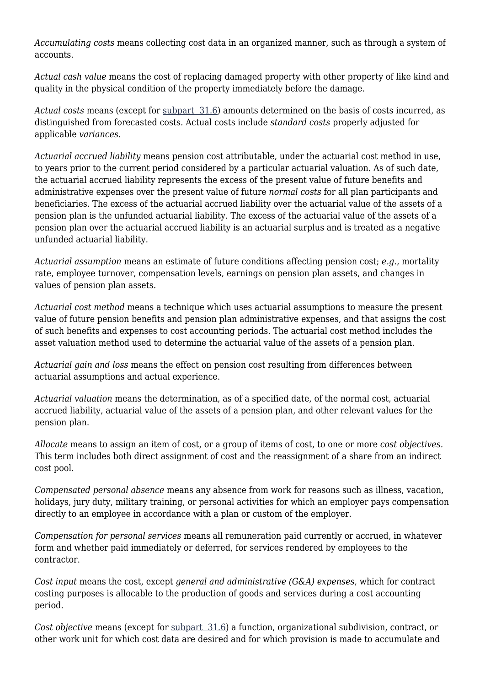*Accumulating costs* means collecting cost data in an organized manner, such as through a system of accounts.

*Actual cash value* means the cost of replacing damaged property with other property of like kind and quality in the physical condition of the property immediately before the damage.

*Actual costs* means (except for [subpart 31.6\)](#page--1-0) amounts determined on the basis of costs incurred, as distinguished from forecasted costs. Actual costs include *standard costs* properly adjusted for applicable *variances*.

*Actuarial accrued liability* means pension cost attributable, under the actuarial cost method in use, to years prior to the current period considered by a particular actuarial valuation. As of such date, the actuarial accrued liability represents the excess of the present value of future benefits and administrative expenses over the present value of future *normal costs* for all plan participants and beneficiaries. The excess of the actuarial accrued liability over the actuarial value of the assets of a pension plan is the unfunded actuarial liability. The excess of the actuarial value of the assets of a pension plan over the actuarial accrued liability is an actuarial surplus and is treated as a negative unfunded actuarial liability.

*Actuarial assumption* means an estimate of future conditions affecting pension cost; *e.g.,* mortality rate, employee turnover, compensation levels, earnings on pension plan assets, and changes in values of pension plan assets.

*Actuarial cost method* means a technique which uses actuarial assumptions to measure the present value of future pension benefits and pension plan administrative expenses, and that assigns the cost of such benefits and expenses to cost accounting periods. The actuarial cost method includes the asset valuation method used to determine the actuarial value of the assets of a pension plan.

*Actuarial gain and loss* means the effect on pension cost resulting from differences between actuarial assumptions and actual experience.

*Actuarial valuation* means the determination, as of a specified date, of the normal cost, actuarial accrued liability, actuarial value of the assets of a pension plan, and other relevant values for the pension plan.

*Allocate* means to assign an item of cost, or a group of items of cost, to one or more *cost objectives*. This term includes both direct assignment of cost and the reassignment of a share from an indirect cost pool.

*Compensated personal absence* means any absence from work for reasons such as illness, vacation, holidays, jury duty, military training, or personal activities for which an employer pays compensation directly to an employee in accordance with a plan or custom of the employer.

*Compensation for personal services* means all remuneration paid currently or accrued, in whatever form and whether paid immediately or deferred, for services rendered by employees to the contractor.

*Cost input* means the cost, except *general and administrative (G&A) expenses*, which for contract costing purposes is allocable to the production of goods and services during a cost accounting period.

*Cost objective* means (except for [subpart 31.6](#page--1-0)) a function, organizational subdivision, contract, or other work unit for which cost data are desired and for which provision is made to accumulate and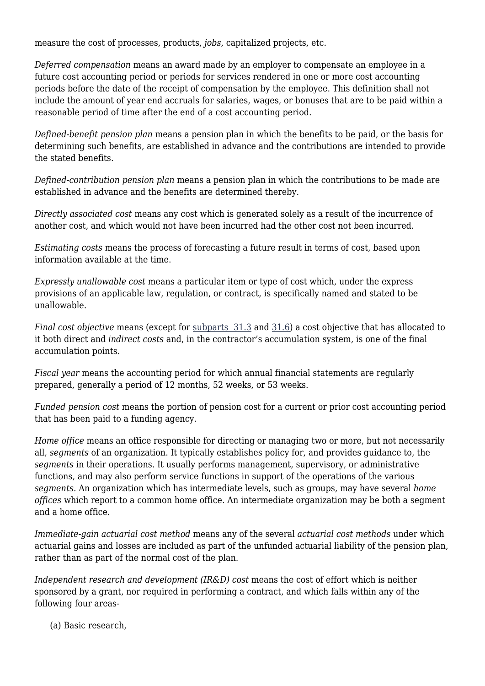measure the cost of processes, products, *jobs*, capitalized projects, etc.

*Deferred compensation* means an award made by an employer to compensate an employee in a future cost accounting period or periods for services rendered in one or more cost accounting periods before the date of the receipt of compensation by the employee. This definition shall not include the amount of year end accruals for salaries, wages, or bonuses that are to be paid within a reasonable period of time after the end of a cost accounting period.

*Defined-benefit pension plan* means a pension plan in which the benefits to be paid, or the basis for determining such benefits, are established in advance and the contributions are intended to provide the stated benefits.

*Defined-contribution pension plan* means a pension plan in which the contributions to be made are established in advance and the benefits are determined thereby.

*Directly associated cost* means any cost which is generated solely as a result of the incurrence of another cost, and which would not have been incurred had the other cost not been incurred.

*Estimating costs* means the process of forecasting a future result in terms of cost, based upon information available at the time.

*Expressly unallowable cost* means a particular item or type of cost which, under the express provisions of an applicable law, regulation, or contract, is specifically named and stated to be unallowable.

*Final cost objective* means (except for [subparts 31.3](#page--1-0) and [31.6\)](#page--1-0) a cost objective that has allocated to it both direct and *indirect costs* and, in the contractor's accumulation system, is one of the final accumulation points.

*Fiscal year* means the accounting period for which annual financial statements are regularly prepared, generally a period of 12 months, 52 weeks, or 53 weeks.

*Funded pension cost* means the portion of pension cost for a current or prior cost accounting period that has been paid to a funding agency.

*Home office* means an office responsible for directing or managing two or more, but not necessarily all, *segments* of an organization. It typically establishes policy for, and provides guidance to, the *segments* in their operations. It usually performs management, supervisory, or administrative functions, and may also perform service functions in support of the operations of the various *segments*. An organization which has intermediate levels, such as groups, may have several *home offices* which report to a common home office. An intermediate organization may be both a segment and a home office.

*Immediate-gain actuarial cost method* means any of the several *actuarial cost methods* under which actuarial gains and losses are included as part of the unfunded actuarial liability of the pension plan, rather than as part of the normal cost of the plan.

*Independent research and development (IR&D) cost* means the cost of effort which is neither sponsored by a grant, nor required in performing a contract, and which falls within any of the following four areas-

(a) Basic research,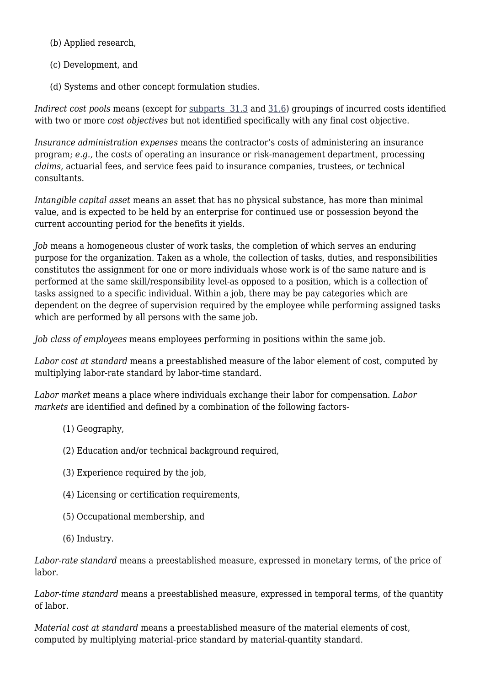(b) Applied research,

- (c) Development, and
- (d) Systems and other concept formulation studies.

*Indirect cost pools* means (except for [subparts 31.3](#page--1-0) and [31.6](#page--1-0)) groupings of incurred costs identified with two or more *cost objectives* but not identified specifically with any final cost objective.

*Insurance administration expenses* means the contractor's costs of administering an insurance program; *e.g.,* the costs of operating an insurance or risk-management department, processing *claims*, actuarial fees, and service fees paid to insurance companies, trustees, or technical consultants.

*Intangible capital asset* means an asset that has no physical substance, has more than minimal value, and is expected to be held by an enterprise for continued use or possession beyond the current accounting period for the benefits it yields.

*Job* means a homogeneous cluster of work tasks, the completion of which serves an enduring purpose for the organization. Taken as a whole, the collection of tasks, duties, and responsibilities constitutes the assignment for one or more individuals whose work is of the same nature and is performed at the same skill/responsibility level-as opposed to a position, which is a collection of tasks assigned to a specific individual. Within a job, there may be pay categories which are dependent on the degree of supervision required by the employee while performing assigned tasks which are performed by all persons with the same job.

*Job class of employees* means employees performing in positions within the same job.

*Labor cost at standard* means a preestablished measure of the labor element of cost, computed by multiplying labor-rate standard by labor-time standard.

*Labor market* means a place where individuals exchange their labor for compensation. *Labor markets* are identified and defined by a combination of the following factors-

- (1) Geography,
- (2) Education and/or technical background required,
- (3) Experience required by the job,
- (4) Licensing or certification requirements,
- (5) Occupational membership, and
- (6) Industry.

*Labor-rate standard* means a preestablished measure, expressed in monetary terms, of the price of labor.

*Labor-time standard* means a preestablished measure, expressed in temporal terms, of the quantity of labor.

*Material cost at standard* means a preestablished measure of the material elements of cost, computed by multiplying material-price standard by material-quantity standard.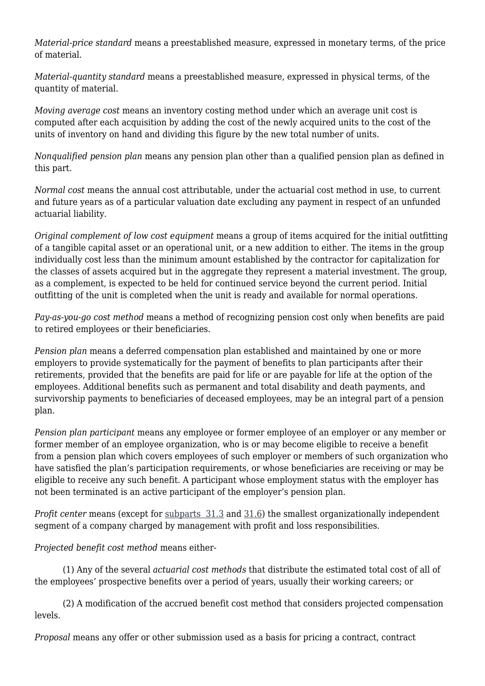*Material-price standard* means a preestablished measure, expressed in monetary terms, of the price of material.

*Material-quantity standard* means a preestablished measure, expressed in physical terms, of the quantity of material.

*Moving average cost* means an inventory costing method under which an average unit cost is computed after each acquisition by adding the cost of the newly acquired units to the cost of the units of inventory on hand and dividing this figure by the new total number of units.

*Nonqualified pension plan* means any pension plan other than a qualified pension plan as defined in this part.

*Normal cost* means the annual cost attributable, under the actuarial cost method in use, to current and future years as of a particular valuation date excluding any payment in respect of an unfunded actuarial liability.

*Original complement of low cost equipment* means a group of items acquired for the initial outfitting of a tangible capital asset or an operational unit, or a new addition to either. The items in the group individually cost less than the minimum amount established by the contractor for capitalization for the classes of assets acquired but in the aggregate they represent a material investment. The group, as a complement, is expected to be held for continued service beyond the current period. Initial outfitting of the unit is completed when the unit is ready and available for normal operations.

*Pay-as-you-go cost method* means a method of recognizing pension cost only when benefits are paid to retired employees or their beneficiaries.

*Pension plan* means a deferred compensation plan established and maintained by one or more employers to provide systematically for the payment of benefits to plan participants after their retirements, provided that the benefits are paid for life or are payable for life at the option of the employees. Additional benefits such as permanent and total disability and death payments, and survivorship payments to beneficiaries of deceased employees, may be an integral part of a pension plan.

*Pension plan participant* means any employee or former employee of an employer or any member or former member of an employee organization, who is or may become eligible to receive a benefit from a pension plan which covers employees of such employer or members of such organization who have satisfied the plan's participation requirements, or whose beneficiaries are receiving or may be eligible to receive any such benefit. A participant whose employment status with the employer has not been terminated is an active participant of the employer's pension plan.

*Profit center* means (except for [subparts 31.3](#page--1-0) and [31.6\)](#page--1-0) the smallest organizationally independent segment of a company charged by management with profit and loss responsibilities.

#### *Projected benefit cost method* means either-

 (1) Any of the several *actuarial cost methods* that distribute the estimated total cost of all of the employees' prospective benefits over a period of years, usually their working careers; or

 (2) A modification of the accrued benefit cost method that considers projected compensation levels.

*Proposal* means any offer or other submission used as a basis for pricing a contract, contract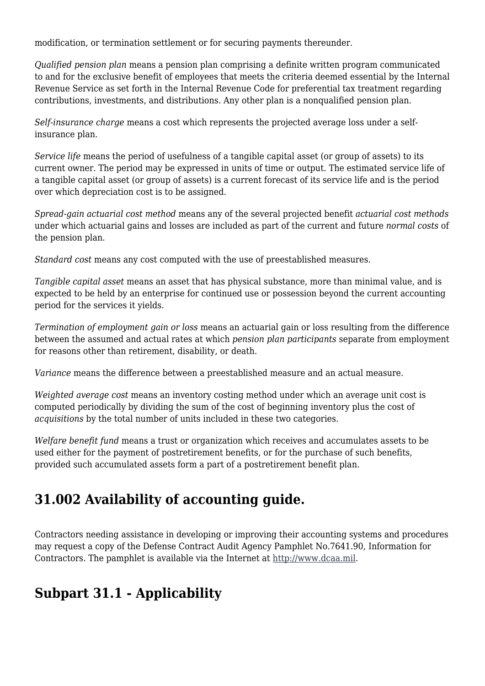modification, or termination settlement or for securing payments thereunder.

*Qualified pension plan* means a pension plan comprising a definite written program communicated to and for the exclusive benefit of employees that meets the criteria deemed essential by the Internal Revenue Service as set forth in the Internal Revenue Code for preferential tax treatment regarding contributions, investments, and distributions. Any other plan is a nonqualified pension plan.

*Self-insurance charge* means a cost which represents the projected average loss under a selfinsurance plan.

*Service life* means the period of usefulness of a tangible capital asset (or group of assets) to its current owner. The period may be expressed in units of time or output. The estimated service life of a tangible capital asset (or group of assets) is a current forecast of its service life and is the period over which depreciation cost is to be assigned.

*Spread-gain actuarial cost method* means any of the several projected benefit *actuarial cost methods* under which actuarial gains and losses are included as part of the current and future *normal costs* of the pension plan.

*Standard cost* means any cost computed with the use of preestablished measures.

*Tangible capital asset* means an asset that has physical substance, more than minimal value, and is expected to be held by an enterprise for continued use or possession beyond the current accounting period for the services it yields.

*Termination of employment gain or loss* means an actuarial gain or loss resulting from the difference between the assumed and actual rates at which *pension plan participants* separate from employment for reasons other than retirement, disability, or death.

*Variance* means the difference between a preestablished measure and an actual measure.

*Weighted average cost* means an inventory costing method under which an average unit cost is computed periodically by dividing the sum of the cost of beginning inventory plus the cost of *acquisitions* by the total number of units included in these two categories.

*Welfare benefit fund* means a trust or organization which receives and accumulates assets to be used either for the payment of postretirement benefits, or for the purchase of such benefits, provided such accumulated assets form a part of a postretirement benefit plan.

## **31.002 Availability of accounting guide.**

Contractors needing assistance in developing or improving their accounting systems and procedures may request a copy of the Defense Contract Audit Agency Pamphlet No.7641.90, Information for Contractors. The pamphlet is available via the Internet at [http://www.dcaa.mil.](http://www.dcaa.mil)

## **Subpart 31.1 - Applicability**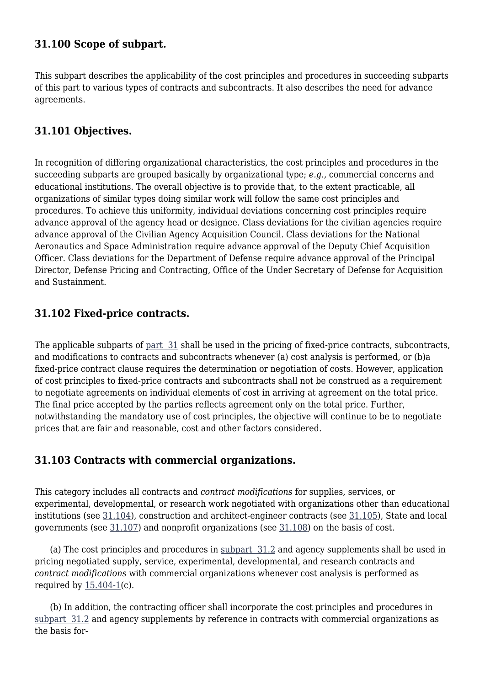## **31.100 Scope of subpart.**

This subpart describes the applicability of the cost principles and procedures in succeeding subparts of this part to various types of contracts and subcontracts. It also describes the need for advance agreements.

## **31.101 Objectives.**

In recognition of differing organizational characteristics, the cost principles and procedures in the succeeding subparts are grouped basically by organizational type; *e.g.,* commercial concerns and educational institutions. The overall objective is to provide that, to the extent practicable, all organizations of similar types doing similar work will follow the same cost principles and procedures. To achieve this uniformity, individual deviations concerning cost principles require advance approval of the agency head or designee. Class deviations for the civilian agencies require advance approval of the Civilian Agency Acquisition Council. Class deviations for the National Aeronautics and Space Administration require advance approval of the Deputy Chief Acquisition Officer. Class deviations for the Department of Defense require advance approval of the Principal Director, Defense Pricing and Contracting, Office of the Under Secretary of Defense for Acquisition and Sustainment.

## **31.102 Fixed-price contracts.**

The applicable subparts of [part 31](#page--1-0) shall be used in the pricing of fixed-price contracts, subcontracts, and modifications to contracts and subcontracts whenever (a) cost analysis is performed, or (b)a fixed-price contract clause requires the determination or negotiation of costs. However, application of cost principles to fixed-price contracts and subcontracts shall not be construed as a requirement to negotiate agreements on individual elements of cost in arriving at agreement on the total price. The final price accepted by the parties reflects agreement only on the total price. Further, notwithstanding the mandatory use of cost principles, the objective will continue to be to negotiate prices that are fair and reasonable, cost and other factors considered.

### **31.103 Contracts with commercial organizations.**

This category includes all contracts and *contract modifications* for supplies, services, or experimental, developmental, or research work negotiated with organizations other than educational institutions (see [31.104\)](#page--1-0), construction and architect-engineer contracts (see [31.105\)](#page--1-0), State and local governments (see [31.107\)](#page--1-0) and nonprofit organizations (see [31.108\)](#page--1-0) on the basis of cost.

 (a) The cost principles and procedures in [subpart 31.2](#page--1-0) and agency supplements shall be used in pricing negotiated supply, service, experimental, developmental, and research contracts and *contract modifications* with commercial organizations whenever cost analysis is performed as required by  $15.404-1(c)$ .

 (b) In addition, the contracting officer shall incorporate the cost principles and procedures in [subpart 31.2](#page--1-0) and agency supplements by reference in contracts with commercial organizations as the basis for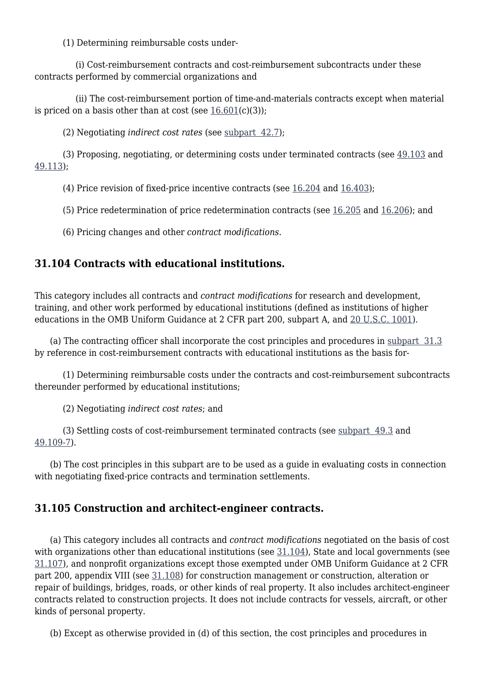(1) Determining reimbursable costs under-

 (i) Cost-reimbursement contracts and cost-reimbursement subcontracts under these contracts performed by commercial organizations and

 (ii) The cost-reimbursement portion of time-and-materials contracts except when material is priced on a basis other than at cost (see  $16.601(c)(3)$  $16.601(c)(3)$ );

(2) Negotiating *indirect cost rates* (see [subpart 42.7\)](https://www.acquisition.gov/far/part-42#FAR_Subpart_42_7);

(3) Proposing, negotiating, or determining costs under terminated contracts (see  $49.103$  and [49.113](https://www.acquisition.gov/far/part-49#FAR_49_113));

(4) Price revision of fixed-price incentive contracts (see [16.204](https://www.acquisition.gov/far/part-16#FAR_16_204) and [16.403](https://www.acquisition.gov/far/part-16#FAR_16_403));

(5) Price redetermination of price redetermination contracts (see [16.205](https://www.acquisition.gov/far/part-16#FAR_16_205) and [16.206\)](https://www.acquisition.gov/far/part-16#FAR_16_206); and

(6) Pricing changes and other *contract modifications*.

## **31.104 Contracts with educational institutions.**

This category includes all contracts and *contract modifications* for research and development, training, and other work performed by educational institutions (defined as institutions of higher educations in the OMB Uniform Guidance at 2 CFR part 200, subpart A, and [20 U.S.C. 1001](http://uscode.house.gov/browse.xhtml;jsessionid=114A3287C7B3359E597506A31FC855B3)).

 (a) The contracting officer shall incorporate the cost principles and procedures in [subpart 31.3](#page--1-0) by reference in cost-reimbursement contracts with educational institutions as the basis for-

 (1) Determining reimbursable costs under the contracts and cost-reimbursement subcontracts thereunder performed by educational institutions;

(2) Negotiating *indirect cost rates*; and

 (3) Settling costs of cost-reimbursement terminated contracts (see [subpart 49.3](https://www.acquisition.gov/far/part-49#FAR_Subpart_49_3) and [49.109-7\)](https://www.acquisition.gov/far/part-49#FAR_49_109_7).

 (b) The cost principles in this subpart are to be used as a guide in evaluating costs in connection with negotiating fixed-price contracts and termination settlements.

## **31.105 Construction and architect-engineer contracts.**

 (a) This category includes all contracts and *contract modifications* negotiated on the basis of cost with organizations other than educational institutions (see [31.104\)](#page--1-0), State and local governments (see [31.107](#page--1-0)), and nonprofit organizations except those exempted under OMB Uniform Guidance at 2 CFR part 200, appendix VIII (see [31.108](#page--1-0)) for construction management or construction, alteration or repair of buildings, bridges, roads, or other kinds of real property. It also includes architect-engineer contracts related to construction projects. It does not include contracts for vessels, aircraft, or other kinds of personal property.

(b) Except as otherwise provided in (d) of this section, the cost principles and procedures in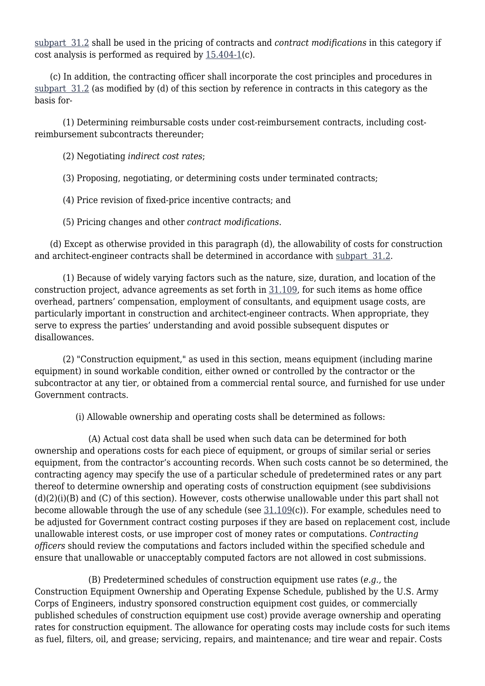[subpart 31.2](#page--1-0) shall be used in the pricing of contracts and *contract modifications* in this category if cost analysis is performed as required by [15.404-1\(](https://www.acquisition.gov/far/part-15#FAR_15_404_1)c).

 (c) In addition, the contracting officer shall incorporate the cost principles and procedures in [subpart 31.2](#page--1-0) (as modified by (d) of this section by reference in contracts in this category as the basis for-

 (1) Determining reimbursable costs under cost-reimbursement contracts, including costreimbursement subcontracts thereunder;

(2) Negotiating *indirect cost rates*;

(3) Proposing, negotiating, or determining costs under terminated contracts;

(4) Price revision of fixed-price incentive contracts; and

(5) Pricing changes and other *contract modifications*.

 (d) Except as otherwise provided in this paragraph (d), the allowability of costs for construction and architect-engineer contracts shall be determined in accordance with [subpart 31.2](#page--1-0).

 (1) Because of widely varying factors such as the nature, size, duration, and location of the construction project, advance agreements as set forth in [31.109,](#page--1-0) for such items as home office overhead, partners' compensation, employment of consultants, and equipment usage costs, are particularly important in construction and architect-engineer contracts. When appropriate, they serve to express the parties' understanding and avoid possible subsequent disputes or disallowances.

 (2) "Construction equipment," as used in this section, means equipment (including marine equipment) in sound workable condition, either owned or controlled by the contractor or the subcontractor at any tier, or obtained from a commercial rental source, and furnished for use under Government contracts.

(i) Allowable ownership and operating costs shall be determined as follows:

 (A) Actual cost data shall be used when such data can be determined for both ownership and operations costs for each piece of equipment, or groups of similar serial or series equipment, from the contractor's accounting records. When such costs cannot be so determined, the contracting agency may specify the use of a particular schedule of predetermined rates or any part thereof to determine ownership and operating costs of construction equipment (see subdivisions  $(d)(2)(i)(B)$  and  $(C)$  of this section). However, costs otherwise unallowable under this part shall not become allowable through the use of any schedule (see [31.109\(](#page--1-0)c)). For example, schedules need to be adjusted for Government contract costing purposes if they are based on replacement cost, include unallowable interest costs, or use improper cost of money rates or computations. *Contracting officers* should review the computations and factors included within the specified schedule and ensure that unallowable or unacceptably computed factors are not allowed in cost submissions.

 (B) Predetermined schedules of construction equipment use rates (*e.g.,* the Construction Equipment Ownership and Operating Expense Schedule, published by the U.S. Army Corps of Engineers, industry sponsored construction equipment cost guides, or commercially published schedules of construction equipment use cost) provide average ownership and operating rates for construction equipment. The allowance for operating costs may include costs for such items as fuel, filters, oil, and grease; servicing, repairs, and maintenance; and tire wear and repair. Costs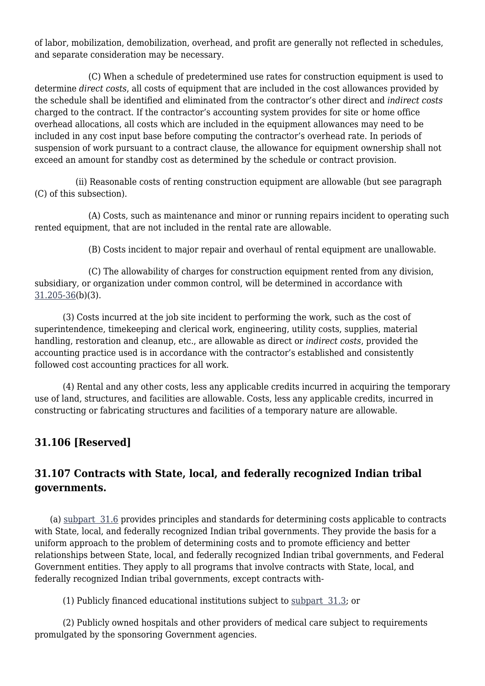of labor, mobilization, demobilization, overhead, and profit are generally not reflected in schedules, and separate consideration may be necessary.

 (C) When a schedule of predetermined use rates for construction equipment is used to determine *direct costs*, all costs of equipment that are included in the cost allowances provided by the schedule shall be identified and eliminated from the contractor's other direct and *indirect costs* charged to the contract. If the contractor's accounting system provides for site or home office overhead allocations, all costs which are included in the equipment allowances may need to be included in any cost input base before computing the contractor's overhead rate. In periods of suspension of work pursuant to a contract clause, the allowance for equipment ownership shall not exceed an amount for standby cost as determined by the schedule or contract provision.

 (ii) Reasonable costs of renting construction equipment are allowable (but see paragraph (C) of this subsection).

 (A) Costs, such as maintenance and minor or running repairs incident to operating such rented equipment, that are not included in the rental rate are allowable.

(B) Costs incident to major repair and overhaul of rental equipment are unallowable.

 (C) The allowability of charges for construction equipment rented from any division, subsidiary, or organization under common control, will be determined in accordance with [31.205-36](#page--1-0)(b)(3).

 (3) Costs incurred at the job site incident to performing the work, such as the cost of superintendence, timekeeping and clerical work, engineering, utility costs, supplies, material handling, restoration and cleanup, etc., are allowable as direct or *indirect costs*, provided the accounting practice used is in accordance with the contractor's established and consistently followed cost accounting practices for all work.

 (4) Rental and any other costs, less any applicable credits incurred in acquiring the temporary use of land, structures, and facilities are allowable. Costs, less any applicable credits, incurred in constructing or fabricating structures and facilities of a temporary nature are allowable.

## **31.106 [Reserved]**

## **31.107 Contracts with State, local, and federally recognized Indian tribal governments.**

 (a) [subpart 31.6](#page--1-0) provides principles and standards for determining costs applicable to contracts with State, local, and federally recognized Indian tribal governments. They provide the basis for a uniform approach to the problem of determining costs and to promote efficiency and better relationships between State, local, and federally recognized Indian tribal governments, and Federal Government entities. They apply to all programs that involve contracts with State, local, and federally recognized Indian tribal governments, except contracts with-

(1) Publicly financed educational institutions subject to [subpart 31.3;](#page--1-0) or

 (2) Publicly owned hospitals and other providers of medical care subject to requirements promulgated by the sponsoring Government agencies.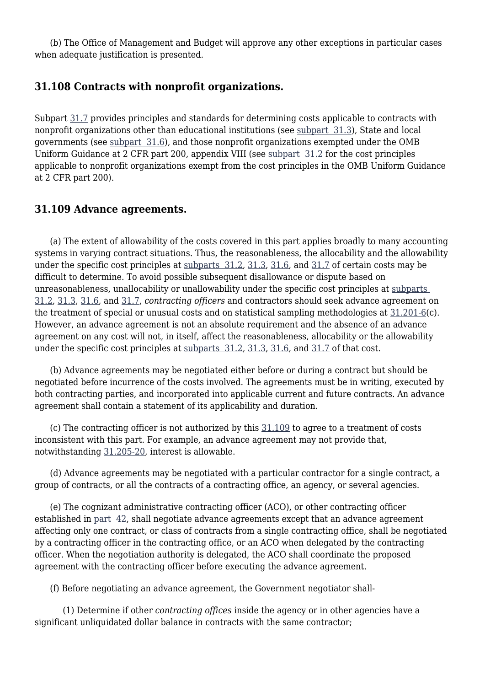(b) The Office of Management and Budget will approve any other exceptions in particular cases when adequate justification is presented.

## **31.108 Contracts with nonprofit organizations.**

Subpart [31.7](#page--1-0) provides principles and standards for determining costs applicable to contracts with nonprofit organizations other than educational institutions (see [subpart 31.3\)](#page--1-0), State and local governments (see [subpart 31.6\)](#page--1-0), and those nonprofit organizations exempted under the OMB Uniform Guidance at 2 CFR part 200, appendix VIII (see [subpart 31.2](#page--1-0) for the cost principles applicable to nonprofit organizations exempt from the cost principles in the OMB Uniform Guidance at 2 CFR part 200).

### **31.109 Advance agreements.**

 (a) The extent of allowability of the costs covered in this part applies broadly to many accounting systems in varying contract situations. Thus, the reasonableness, the allocability and the allowability under the specific cost principles at [subparts 31.2, 31.3](#page--1-0), [31.6,](#page--1-0) and [31.7](#page--1-0) of certain costs may be difficult to determine. To avoid possible subsequent disallowance or dispute based on unreasonableness, unallocability or unallowability under the specific cost principles at [subparts](#page--1-0)  [31.2,](#page--1-0) [31.3, 31.6](#page--1-0), and [31.7](#page--1-0), *contracting officers* and contractors should seek advance agreement on the treatment of special or unusual costs and on statistical sampling methodologies at  $31.201 - 6(c)$ . However, an advance agreement is not an absolute requirement and the absence of an advance agreement on any cost will not, in itself, affect the reasonableness, allocability or the allowability under the specific cost principles at [subparts 31.2, 31.3](#page--1-0), [31.6,](#page--1-0) and [31.7](#page--1-0) of that cost.

 (b) Advance agreements may be negotiated either before or during a contract but should be negotiated before incurrence of the costs involved. The agreements must be in writing, executed by both contracting parties, and incorporated into applicable current and future contracts. An advance agreement shall contain a statement of its applicability and duration.

 (c) The contracting officer is not authorized by this [31.109](#page--1-0) to agree to a treatment of costs inconsistent with this part. For example, an advance agreement may not provide that, notwithstanding [31.205-20](#page--1-0), interest is allowable.

 (d) Advance agreements may be negotiated with a particular contractor for a single contract, a group of contracts, or all the contracts of a contracting office, an agency, or several agencies.

 (e) The cognizant administrative contracting officer (ACO), or other contracting officer established in [part 42](https://www.acquisition.gov/far/part-42#FAR_Part_42), shall negotiate advance agreements except that an advance agreement affecting only one contract, or class of contracts from a single contracting office, shall be negotiated by a contracting officer in the contracting office, or an ACO when delegated by the contracting officer. When the negotiation authority is delegated, the ACO shall coordinate the proposed agreement with the contracting officer before executing the advance agreement.

(f) Before negotiating an advance agreement, the Government negotiator shall-

 (1) Determine if other *contracting offices* inside the agency or in other agencies have a significant unliquidated dollar balance in contracts with the same contractor;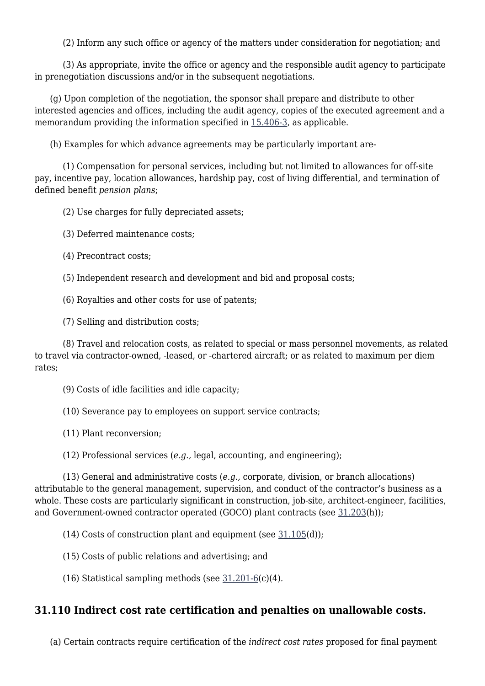(2) Inform any such office or agency of the matters under consideration for negotiation; and

 (3) As appropriate, invite the office or agency and the responsible audit agency to participate in prenegotiation discussions and/or in the subsequent negotiations.

 (g) Upon completion of the negotiation, the sponsor shall prepare and distribute to other interested agencies and offices, including the audit agency, copies of the executed agreement and a memorandum providing the information specified in [15.406-3,](https://www.acquisition.gov/far/part-15#FAR_15_406_3) as applicable.

(h) Examples for which advance agreements may be particularly important are-

 (1) Compensation for personal services, including but not limited to allowances for off-site pay, incentive pay, location allowances, hardship pay, cost of living differential, and termination of defined benefit *pension plans*;

(2) Use charges for fully depreciated assets;

(3) Deferred maintenance costs;

(4) Precontract costs;

(5) Independent research and development and bid and proposal costs;

(6) Royalties and other costs for use of patents;

(7) Selling and distribution costs;

 (8) Travel and relocation costs, as related to special or mass personnel movements, as related to travel via contractor-owned, -leased, or -chartered aircraft; or as related to maximum per diem rates;

(9) Costs of idle facilities and idle capacity;

(10) Severance pay to employees on support service contracts;

(11) Plant reconversion;

(12) Professional services (*e.g.,* legal, accounting, and engineering);

 (13) General and administrative costs (*e.g.,* corporate, division, or branch allocations) attributable to the general management, supervision, and conduct of the contractor's business as a whole. These costs are particularly significant in construction, job-site, architect-engineer, facilities, and Government-owned contractor operated (GOCO) plant contracts (see [31.203\(](#page--1-0)h));

 $(14)$  Costs of construction plant and equipment (see [31.105](#page--1-0)(d)):

(15) Costs of public relations and advertising; and

(16) Statistical sampling methods (see [31.201-6](#page--1-0)(c)(4).

### **31.110 Indirect cost rate certification and penalties on unallowable costs.**

(a) Certain contracts require certification of the *indirect cost rates* proposed for final payment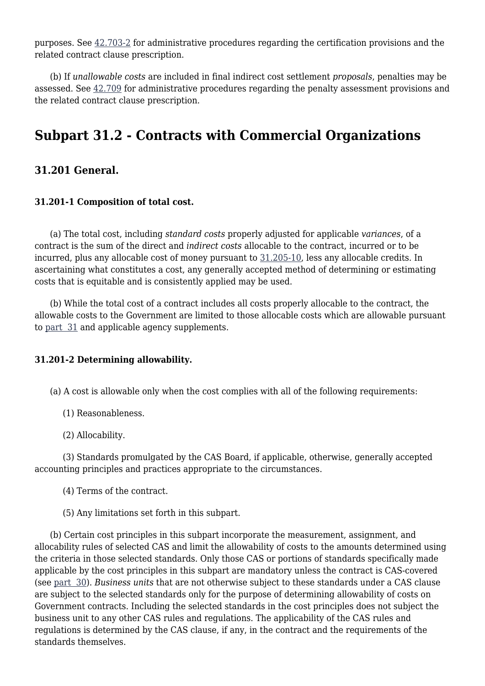purposes. See [42.703-2](https://www.acquisition.gov/far/part-42#FAR_42_703_2) for administrative procedures regarding the certification provisions and the related contract clause prescription.

 (b) If *unallowable costs* are included in final indirect cost settlement *proposals*, penalties may be assessed. See [42.709](https://www.acquisition.gov/far/part-42#FAR_42_709) for administrative procedures regarding the penalty assessment provisions and the related contract clause prescription.

## **Subpart 31.2 - Contracts with Commercial Organizations**

### **31.201 General.**

#### **31.201-1 Composition of total cost.**

 (a) The total cost, including *standard costs* properly adjusted for applicable *variances*, of a contract is the sum of the direct and *indirect costs* allocable to the contract, incurred or to be incurred, plus any allocable cost of money pursuant to [31.205-10,](#page--1-0) less any allocable credits. In ascertaining what constitutes a cost, any generally accepted method of determining or estimating costs that is equitable and is consistently applied may be used.

 (b) While the total cost of a contract includes all costs properly allocable to the contract, the allowable costs to the Government are limited to those allocable costs which are allowable pursuant to [part 31](#page--1-0) and applicable agency supplements.

#### **31.201-2 Determining allowability.**

(a) A cost is allowable only when the cost complies with all of the following requirements:

(1) Reasonableness.

(2) Allocability.

 (3) Standards promulgated by the CAS Board, if applicable, otherwise, generally accepted accounting principles and practices appropriate to the circumstances.

(4) Terms of the contract.

(5) Any limitations set forth in this subpart.

 (b) Certain cost principles in this subpart incorporate the measurement, assignment, and allocability rules of selected CAS and limit the allowability of costs to the amounts determined using the criteria in those selected standards. Only those CAS or portions of standards specifically made applicable by the cost principles in this subpart are mandatory unless the contract is CAS-covered (see [part 30](https://www.acquisition.gov/far/part-30#FAR_Part_30)). *Business units* that are not otherwise subject to these standards under a CAS clause are subject to the selected standards only for the purpose of determining allowability of costs on Government contracts. Including the selected standards in the cost principles does not subject the business unit to any other CAS rules and regulations. The applicability of the CAS rules and regulations is determined by the CAS clause, if any, in the contract and the requirements of the standards themselves.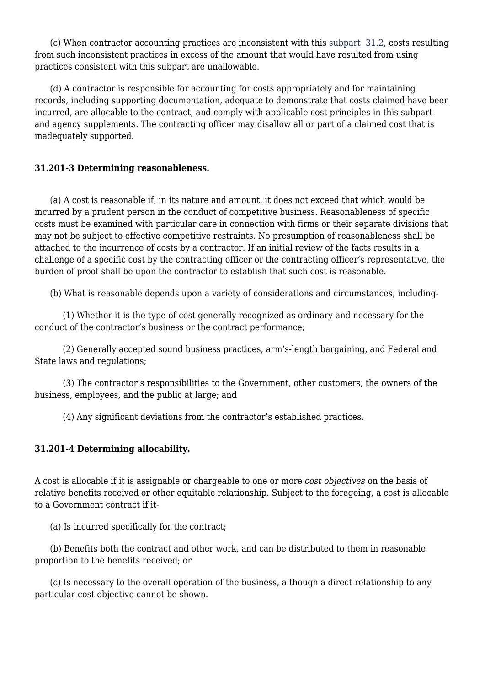(c) When contractor accounting practices are inconsistent with this [subpart 31.2](#page--1-0), costs resulting from such inconsistent practices in excess of the amount that would have resulted from using practices consistent with this subpart are unallowable.

 (d) A contractor is responsible for accounting for costs appropriately and for maintaining records, including supporting documentation, adequate to demonstrate that costs claimed have been incurred, are allocable to the contract, and comply with applicable cost principles in this subpart and agency supplements. The contracting officer may disallow all or part of a claimed cost that is inadequately supported.

#### **31.201-3 Determining reasonableness.**

 (a) A cost is reasonable if, in its nature and amount, it does not exceed that which would be incurred by a prudent person in the conduct of competitive business. Reasonableness of specific costs must be examined with particular care in connection with firms or their separate divisions that may not be subject to effective competitive restraints. No presumption of reasonableness shall be attached to the incurrence of costs by a contractor. If an initial review of the facts results in a challenge of a specific cost by the contracting officer or the contracting officer's representative, the burden of proof shall be upon the contractor to establish that such cost is reasonable.

(b) What is reasonable depends upon a variety of considerations and circumstances, including-

 (1) Whether it is the type of cost generally recognized as ordinary and necessary for the conduct of the contractor's business or the contract performance;

 (2) Generally accepted sound business practices, arm's-length bargaining, and Federal and State laws and regulations;

 (3) The contractor's responsibilities to the Government, other customers, the owners of the business, employees, and the public at large; and

(4) Any significant deviations from the contractor's established practices.

#### **31.201-4 Determining allocability.**

A cost is allocable if it is assignable or chargeable to one or more *cost objectives* on the basis of relative benefits received or other equitable relationship. Subject to the foregoing, a cost is allocable to a Government contract if it-

(a) Is incurred specifically for the contract;

 (b) Benefits both the contract and other work, and can be distributed to them in reasonable proportion to the benefits received; or

 (c) Is necessary to the overall operation of the business, although a direct relationship to any particular cost objective cannot be shown.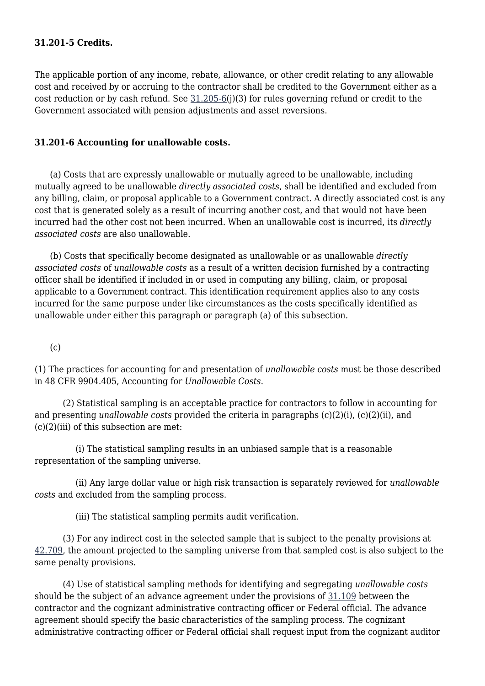#### **31.201-5 Credits.**

The applicable portion of any income, rebate, allowance, or other credit relating to any allowable cost and received by or accruing to the contractor shall be credited to the Government either as a cost reduction or by cash refund. See  $31.205-6(j)(3)$  $31.205-6(j)(3)$  for rules governing refund or credit to the Government associated with pension adjustments and asset reversions.

#### **31.201-6 Accounting for unallowable costs.**

 (a) Costs that are expressly unallowable or mutually agreed to be unallowable, including mutually agreed to be unallowable *directly associated costs*, shall be identified and excluded from any billing, claim, or proposal applicable to a Government contract. A directly associated cost is any cost that is generated solely as a result of incurring another cost, and that would not have been incurred had the other cost not been incurred. When an unallowable cost is incurred, its *directly associated costs* are also unallowable.

 (b) Costs that specifically become designated as unallowable or as unallowable *directly associated costs* of *unallowable costs* as a result of a written decision furnished by a contracting officer shall be identified if included in or used in computing any billing, claim, or proposal applicable to a Government contract. This identification requirement applies also to any costs incurred for the same purpose under like circumstances as the costs specifically identified as unallowable under either this paragraph or paragraph (a) of this subsection.

(c)

(1) The practices for accounting for and presentation of *unallowable costs* must be those described in 48 CFR 9904.405, Accounting for *Unallowable Costs*.

 (2) Statistical sampling is an acceptable practice for contractors to follow in accounting for and presenting *unallowable costs* provided the criteria in paragraphs (c)(2)(i), (c)(2)(ii), and  $(c)(2)(iii)$  of this subsection are met:

 (i) The statistical sampling results in an unbiased sample that is a reasonable representation of the sampling universe.

 (ii) Any large dollar value or high risk transaction is separately reviewed for *unallowable costs* and excluded from the sampling process.

(iii) The statistical sampling permits audit verification.

 (3) For any indirect cost in the selected sample that is subject to the penalty provisions at [42.709](https://www.acquisition.gov/far/part-42#FAR_42_709), the amount projected to the sampling universe from that sampled cost is also subject to the same penalty provisions.

 (4) Use of statistical sampling methods for identifying and segregating *unallowable costs* should be the subject of an advance agreement under the provisions of [31.109](#page--1-0) between the contractor and the cognizant administrative contracting officer or Federal official. The advance agreement should specify the basic characteristics of the sampling process. The cognizant administrative contracting officer or Federal official shall request input from the cognizant auditor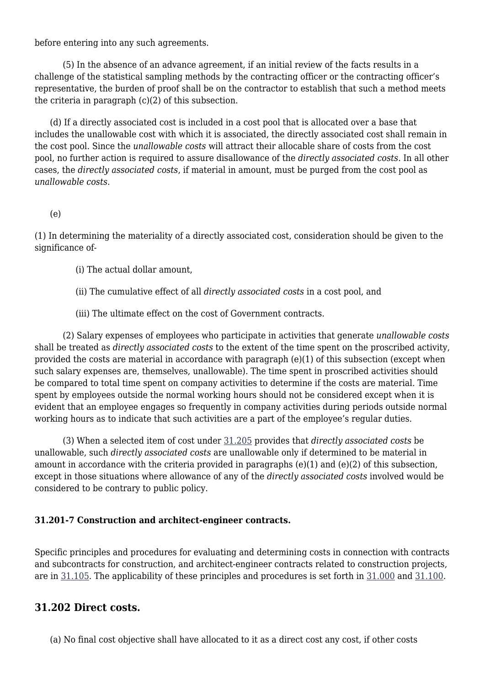before entering into any such agreements.

 (5) In the absence of an advance agreement, if an initial review of the facts results in a challenge of the statistical sampling methods by the contracting officer or the contracting officer's representative, the burden of proof shall be on the contractor to establish that such a method meets the criteria in paragraph (c)(2) of this subsection.

 (d) If a directly associated cost is included in a cost pool that is allocated over a base that includes the unallowable cost with which it is associated, the directly associated cost shall remain in the cost pool. Since the *unallowable costs* will attract their allocable share of costs from the cost pool, no further action is required to assure disallowance of the *directly associated costs*. In all other cases, the *directly associated costs*, if material in amount, must be purged from the cost pool as *unallowable costs*.

(e)

(1) In determining the materiality of a directly associated cost, consideration should be given to the significance of-

(i) The actual dollar amount,

(ii) The cumulative effect of all *directly associated costs* in a cost pool, and

(iii) The ultimate effect on the cost of Government contracts.

 (2) Salary expenses of employees who participate in activities that generate *unallowable costs* shall be treated as *directly associated costs* to the extent of the time spent on the proscribed activity, provided the costs are material in accordance with paragraph (e)(1) of this subsection (except when such salary expenses are, themselves, unallowable). The time spent in proscribed activities should be compared to total time spent on company activities to determine if the costs are material. Time spent by employees outside the normal working hours should not be considered except when it is evident that an employee engages so frequently in company activities during periods outside normal working hours as to indicate that such activities are a part of the employee's regular duties.

 (3) When a selected item of cost under [31.205](#page--1-0) provides that *directly associated costs* be unallowable, such *directly associated costs* are unallowable only if determined to be material in amount in accordance with the criteria provided in paragraphs (e)(1) and (e)(2) of this subsection, except in those situations where allowance of any of the *directly associated costs* involved would be considered to be contrary to public policy.

#### **31.201-7 Construction and architect-engineer contracts.**

Specific principles and procedures for evaluating and determining costs in connection with contracts and subcontracts for construction, and architect-engineer contracts related to construction projects, are in [31.105](#page--1-0). The applicability of these principles and procedures is set forth in [31.000](#page--1-0) and [31.100](#page--1-0).

## **31.202 Direct costs.**

(a) No final cost objective shall have allocated to it as a direct cost any cost, if other costs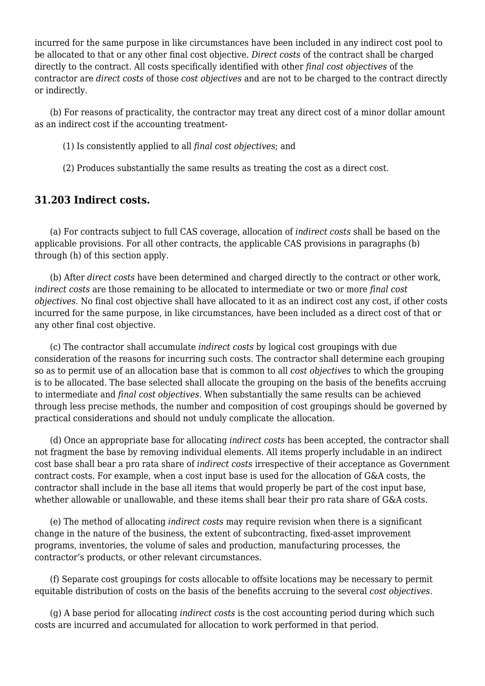incurred for the same purpose in like circumstances have been included in any indirect cost pool to be allocated to that or any other final cost objective. *Direct costs* of the contract shall be charged directly to the contract. All costs specifically identified with other *final cost objectives* of the contractor are *direct costs* of those *cost objectives* and are not to be charged to the contract directly or indirectly.

 (b) For reasons of practicality, the contractor may treat any direct cost of a minor dollar amount as an indirect cost if the accounting treatment-

(1) Is consistently applied to all *final cost objectives*; and

(2) Produces substantially the same results as treating the cost as a direct cost.

## **31.203 Indirect costs.**

 (a) For contracts subject to full CAS coverage, allocation of *indirect costs* shall be based on the applicable provisions. For all other contracts, the applicable CAS provisions in paragraphs (b) through (h) of this section apply.

 (b) After *direct costs* have been determined and charged directly to the contract or other work, *indirect costs* are those remaining to be allocated to intermediate or two or more *final cost objectives*. No final cost objective shall have allocated to it as an indirect cost any cost, if other costs incurred for the same purpose, in like circumstances, have been included as a direct cost of that or any other final cost objective.

 (c) The contractor shall accumulate *indirect costs* by logical cost groupings with due consideration of the reasons for incurring such costs. The contractor shall determine each grouping so as to permit use of an allocation base that is common to all *cost objectives* to which the grouping is to be allocated. The base selected shall allocate the grouping on the basis of the benefits accruing to intermediate and *final cost objectives*. When substantially the same results can be achieved through less precise methods, the number and composition of cost groupings should be governed by practical considerations and should not unduly complicate the allocation.

 (d) Once an appropriate base for allocating *indirect costs* has been accepted, the contractor shall not fragment the base by removing individual elements. All items properly includable in an indirect cost base shall bear a pro rata share of *indirect costs* irrespective of their acceptance as Government contract costs. For example, when a cost input base is used for the allocation of G&A costs, the contractor shall include in the base all items that would properly be part of the cost input base, whether allowable or unallowable, and these items shall bear their pro rata share of G&A costs.

 (e) The method of allocating *indirect costs* may require revision when there is a significant change in the nature of the business, the extent of subcontracting, fixed-asset improvement programs, inventories, the volume of sales and production, manufacturing processes, the contractor's products, or other relevant circumstances.

 (f) Separate cost groupings for costs allocable to offsite locations may be necessary to permit equitable distribution of costs on the basis of the benefits accruing to the several *cost objectives*.

 (g) A base period for allocating *indirect costs* is the cost accounting period during which such costs are incurred and accumulated for allocation to work performed in that period.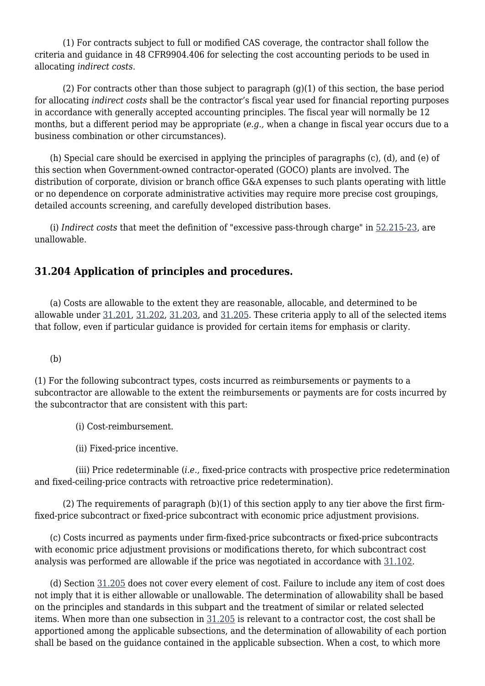(1) For contracts subject to full or modified CAS coverage, the contractor shall follow the criteria and guidance in 48 CFR9904.406 for selecting the cost accounting periods to be used in allocating *indirect costs*.

(2) For contracts other than those subject to paragraph  $(q)(1)$  of this section, the base period for allocating *indirect costs* shall be the contractor's fiscal year used for financial reporting purposes in accordance with generally accepted accounting principles. The fiscal year will normally be 12 months, but a different period may be appropriate (*e.g.,* when a change in fiscal year occurs due to a business combination or other circumstances).

 (h) Special care should be exercised in applying the principles of paragraphs (c), (d), and (e) of this section when Government-owned contractor-operated (GOCO) plants are involved. The distribution of corporate, division or branch office G&A expenses to such plants operating with little or no dependence on corporate administrative activities may require more precise cost groupings, detailed accounts screening, and carefully developed distribution bases.

 (i) *Indirect costs* that meet the definition of "excessive pass-through charge" in [52.215-23](https://www.acquisition.gov/far/part-52#FAR_52_215_23), are unallowable.

### **31.204 Application of principles and procedures.**

 (a) Costs are allowable to the extent they are reasonable, allocable, and determined to be allowable under [31.201](#page--1-0), [31.202, 31.203,](#page--1-0) and [31.205](#page--1-0). These criteria apply to all of the selected items that follow, even if particular guidance is provided for certain items for emphasis or clarity.

#### (b)

(1) For the following subcontract types, costs incurred as reimbursements or payments to a subcontractor are allowable to the extent the reimbursements or payments are for costs incurred by the subcontractor that are consistent with this part:

(i) Cost-reimbursement.

(ii) Fixed-price incentive.

 (iii) Price redeterminable (*i.e.,* fixed-price contracts with prospective price redetermination and fixed-ceiling-price contracts with retroactive price redetermination).

 (2) The requirements of paragraph (b)(1) of this section apply to any tier above the first firmfixed-price subcontract or fixed-price subcontract with economic price adjustment provisions.

 (c) Costs incurred as payments under firm-fixed-price subcontracts or fixed-price subcontracts with economic price adjustment provisions or modifications thereto, for which subcontract cost analysis was performed are allowable if the price was negotiated in accordance with [31.102.](#page--1-0)

 (d) Section [31.205](#page--1-0) does not cover every element of cost. Failure to include any item of cost does not imply that it is either allowable or unallowable. The determination of allowability shall be based on the principles and standards in this subpart and the treatment of similar or related selected items. When more than one subsection in [31.205](#page--1-0) is relevant to a contractor cost, the cost shall be apportioned among the applicable subsections, and the determination of allowability of each portion shall be based on the guidance contained in the applicable subsection. When a cost, to which more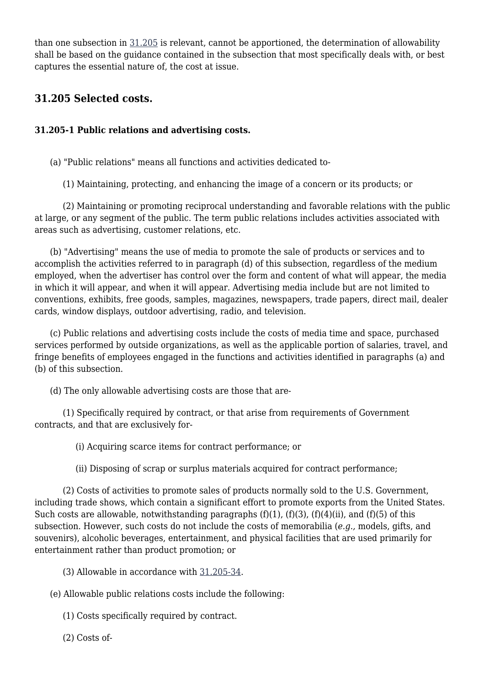than one subsection in [31.205](#page--1-0) is relevant, cannot be apportioned, the determination of allowability shall be based on the guidance contained in the subsection that most specifically deals with, or best captures the essential nature of, the cost at issue.

## **31.205 Selected costs.**

#### **31.205-1 Public relations and advertising costs.**

(a) "Public relations" means all functions and activities dedicated to-

(1) Maintaining, protecting, and enhancing the image of a concern or its products; or

 (2) Maintaining or promoting reciprocal understanding and favorable relations with the public at large, or any segment of the public. The term public relations includes activities associated with areas such as advertising, customer relations, etc.

 (b) "Advertising" means the use of media to promote the sale of products or services and to accomplish the activities referred to in paragraph (d) of this subsection, regardless of the medium employed, when the advertiser has control over the form and content of what will appear, the media in which it will appear, and when it will appear. Advertising media include but are not limited to conventions, exhibits, free goods, samples, magazines, newspapers, trade papers, direct mail, dealer cards, window displays, outdoor advertising, radio, and television.

 (c) Public relations and advertising costs include the costs of media time and space, purchased services performed by outside organizations, as well as the applicable portion of salaries, travel, and fringe benefits of employees engaged in the functions and activities identified in paragraphs (a) and (b) of this subsection.

(d) The only allowable advertising costs are those that are-

 (1) Specifically required by contract, or that arise from requirements of Government contracts, and that are exclusively for-

(i) Acquiring scarce items for contract performance; or

(ii) Disposing of scrap or surplus materials acquired for contract performance;

 (2) Costs of activities to promote sales of products normally sold to the U.S. Government, including trade shows, which contain a significant effort to promote exports from the United States. Such costs are allowable, notwithstanding paragraphs  $(f)(1)$ ,  $(f)(3)$ ,  $(f)(4)(ii)$ , and  $(f)(5)$  of this subsection. However, such costs do not include the costs of memorabilia (*e.g.,* models, gifts, and souvenirs), alcoholic beverages, entertainment, and physical facilities that are used primarily for entertainment rather than product promotion; or

(3) Allowable in accordance with [31.205-34.](#page--1-0)

(e) Allowable public relations costs include the following:

(1) Costs specifically required by contract.

(2) Costs of-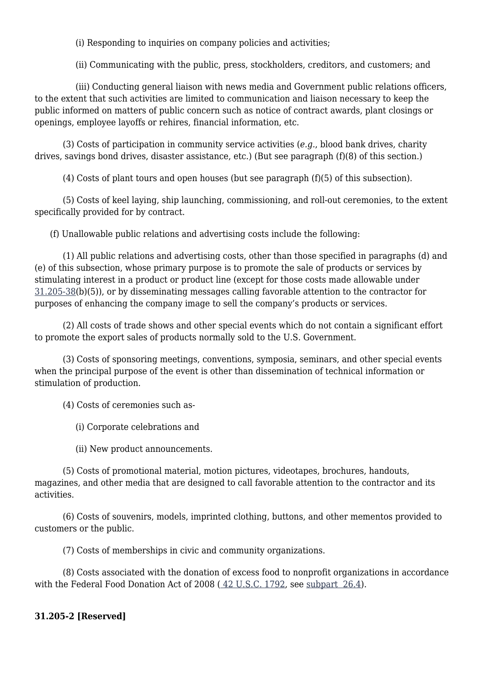(i) Responding to inquiries on company policies and activities;

(ii) Communicating with the public, press, stockholders, creditors, and customers; and

 (iii) Conducting general liaison with news media and Government public relations officers, to the extent that such activities are limited to communication and liaison necessary to keep the public informed on matters of public concern such as notice of contract awards, plant closings or openings, employee layoffs or rehires, financial information, etc.

 (3) Costs of participation in community service activities (*e.g.*, blood bank drives, charity drives, savings bond drives, disaster assistance, etc.) (But see paragraph (f)(8) of this section.)

(4) Costs of plant tours and open houses (but see paragraph (f)(5) of this subsection).

 (5) Costs of keel laying, ship launching, commissioning, and roll-out ceremonies, to the extent specifically provided for by contract.

(f) Unallowable public relations and advertising costs include the following:

 (1) All public relations and advertising costs, other than those specified in paragraphs (d) and (e) of this subsection, whose primary purpose is to promote the sale of products or services by stimulating interest in a product or product line (except for those costs made allowable under [31.205-38](#page--1-0)(b)(5)), or by disseminating messages calling favorable attention to the contractor for purposes of enhancing the company image to sell the company's products or services.

 (2) All costs of trade shows and other special events which do not contain a significant effort to promote the export sales of products normally sold to the U.S. Government.

 (3) Costs of sponsoring meetings, conventions, symposia, seminars, and other special events when the principal purpose of the event is other than dissemination of technical information or stimulation of production.

(4) Costs of ceremonies such as-

(i) Corporate celebrations and

(ii) New product announcements.

 (5) Costs of promotional material, motion pictures, videotapes, brochures, handouts, magazines, and other media that are designed to call favorable attention to the contractor and its activities.

 (6) Costs of souvenirs, models, imprinted clothing, buttons, and other mementos provided to customers or the public.

(7) Costs of memberships in civic and community organizations.

 (8) Costs associated with the donation of excess food to nonprofit organizations in accordance with the Federal Food Donation Act of 2008 ( [42 U.S.C. 1792,](http://uscode.house.gov/browse.xhtml;jsessionid=114A3287C7B3359E597506A31FC855B3) see [subpart 26.4](https://www.acquisition.gov/far/part-26#FAR_Subpart_26_4)).

#### **31.205-2 [Reserved]**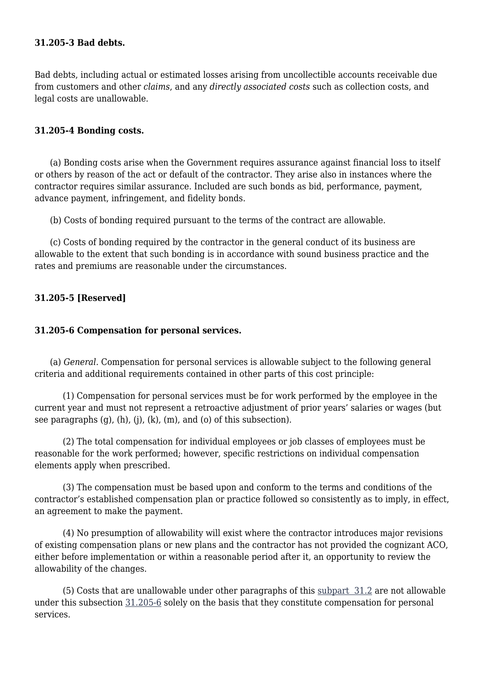#### **31.205-3 Bad debts.**

Bad debts, including actual or estimated losses arising from uncollectible accounts receivable due from customers and other *claims*, and any *directly associated costs* such as collection costs, and legal costs are unallowable.

#### **31.205-4 Bonding costs.**

 (a) Bonding costs arise when the Government requires assurance against financial loss to itself or others by reason of the act or default of the contractor. They arise also in instances where the contractor requires similar assurance. Included are such bonds as bid, performance, payment, advance payment, infringement, and fidelity bonds.

(b) Costs of bonding required pursuant to the terms of the contract are allowable.

 (c) Costs of bonding required by the contractor in the general conduct of its business are allowable to the extent that such bonding is in accordance with sound business practice and the rates and premiums are reasonable under the circumstances.

#### **31.205-5 [Reserved]**

#### **31.205-6 Compensation for personal services.**

 (a) *General.* Compensation for personal services is allowable subject to the following general criteria and additional requirements contained in other parts of this cost principle:

 (1) Compensation for personal services must be for work performed by the employee in the current year and must not represent a retroactive adjustment of prior years' salaries or wages (but see paragraphs  $(q)$ ,  $(h)$ ,  $(i)$ ,  $(k)$ ,  $(m)$ , and  $(o)$  of this subsection).

 (2) The total compensation for individual employees or job classes of employees must be reasonable for the work performed; however, specific restrictions on individual compensation elements apply when prescribed.

 (3) The compensation must be based upon and conform to the terms and conditions of the contractor's established compensation plan or practice followed so consistently as to imply, in effect, an agreement to make the payment.

 (4) No presumption of allowability will exist where the contractor introduces major revisions of existing compensation plans or new plans and the contractor has not provided the cognizant ACO, either before implementation or within a reasonable period after it, an opportunity to review the allowability of the changes.

 (5) Costs that are unallowable under other paragraphs of this [subpart 31.2](#page--1-0) are not allowable under this subsection [31.205-6](#page--1-0) solely on the basis that they constitute compensation for personal services.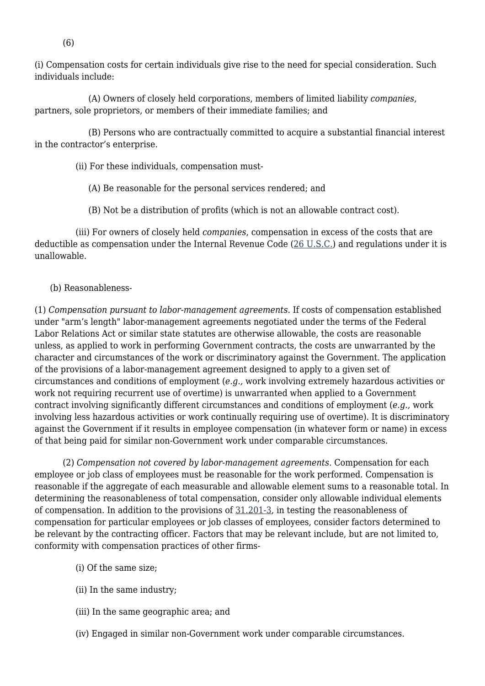(i) Compensation costs for certain individuals give rise to the need for special consideration. Such individuals include:

 (A) Owners of closely held corporations, members of limited liability *companies*, partners, sole proprietors, or members of their immediate families; and

 (B) Persons who are contractually committed to acquire a substantial financial interest in the contractor's enterprise.

(ii) For these individuals, compensation must-

(A) Be reasonable for the personal services rendered; and

(B) Not be a distribution of profits (which is not an allowable contract cost).

 (iii) For owners of closely held *companies*, compensation in excess of the costs that are deductible as compensation under the Internal Revenue Code ([26 U.S.C.](http://uscode.house.gov/browse.xhtml;jsessionid=114A3287C7B3359E597506A31FC855B3)) and regulations under it is unallowable.

#### (b) Reasonableness-

(1) *Compensation pursuant to labor-management agreements*. If costs of compensation established under "arm's length" labor-management agreements negotiated under the terms of the Federal Labor Relations Act or similar state statutes are otherwise allowable, the costs are reasonable unless, as applied to work in performing Government contracts, the costs are unwarranted by the character and circumstances of the work or discriminatory against the Government. The application of the provisions of a labor-management agreement designed to apply to a given set of circumstances and conditions of employment (*e.g.,* work involving extremely hazardous activities or work not requiring recurrent use of overtime) is unwarranted when applied to a Government contract involving significantly different circumstances and conditions of employment (*e.g.,* work involving less hazardous activities or work continually requiring use of overtime). It is discriminatory against the Government if it results in employee compensation (in whatever form or name) in excess of that being paid for similar non-Government work under comparable circumstances.

 (2) *Compensation not covered by labor-management agreements*. Compensation for each employee or job class of employees must be reasonable for the work performed. Compensation is reasonable if the aggregate of each measurable and allowable element sums to a reasonable total. In determining the reasonableness of total compensation, consider only allowable individual elements of compensation. In addition to the provisions of [31.201-3](#page--1-0), in testing the reasonableness of compensation for particular employees or job classes of employees, consider factors determined to be relevant by the contracting officer. Factors that may be relevant include, but are not limited to, conformity with compensation practices of other firms-

- (i) Of the same size;
- (ii) In the same industry;
- (iii) In the same geographic area; and
- (iv) Engaged in similar non-Government work under comparable circumstances.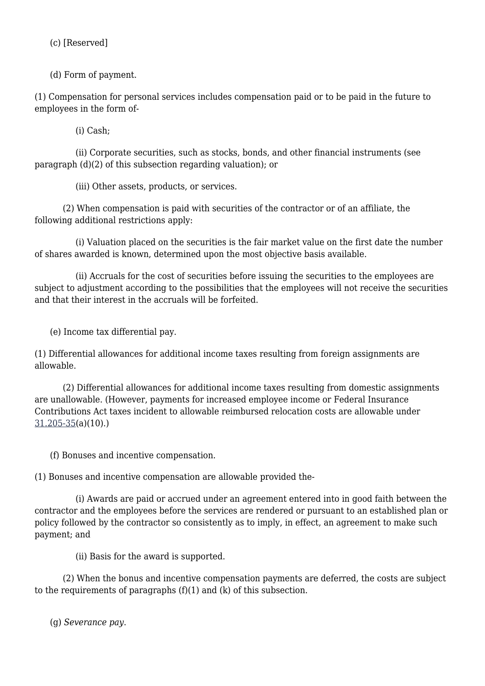(c) [Reserved]

(d) Form of payment.

(1) Compensation for personal services includes compensation paid or to be paid in the future to employees in the form of-

(i) Cash;

 (ii) Corporate securities, such as stocks, bonds, and other financial instruments (see paragraph (d)(2) of this subsection regarding valuation); or

(iii) Other assets, products, or services.

 (2) When compensation is paid with securities of the contractor or of an affiliate, the following additional restrictions apply:

 (i) Valuation placed on the securities is the fair market value on the first date the number of shares awarded is known, determined upon the most objective basis available.

 (ii) Accruals for the cost of securities before issuing the securities to the employees are subject to adjustment according to the possibilities that the employees will not receive the securities and that their interest in the accruals will be forfeited.

(e) Income tax differential pay.

(1) Differential allowances for additional income taxes resulting from foreign assignments are allowable.

 (2) Differential allowances for additional income taxes resulting from domestic assignments are unallowable. (However, payments for increased employee income or Federal Insurance Contributions Act taxes incident to allowable reimbursed relocation costs are allowable under [31.205-35](#page--1-0)(a)(10).)

(f) Bonuses and incentive compensation.

(1) Bonuses and incentive compensation are allowable provided the-

 (i) Awards are paid or accrued under an agreement entered into in good faith between the contractor and the employees before the services are rendered or pursuant to an established plan or policy followed by the contractor so consistently as to imply, in effect, an agreement to make such payment; and

(ii) Basis for the award is supported.

 (2) When the bonus and incentive compensation payments are deferred, the costs are subject to the requirements of paragraphs (f)(1) and (k) of this subsection.

(g) *Severance pay*.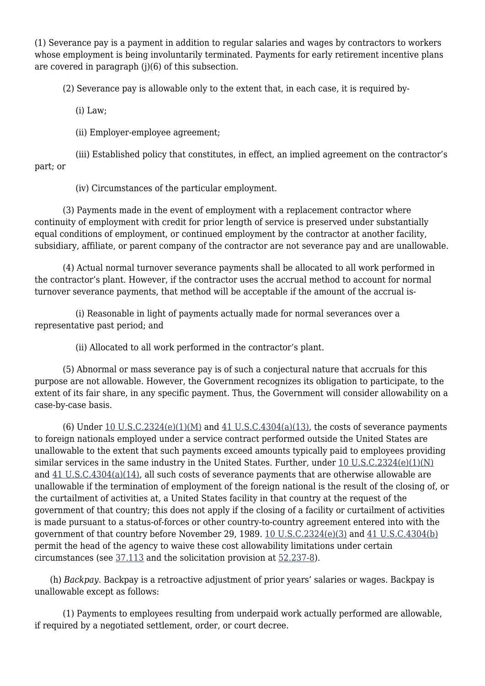(1) Severance pay is a payment in addition to regular salaries and wages by contractors to workers whose employment is being involuntarily terminated. Payments for early retirement incentive plans are covered in paragraph (j)(6) of this subsection.

(2) Severance pay is allowable only to the extent that, in each case, it is required by-

(i) Law;

(ii) Employer-employee agreement;

 (iii) Established policy that constitutes, in effect, an implied agreement on the contractor's part; or

(iv) Circumstances of the particular employment.

 (3) Payments made in the event of employment with a replacement contractor where continuity of employment with credit for prior length of service is preserved under substantially equal conditions of employment, or continued employment by the contractor at another facility, subsidiary, affiliate, or parent company of the contractor are not severance pay and are unallowable.

 (4) Actual normal turnover severance payments shall be allocated to all work performed in the contractor's plant. However, if the contractor uses the accrual method to account for normal turnover severance payments, that method will be acceptable if the amount of the accrual is-

 (i) Reasonable in light of payments actually made for normal severances over a representative past period; and

(ii) Allocated to all work performed in the contractor's plant.

 (5) Abnormal or mass severance pay is of such a conjectural nature that accruals for this purpose are not allowable. However, the Government recognizes its obligation to participate, to the extent of its fair share, in any specific payment. Thus, the Government will consider allowability on a case-by-case basis.

(6) Under  $10 \text{ U.S. C.}2324(e)(1)(M)$  and  $41 \text{ U.S. C.}4304(a)(13)$ , the costs of severance payments to foreign nationals employed under a service contract performed outside the United States are unallowable to the extent that such payments exceed amounts typically paid to employees providing similar services in the same industry in the United States. Further, under [10 U.S.C.2324\(e\)\(1\)\(N\)](http://uscode.house.gov/browse.xhtml;jsessionid=114A3287C7B3359E597506A31FC855B3) and [41 U.S.C.4304\(a\)\(14\)](http://uscode.house.gov/browse.xhtml;jsessionid=114A3287C7B3359E597506A31FC855B3), all such costs of severance payments that are otherwise allowable are unallowable if the termination of employment of the foreign national is the result of the closing of, or the curtailment of activities at, a United States facility in that country at the request of the government of that country; this does not apply if the closing of a facility or curtailment of activities is made pursuant to a status-of-forces or other country-to-country agreement entered into with the government of that country before November 29, 1989. [10 U.S.C.2324\(e\)\(3\)](http://uscode.house.gov/browse.xhtml;jsessionid=114A3287C7B3359E597506A31FC855B3) and [41 U.S.C.4304\(b\)](http://uscode.house.gov/browse.xhtml;jsessionid=114A3287C7B3359E597506A31FC855B3) permit the head of the agency to waive these cost allowability limitations under certain circumstances (see [37.113](https://www.acquisition.gov/far/part-37#FAR_37_113) and the solicitation provision at [52.237-8](https://www.acquisition.gov/far/part-52#FAR_52_237_8)).

 (h) *Backpay*. Backpay is a retroactive adjustment of prior years' salaries or wages. Backpay is unallowable except as follows:

 (1) Payments to employees resulting from underpaid work actually performed are allowable, if required by a negotiated settlement, order, or court decree.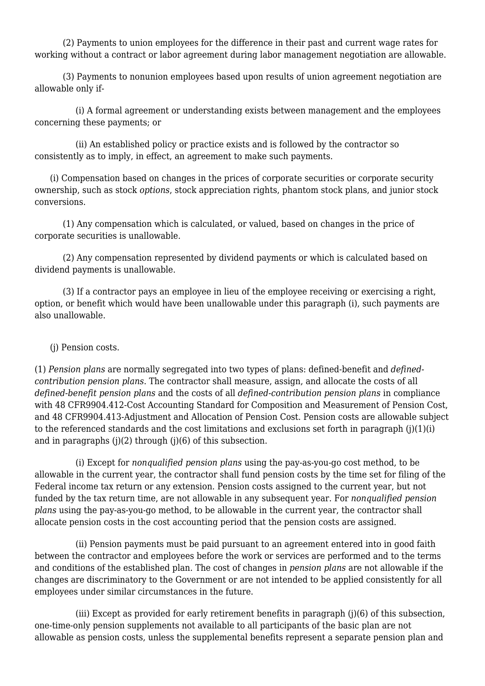(2) Payments to union employees for the difference in their past and current wage rates for working without a contract or labor agreement during labor management negotiation are allowable.

 (3) Payments to nonunion employees based upon results of union agreement negotiation are allowable only if-

 (i) A formal agreement or understanding exists between management and the employees concerning these payments; or

 (ii) An established policy or practice exists and is followed by the contractor so consistently as to imply, in effect, an agreement to make such payments.

 (i) Compensation based on changes in the prices of corporate securities or corporate security ownership, such as stock *options*, stock appreciation rights, phantom stock plans, and junior stock conversions.

 (1) Any compensation which is calculated, or valued, based on changes in the price of corporate securities is unallowable.

 (2) Any compensation represented by dividend payments or which is calculated based on dividend payments is unallowable.

 (3) If a contractor pays an employee in lieu of the employee receiving or exercising a right, option, or benefit which would have been unallowable under this paragraph (i), such payments are also unallowable.

(j) Pension costs.

(1) *Pension plans* are normally segregated into two types of plans: defined-benefit and *definedcontribution pension plans*. The contractor shall measure, assign, and allocate the costs of all *defined-benefit pension plans* and the costs of all *defined-contribution pension plans* in compliance with 48 CFR9904.412-Cost Accounting Standard for Composition and Measurement of Pension Cost, and 48 CFR9904.413-Adjustment and Allocation of Pension Cost. Pension costs are allowable subject to the referenced standards and the cost limitations and exclusions set forth in paragraph (j)(1)(i) and in paragraphs (j)(2) through (j)(6) of this subsection.

 (i) Except for *nonqualified pension plans* using the pay-as-you-go cost method, to be allowable in the current year, the contractor shall fund pension costs by the time set for filing of the Federal income tax return or any extension. Pension costs assigned to the current year, but not funded by the tax return time, are not allowable in any subsequent year. For *nonqualified pension plans* using the pay-as-you-go method, to be allowable in the current year, the contractor shall allocate pension costs in the cost accounting period that the pension costs are assigned.

 (ii) Pension payments must be paid pursuant to an agreement entered into in good faith between the contractor and employees before the work or services are performed and to the terms and conditions of the established plan. The cost of changes in *pension plans* are not allowable if the changes are discriminatory to the Government or are not intended to be applied consistently for all employees under similar circumstances in the future.

 (iii) Except as provided for early retirement benefits in paragraph (j)(6) of this subsection, one-time-only pension supplements not available to all participants of the basic plan are not allowable as pension costs, unless the supplemental benefits represent a separate pension plan and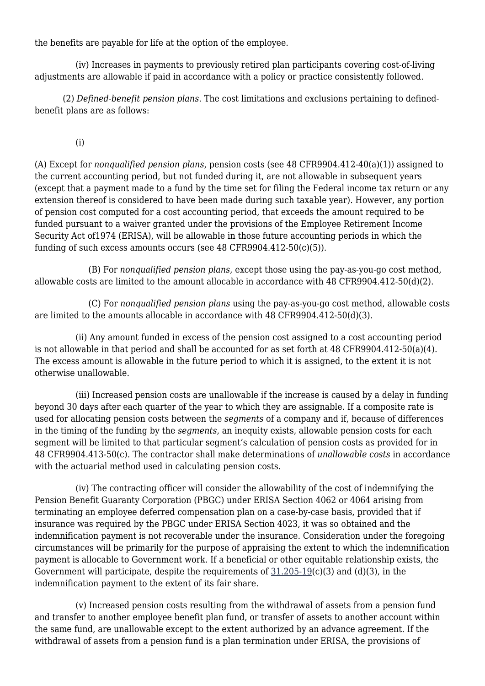the benefits are payable for life at the option of the employee.

 (iv) Increases in payments to previously retired plan participants covering cost-of-living adjustments are allowable if paid in accordance with a policy or practice consistently followed.

 (2) *Defined-benefit pension plans*. The cost limitations and exclusions pertaining to definedbenefit plans are as follows:

(i)

(A) Except for *nonqualified pension plans*, pension costs (see 48 CFR9904.412-40(a)(1)) assigned to the current accounting period, but not funded during it, are not allowable in subsequent years (except that a payment made to a fund by the time set for filing the Federal income tax return or any extension thereof is considered to have been made during such taxable year). However, any portion of pension cost computed for a cost accounting period, that exceeds the amount required to be funded pursuant to a waiver granted under the provisions of the Employee Retirement Income Security Act of1974 (ERISA), will be allowable in those future accounting periods in which the funding of such excess amounts occurs (see 48 CFR9904.412-50(c)(5)).

 (B) For *nonqualified pension plans*, except those using the pay-as-you-go cost method, allowable costs are limited to the amount allocable in accordance with 48 CFR9904.412-50(d)(2).

 (C) For *nonqualified pension plans* using the pay-as-you-go cost method, allowable costs are limited to the amounts allocable in accordance with 48 CFR9904.412-50(d)(3).

 (ii) Any amount funded in excess of the pension cost assigned to a cost accounting period is not allowable in that period and shall be accounted for as set forth at 48 CFR9904.412-50(a)(4). The excess amount is allowable in the future period to which it is assigned, to the extent it is not otherwise unallowable.

 (iii) Increased pension costs are unallowable if the increase is caused by a delay in funding beyond 30 days after each quarter of the year to which they are assignable. If a composite rate is used for allocating pension costs between the *segments* of a company and if, because of differences in the timing of the funding by the *segments*, an inequity exists, allowable pension costs for each segment will be limited to that particular segment's calculation of pension costs as provided for in 48 CFR9904.413-50(c). The contractor shall make determinations of *unallowable costs* in accordance with the actuarial method used in calculating pension costs.

 (iv) The contracting officer will consider the allowability of the cost of indemnifying the Pension Benefit Guaranty Corporation (PBGC) under ERISA Section 4062 or 4064 arising from terminating an employee deferred compensation plan on a case-by-case basis, provided that if insurance was required by the PBGC under ERISA Section 4023, it was so obtained and the indemnification payment is not recoverable under the insurance. Consideration under the foregoing circumstances will be primarily for the purpose of appraising the extent to which the indemnification payment is allocable to Government work. If a beneficial or other equitable relationship exists, the Government will participate, despite the requirements of  $31.205-19(c)(3)$  $31.205-19(c)(3)$  and (d)(3), in the indemnification payment to the extent of its fair share.

 (v) Increased pension costs resulting from the withdrawal of assets from a pension fund and transfer to another employee benefit plan fund, or transfer of assets to another account within the same fund, are unallowable except to the extent authorized by an advance agreement. If the withdrawal of assets from a pension fund is a plan termination under ERISA, the provisions of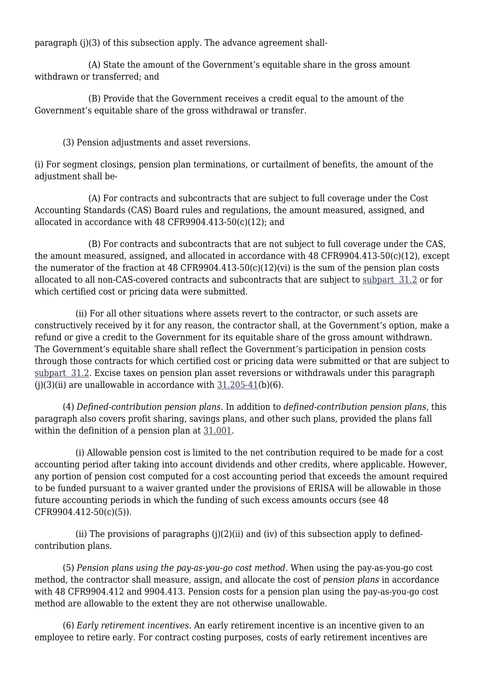paragraph (j)(3) of this subsection apply. The advance agreement shall-

 (A) State the amount of the Government's equitable share in the gross amount withdrawn or transferred; and

 (B) Provide that the Government receives a credit equal to the amount of the Government's equitable share of the gross withdrawal or transfer.

(3) Pension adjustments and asset reversions.

(i) For segment closings, pension plan terminations, or curtailment of benefits, the amount of the adjustment shall be-

 (A) For contracts and subcontracts that are subject to full coverage under the Cost Accounting Standards (CAS) Board rules and regulations, the amount measured, assigned, and allocated in accordance with 48 CFR9904.413-50(c)(12); and

 (B) For contracts and subcontracts that are not subject to full coverage under the CAS, the amount measured, assigned, and allocated in accordance with 48 CFR9904.413-50(c)(12), except the numerator of the fraction at 48 CFR9904.413-50(c)(12)(vi) is the sum of the pension plan costs allocated to all non-CAS-covered contracts and subcontracts that are subject to [subpart 31.2](#page--1-0) or for which certified cost or pricing data were submitted.

 (ii) For all other situations where assets revert to the contractor, or such assets are constructively received by it for any reason, the contractor shall, at the Government's option, make a refund or give a credit to the Government for its equitable share of the gross amount withdrawn. The Government's equitable share shall reflect the Government's participation in pension costs through those contracts for which certified cost or pricing data were submitted or that are subject to [subpart 31.2.](#page--1-0) Excise taxes on pension plan asset reversions or withdrawals under this paragraph (i)(3)(ii) are unallowable in accordance with  $31.205-41(b)(6)$  $31.205-41(b)(6)$ .

 (4) *Defined-contribution pension plans.* In addition to *defined-contribution pension plans*, this paragraph also covers profit sharing, savings plans, and other such plans, provided the plans fall within the definition of a pension plan at [31.001](#page--1-0).

 (i) Allowable pension cost is limited to the net contribution required to be made for a cost accounting period after taking into account dividends and other credits, where applicable. However, any portion of pension cost computed for a cost accounting period that exceeds the amount required to be funded pursuant to a waiver granted under the provisions of ERISA will be allowable in those future accounting periods in which the funding of such excess amounts occurs (see 48 CFR9904.412-50(c)(5)).

(ii) The provisions of paragraphs  $(i)(2)(ii)$  and  $(iv)$  of this subsection apply to definedcontribution plans.

 (5) *Pension plans using the pay-as-you-go cost method*. When using the pay-as-you-go cost method, the contractor shall measure, assign, and allocate the cost of *pension plans* in accordance with 48 CFR9904.412 and 9904.413. Pension costs for a pension plan using the pay-as-you-go cost method are allowable to the extent they are not otherwise unallowable.

 (6) *Early retirement incentives*. An early retirement incentive is an incentive given to an employee to retire early. For contract costing purposes, costs of early retirement incentives are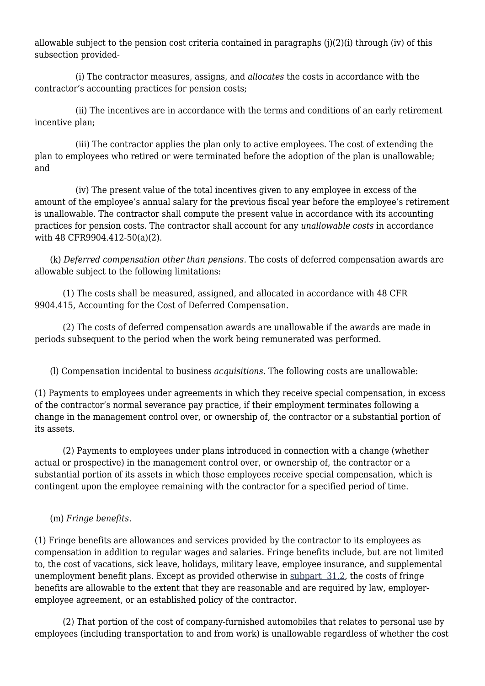allowable subject to the pension cost criteria contained in paragraphs (j)(2)(i) through (iv) of this subsection provided-

 (i) The contractor measures, assigns, and *allocates* the costs in accordance with the contractor's accounting practices for pension costs;

 (ii) The incentives are in accordance with the terms and conditions of an early retirement incentive plan;

 (iii) The contractor applies the plan only to active employees. The cost of extending the plan to employees who retired or were terminated before the adoption of the plan is unallowable; and

 (iv) The present value of the total incentives given to any employee in excess of the amount of the employee's annual salary for the previous fiscal year before the employee's retirement is unallowable. The contractor shall compute the present value in accordance with its accounting practices for pension costs. The contractor shall account for any *unallowable costs* in accordance with 48 CFR9904.412-50(a)(2).

 (k) *Deferred compensation other than pensions.* The costs of deferred compensation awards are allowable subject to the following limitations:

 (1) The costs shall be measured, assigned, and allocated in accordance with 48 CFR 9904.415, Accounting for the Cost of Deferred Compensation.

 (2) The costs of deferred compensation awards are unallowable if the awards are made in periods subsequent to the period when the work being remunerated was performed.

(l) Compensation incidental to business *acquisitions*. The following costs are unallowable:

(1) Payments to employees under agreements in which they receive special compensation, in excess of the contractor's normal severance pay practice, if their employment terminates following a change in the management control over, or ownership of, the contractor or a substantial portion of its assets.

 (2) Payments to employees under plans introduced in connection with a change (whether actual or prospective) in the management control over, or ownership of, the contractor or a substantial portion of its assets in which those employees receive special compensation, which is contingent upon the employee remaining with the contractor for a specified period of time.

#### (m) *Fringe benefits*.

(1) Fringe benefits are allowances and services provided by the contractor to its employees as compensation in addition to regular wages and salaries. Fringe benefits include, but are not limited to, the cost of vacations, sick leave, holidays, military leave, employee insurance, and supplemental unemployment benefit plans. Except as provided otherwise in [subpart 31.2](#page--1-0), the costs of fringe benefits are allowable to the extent that they are reasonable and are required by law, employeremployee agreement, or an established policy of the contractor.

 (2) That portion of the cost of company-furnished automobiles that relates to personal use by employees (including transportation to and from work) is unallowable regardless of whether the cost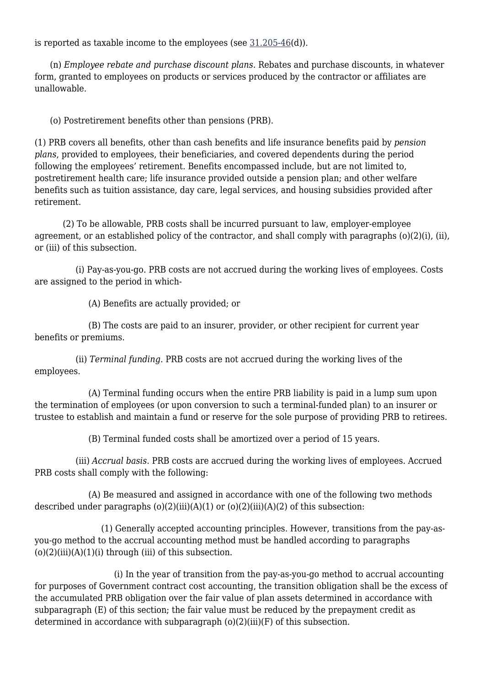is reported as taxable income to the employees (see [31.205-46](#page--1-0)(d)).

 (n) *Employee rebate and purchase discount plans.* Rebates and purchase discounts, in whatever form, granted to employees on products or services produced by the contractor or affiliates are unallowable.

(o) Postretirement benefits other than pensions (PRB).

(1) PRB covers all benefits, other than cash benefits and life insurance benefits paid by *pension plans*, provided to employees, their beneficiaries, and covered dependents during the period following the employees' retirement. Benefits encompassed include, but are not limited to, postretirement health care; life insurance provided outside a pension plan; and other welfare benefits such as tuition assistance, day care, legal services, and housing subsidies provided after retirement.

 (2) To be allowable, PRB costs shall be incurred pursuant to law, employer-employee agreement, or an established policy of the contractor, and shall comply with paragraphs (o)(2)(i), (ii), or (iii) of this subsection.

 (i) Pay-as-you-go. PRB costs are not accrued during the working lives of employees. Costs are assigned to the period in which-

(A) Benefits are actually provided; or

 (B) The costs are paid to an insurer, provider, or other recipient for current year benefits or premiums.

 (ii) *Terminal funding.* PRB costs are not accrued during the working lives of the employees.

 (A) Terminal funding occurs when the entire PRB liability is paid in a lump sum upon the termination of employees (or upon conversion to such a terminal-funded plan) to an insurer or trustee to establish and maintain a fund or reserve for the sole purpose of providing PRB to retirees.

(B) Terminal funded costs shall be amortized over a period of 15 years.

 (iii) *Accrual basis*. PRB costs are accrued during the working lives of employees. Accrued PRB costs shall comply with the following:

 (A) Be measured and assigned in accordance with one of the following two methods described under paragraphs  $(o)(2)(iii)(A)(1)$  or  $(o)(2)(iii)(A)(2)$  of this subsection:

 (1) Generally accepted accounting principles. However, transitions from the pay-asyou-go method to the accrual accounting method must be handled according to paragraphs  $(0)(2)(iii)(A)(1)(i)$  through (iii) of this subsection.

 (i) In the year of transition from the pay-as-you-go method to accrual accounting for purposes of Government contract cost accounting, the transition obligation shall be the excess of the accumulated PRB obligation over the fair value of plan assets determined in accordance with subparagraph (E) of this section; the fair value must be reduced by the prepayment credit as determined in accordance with subparagraph  $(0)(2)(iii)(F)$  of this subsection.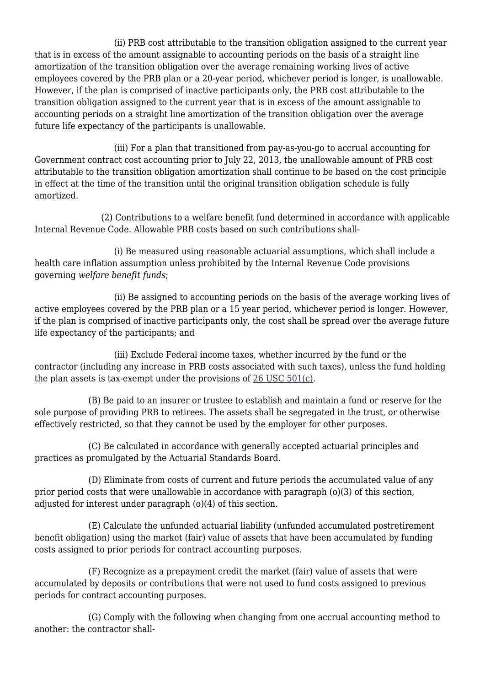(ii) PRB cost attributable to the transition obligation assigned to the current year that is in excess of the amount assignable to accounting periods on the basis of a straight line amortization of the transition obligation over the average remaining working lives of active employees covered by the PRB plan or a 20-year period, whichever period is longer, is unallowable. However, if the plan is comprised of inactive participants only, the PRB cost attributable to the transition obligation assigned to the current year that is in excess of the amount assignable to accounting periods on a straight line amortization of the transition obligation over the average future life expectancy of the participants is unallowable.

 (iii) For a plan that transitioned from pay-as-you-go to accrual accounting for Government contract cost accounting prior to July 22, 2013, the unallowable amount of PRB cost attributable to the transition obligation amortization shall continue to be based on the cost principle in effect at the time of the transition until the original transition obligation schedule is fully amortized.

 (2) Contributions to a welfare benefit fund determined in accordance with applicable Internal Revenue Code. Allowable PRB costs based on such contributions shall-

 (i) Be measured using reasonable actuarial assumptions, which shall include a health care inflation assumption unless prohibited by the Internal Revenue Code provisions governing *welfare benefit funds*;

 (ii) Be assigned to accounting periods on the basis of the average working lives of active employees covered by the PRB plan or a 15 year period, whichever period is longer. However, if the plan is comprised of inactive participants only, the cost shall be spread over the average future life expectancy of the participants; and

 (iii) Exclude Federal income taxes, whether incurred by the fund or the contractor (including any increase in PRB costs associated with such taxes), unless the fund holding the plan assets is tax-exempt under the provisions of  $26$  USC 501(c).

 (B) Be paid to an insurer or trustee to establish and maintain a fund or reserve for the sole purpose of providing PRB to retirees. The assets shall be segregated in the trust, or otherwise effectively restricted, so that they cannot be used by the employer for other purposes.

 (C) Be calculated in accordance with generally accepted actuarial principles and practices as promulgated by the Actuarial Standards Board.

 (D) Eliminate from costs of current and future periods the accumulated value of any prior period costs that were unallowable in accordance with paragraph (o)(3) of this section, adjusted for interest under paragraph (o)(4) of this section.

 (E) Calculate the unfunded actuarial liability (unfunded accumulated postretirement benefit obligation) using the market (fair) value of assets that have been accumulated by funding costs assigned to prior periods for contract accounting purposes.

 (F) Recognize as a prepayment credit the market (fair) value of assets that were accumulated by deposits or contributions that were not used to fund costs assigned to previous periods for contract accounting purposes.

 (G) Comply with the following when changing from one accrual accounting method to another: the contractor shall-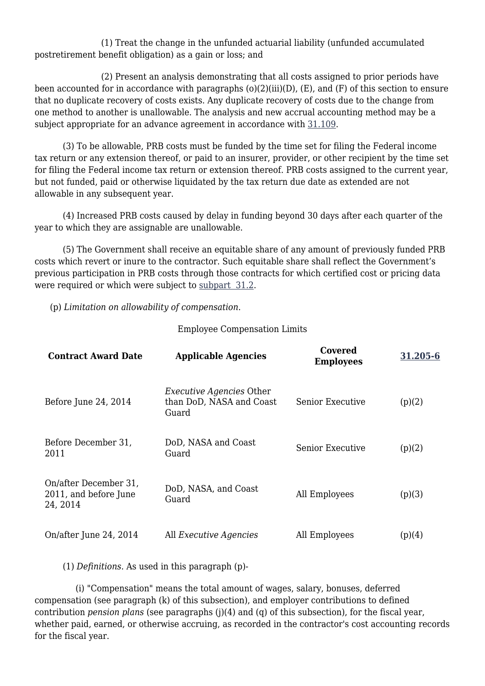(1) Treat the change in the unfunded actuarial liability (unfunded accumulated postretirement benefit obligation) as a gain or loss; and

 (2) Present an analysis demonstrating that all costs assigned to prior periods have been accounted for in accordance with paragraphs  $(o)(2)(iii)(D)$ ,  $(E)$ , and  $(F)$  of this section to ensure that no duplicate recovery of costs exists. Any duplicate recovery of costs due to the change from one method to another is unallowable. The analysis and new accrual accounting method may be a subject appropriate for an advance agreement in accordance with [31.109](#page--1-0).

 (3) To be allowable, PRB costs must be funded by the time set for filing the Federal income tax return or any extension thereof, or paid to an insurer, provider, or other recipient by the time set for filing the Federal income tax return or extension thereof. PRB costs assigned to the current year, but not funded, paid or otherwise liquidated by the tax return due date as extended are not allowable in any subsequent year.

 (4) Increased PRB costs caused by delay in funding beyond 30 days after each quarter of the year to which they are assignable are unallowable.

 (5) The Government shall receive an equitable share of any amount of previously funded PRB costs which revert or inure to the contractor. Such equitable share shall reflect the Government's previous participation in PRB costs through those contracts for which certified cost or pricing data were required or which were subject to [subpart 31.2.](#page--1-0)

(p) *Limitation on allowability of compensation*.

#### Employee Compensation Limits

| <b>Contract Award Date</b>                                 | <b>Applicable Agencies</b>                                           | Covered<br><b>Employees</b> | 31.205-6 |
|------------------------------------------------------------|----------------------------------------------------------------------|-----------------------------|----------|
| Before June 24, 2014                                       | <i>Executive Agencies Other</i><br>than DoD, NASA and Coast<br>Guard | Senior Executive            | (p)(2)   |
| Before December 31,<br>2011                                | DoD, NASA and Coast<br>Guard                                         | <b>Senior Executive</b>     | (p)(2)   |
| On/after December 31,<br>2011, and before June<br>24, 2014 | DoD, NASA, and Coast<br>Guard                                        | All Employees               | (p)(3)   |
| On/after June 24, 2014                                     | All <i>Executive Agencies</i>                                        | All Employees               | (p)(4)   |

(1) *Definitions*. As used in this paragraph (p)-

 (i) "Compensation" means the total amount of wages, salary, bonuses, deferred compensation (see paragraph (k) of this subsection), and employer contributions to defined contribution *pension plans* (see paragraphs (j)(4) and (q) of this subsection), for the fiscal year, whether paid, earned, or otherwise accruing, as recorded in the contractor's cost accounting records for the fiscal year.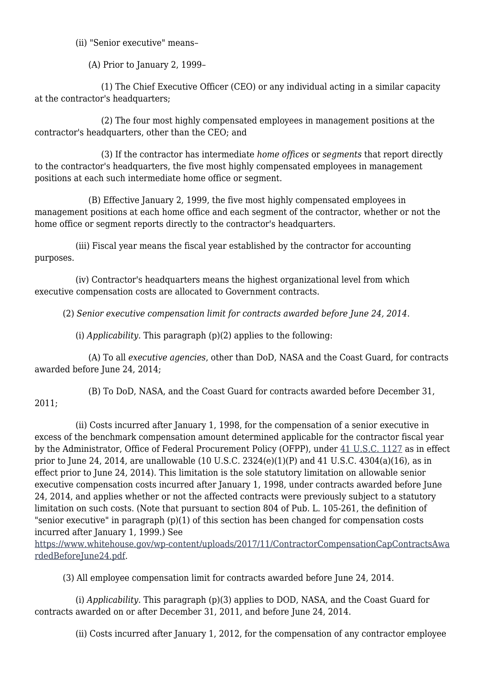(ii) "Senior executive" means–

(A) Prior to January 2, 1999–

 (1) The Chief Executive Officer (CEO) or any individual acting in a similar capacity at the contractor's headquarters;

 (2) The four most highly compensated employees in management positions at the contractor's headquarters, other than the CEO; and

 (3) If the contractor has intermediate *home offices* or *segments* that report directly to the contractor's headquarters, the five most highly compensated employees in management positions at each such intermediate home office or segment.

 (B) Effective January 2, 1999, the five most highly compensated employees in management positions at each home office and each segment of the contractor, whether or not the home office or segment reports directly to the contractor's headquarters.

 (iii) Fiscal year means the fiscal year established by the contractor for accounting purposes.

 (iv) Contractor's headquarters means the highest organizational level from which executive compensation costs are allocated to Government contracts.

(2) *Senior executive compensation limit for contracts awarded before June 24, 2014*.

(i) *Applicability*. This paragraph (p)(2) applies to the following:

 (A) To all *executive agencies*, other than DoD, NASA and the Coast Guard, for contracts awarded before June 24, 2014;

 (B) To DoD, NASA, and the Coast Guard for contracts awarded before December 31, 2011;

 (ii) Costs incurred after January 1, 1998, for the compensation of a senior executive in excess of the benchmark compensation amount determined applicable for the contractor fiscal year by the Administrator, Office of Federal Procurement Policy (OFPP), under [41 U.S.C. 1127](http://uscode.house.gov/view.xhtml?req=granuleid:USC-prelim-title41-section1127&num=0&edition=prelim) as in effect prior to June 24, 2014, are unallowable (10 U.S.C. 2324(e)(1)(P) and 41 U.S.C. 4304(a)(16), as in effect prior to June 24, 2014). This limitation is the sole statutory limitation on allowable senior executive compensation costs incurred after January 1, 1998, under contracts awarded before June 24, 2014, and applies whether or not the affected contracts were previously subject to a statutory limitation on such costs. (Note that pursuant to section 804 of Pub. L. 105-261, the definition of "senior executive" in paragraph (p)(1) of this section has been changed for compensation costs incurred after January 1, 1999.) See

[https://www.whitehouse.gov/wp-content/uploads/2017/11/ContractorCompensationCapContractsAwa](https://www.whitehouse.gov/wp-content/uploads/2017/11/ContractorCompensationCapContractsAwardedBeforeJune24.pdf) [rdedBeforeJune24.pdf.](https://www.whitehouse.gov/wp-content/uploads/2017/11/ContractorCompensationCapContractsAwardedBeforeJune24.pdf)

(3) All employee compensation limit for contracts awarded before June 24, 2014.

 (i) *Applicability.* This paragraph (p)(3) applies to DOD, NASA, and the Coast Guard for contracts awarded on or after December 31, 2011, and before June 24, 2014.

(ii) Costs incurred after January 1, 2012, for the compensation of any contractor employee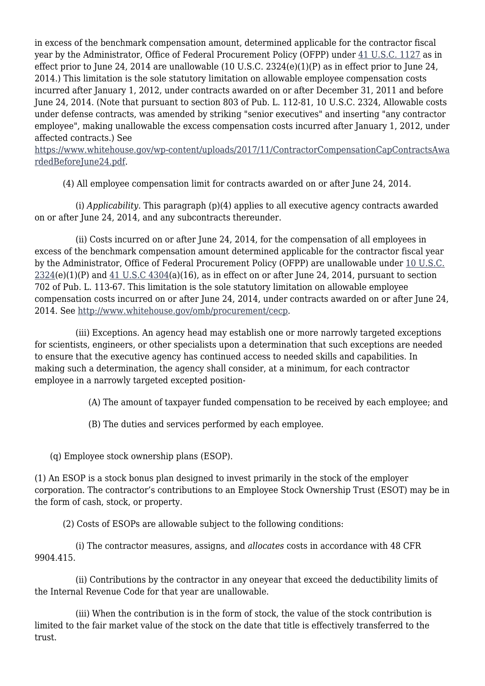in excess of the benchmark compensation amount, determined applicable for the contractor fiscal year by the Administrator, Office of Federal Procurement Policy (OFPP) under [41 U.S.C. 1127](http://uscode.house.gov/view.xhtml?req=granuleid:USC-prelim-title41-section1127&num=0&edition=prelim) as in effect prior to June 24, 2014 are unallowable (10 U.S.C. 2324(e)(1)(P) as in effect prior to June 24, 2014.) This limitation is the sole statutory limitation on allowable employee compensation costs incurred after January 1, 2012, under contracts awarded on or after December 31, 2011 and before June 24, 2014. (Note that pursuant to section 803 of Pub. L. 112-81, 10 U.S.C. 2324, Allowable costs under defense contracts, was amended by striking "senior executives" and inserting "any contractor employee", making unallowable the excess compensation costs incurred after January 1, 2012, under affected contracts.) See

[https://www.whitehouse.gov/wp-content/uploads/2017/11/ContractorCompensationCapContractsAwa](https://www.whitehouse.gov/wp-content/uploads/2017/11/ContractorCompensationCapContractsAwardedBeforeJune24.pdf) [rdedBeforeJune24.pdf.](https://www.whitehouse.gov/wp-content/uploads/2017/11/ContractorCompensationCapContractsAwardedBeforeJune24.pdf)

(4) All employee compensation limit for contracts awarded on or after June 24, 2014.

 (i) *Applicability*. This paragraph (p)(4) applies to all executive agency contracts awarded on or after June 24, 2014, and any subcontracts thereunder.

 (ii) Costs incurred on or after June 24, 2014, for the compensation of all employees in excess of the benchmark compensation amount determined applicable for the contractor fiscal year by the Administrator, Office of Federal Procurement Policy (OFPP) are unallowable under [10 U.S.C.](http://uscode.house.gov/view.xhtml?req=granuleid:USC-prelim-title10-section2324&num=0&edition=prelim)  $2324(e)(1)(P)$  $2324(e)(1)(P)$  and 41 U.S.C  $4304(a)(16)$ , as in effect on or after June 24, 2014, pursuant to section 702 of Pub. L. 113-67. This limitation is the sole statutory limitation on allowable employee compensation costs incurred on or after June 24, 2014, under contracts awarded on or after June 24, 2014. See [http://www.whitehouse.gov/omb/procurement/cecp](http://uscode.house.gov/browse.xhtml;jsessionid=114A3287C7B3359E597506A31FC855B3).

 (iii) Exceptions. An agency head may establish one or more narrowly targeted exceptions for scientists, engineers, or other specialists upon a determination that such exceptions are needed to ensure that the executive agency has continued access to needed skills and capabilities. In making such a determination, the agency shall consider, at a minimum, for each contractor employee in a narrowly targeted excepted position-

(A) The amount of taxpayer funded compensation to be received by each employee; and

(B) The duties and services performed by each employee.

(q) Employee stock ownership plans (ESOP).

(1) An ESOP is a stock bonus plan designed to invest primarily in the stock of the employer corporation. The contractor's contributions to an Employee Stock Ownership Trust (ESOT) may be in the form of cash, stock, or property.

(2) Costs of ESOPs are allowable subject to the following conditions:

 (i) The contractor measures, assigns, and *allocates* costs in accordance with 48 CFR 9904.415.

 (ii) Contributions by the contractor in any oneyear that exceed the deductibility limits of the Internal Revenue Code for that year are unallowable.

 (iii) When the contribution is in the form of stock, the value of the stock contribution is limited to the fair market value of the stock on the date that title is effectively transferred to the trust.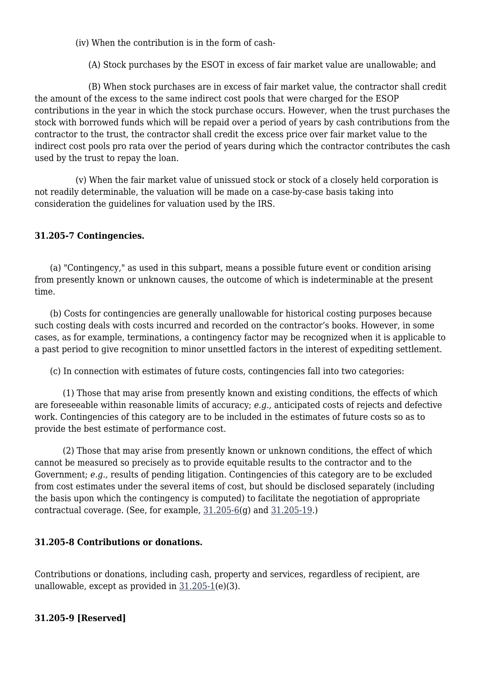(iv) When the contribution is in the form of cash-

(A) Stock purchases by the ESOT in excess of fair market value are unallowable; and

 (B) When stock purchases are in excess of fair market value, the contractor shall credit the amount of the excess to the same indirect cost pools that were charged for the ESOP contributions in the year in which the stock purchase occurs. However, when the trust purchases the stock with borrowed funds which will be repaid over a period of years by cash contributions from the contractor to the trust, the contractor shall credit the excess price over fair market value to the indirect cost pools pro rata over the period of years during which the contractor contributes the cash used by the trust to repay the loan.

 (v) When the fair market value of unissued stock or stock of a closely held corporation is not readily determinable, the valuation will be made on a case-by-case basis taking into consideration the guidelines for valuation used by the IRS.

## **31.205-7 Contingencies.**

 (a) "Contingency," as used in this subpart, means a possible future event or condition arising from presently known or unknown causes, the outcome of which is indeterminable at the present time.

 (b) Costs for contingencies are generally unallowable for historical costing purposes because such costing deals with costs incurred and recorded on the contractor's books. However, in some cases, as for example, terminations, a contingency factor may be recognized when it is applicable to a past period to give recognition to minor unsettled factors in the interest of expediting settlement.

(c) In connection with estimates of future costs, contingencies fall into two categories:

 (1) Those that may arise from presently known and existing conditions, the effects of which are foreseeable within reasonable limits of accuracy; *e.g.,* anticipated costs of rejects and defective work. Contingencies of this category are to be included in the estimates of future costs so as to provide the best estimate of performance cost.

 (2) Those that may arise from presently known or unknown conditions, the effect of which cannot be measured so precisely as to provide equitable results to the contractor and to the Government; *e.g.,* results of pending litigation. Contingencies of this category are to be excluded from cost estimates under the several items of cost, but should be disclosed separately (including the basis upon which the contingency is computed) to facilitate the negotiation of appropriate contractual coverage. (See, for example,  $31.205-6(g)$  $31.205-6(g)$  and  $31.205-19.$  $31.205-19.$ )

## **31.205-8 Contributions or donations.**

Contributions or donations, including cash, property and services, regardless of recipient, are unallowable, except as provided in [31.205-1](#page--1-0)(e)(3).

#### **31.205-9 [Reserved]**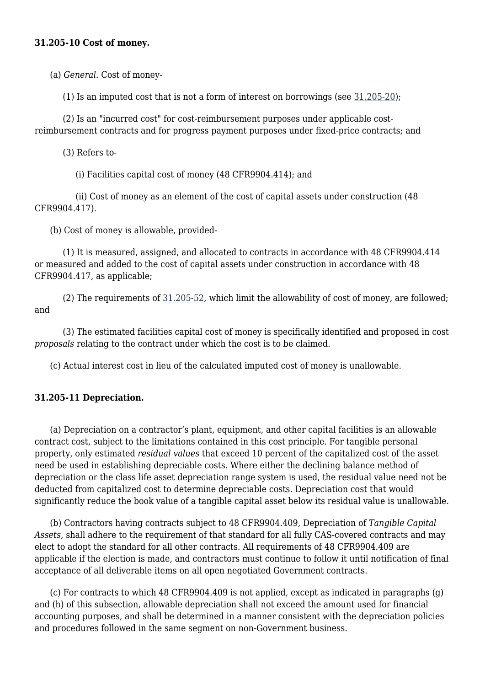#### **31.205-10 Cost of money.**

(a) *General*. Cost of money-

(1) Is an imputed cost that is not a form of interest on borrowings (see [31.205-20](#page--1-0));

 (2) Is an "incurred cost" for cost-reimbursement purposes under applicable costreimbursement contracts and for progress payment purposes under fixed-price contracts; and

(3) Refers to-

(i) Facilities capital cost of money (48 CFR9904.414); and

 (ii) Cost of money as an element of the cost of capital assets under construction (48 CFR9904.417).

(b) Cost of money is allowable, provided-

 (1) It is measured, assigned, and allocated to contracts in accordance with 48 CFR9904.414 or measured and added to the cost of capital assets under construction in accordance with 48 CFR9904.417, as applicable;

 (2) The requirements of [31.205-52](#page--1-0), which limit the allowability of cost of money, are followed; and

 (3) The estimated facilities capital cost of money is specifically identified and proposed in cost *proposals* relating to the contract under which the cost is to be claimed.

(c) Actual interest cost in lieu of the calculated imputed cost of money is unallowable.

#### **31.205-11 Depreciation.**

 (a) Depreciation on a contractor's plant, equipment, and other capital facilities is an allowable contract cost, subject to the limitations contained in this cost principle. For tangible personal property, only estimated *residual values* that exceed 10 percent of the capitalized cost of the asset need be used in establishing depreciable costs. Where either the declining balance method of depreciation or the class life asset depreciation range system is used, the residual value need not be deducted from capitalized cost to determine depreciable costs. Depreciation cost that would significantly reduce the book value of a tangible capital asset below its residual value is unallowable.

 (b) Contractors having contracts subject to 48 CFR9904.409, Depreciation of *Tangible Capital Assets*, shall adhere to the requirement of that standard for all fully CAS-covered contracts and may elect to adopt the standard for all other contracts. All requirements of 48 CFR9904.409 are applicable if the election is made, and contractors must continue to follow it until notification of final acceptance of all deliverable items on all open negotiated Government contracts.

 (c) For contracts to which 48 CFR9904.409 is not applied, except as indicated in paragraphs (g) and (h) of this subsection, allowable depreciation shall not exceed the amount used for financial accounting purposes, and shall be determined in a manner consistent with the depreciation policies and procedures followed in the same segment on non-Government business.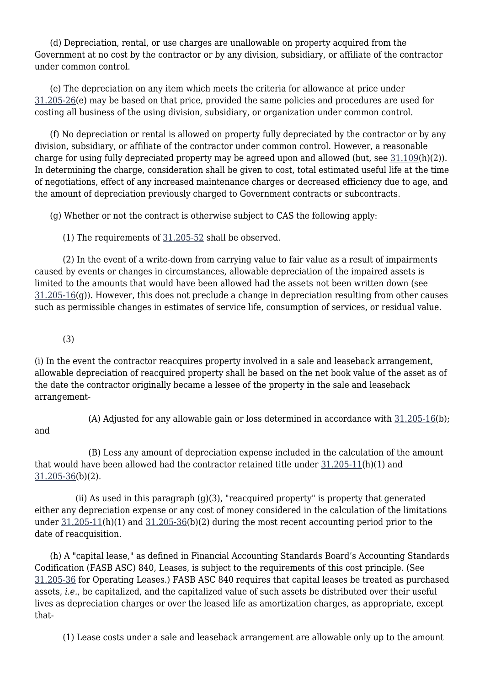(d) Depreciation, rental, or use charges are unallowable on property acquired from the Government at no cost by the contractor or by any division, subsidiary, or affiliate of the contractor under common control.

 (e) The depreciation on any item which meets the criteria for allowance at price under [31.205-26](#page--1-0)(e) may be based on that price, provided the same policies and procedures are used for costing all business of the using division, subsidiary, or organization under common control.

 (f) No depreciation or rental is allowed on property fully depreciated by the contractor or by any division, subsidiary, or affiliate of the contractor under common control. However, a reasonable charge for using fully depreciated property may be agreed upon and allowed (but, see [31.109\(](#page--1-0)h)(2)). In determining the charge, consideration shall be given to cost, total estimated useful life at the time of negotiations, effect of any increased maintenance charges or decreased efficiency due to age, and the amount of depreciation previously charged to Government contracts or subcontracts.

(g) Whether or not the contract is otherwise subject to CAS the following apply:

(1) The requirements of [31.205-52](#page--1-0) shall be observed.

 (2) In the event of a write-down from carrying value to fair value as a result of impairments caused by events or changes in circumstances, allowable depreciation of the impaired assets is limited to the amounts that would have been allowed had the assets not been written down (see [31.205-16](#page--1-0)(g)). However, this does not preclude a change in depreciation resulting from other causes such as permissible changes in estimates of service life, consumption of services, or residual value.

(3)

(i) In the event the contractor reacquires property involved in a sale and leaseback arrangement, allowable depreciation of reacquired property shall be based on the net book value of the asset as of the date the contractor originally became a lessee of the property in the sale and leaseback arrangement-

and

(A) Adjusted for any allowable gain or loss determined in accordance with  $31.205-16(b)$ ;

 (B) Less any amount of depreciation expense included in the calculation of the amount that would have been allowed had the contractor retained title under  $31.205-11(h)(1)$  and  $31.205 - 36(b)(2)$ .

(ii) As used in this paragraph  $(g)(3)$ , "reacquired property" is property that generated either any depreciation expense or any cost of money considered in the calculation of the limitations under [31.205-11\(](#page--1-0)h)(1) and [31.205-36](#page--1-0)(b)(2) during the most recent accounting period prior to the date of reacquisition.

 (h) A "capital lease," as defined in Financial Accounting Standards Board's Accounting Standards Codification (FASB ASC) 840, Leases, is subject to the requirements of this cost principle. (See [31.205-36](#page--1-0) for Operating Leases.) FASB ASC 840 requires that capital leases be treated as purchased assets, *i.e.*, be capitalized, and the capitalized value of such assets be distributed over their useful lives as depreciation charges or over the leased life as amortization charges, as appropriate, except that-

(1) Lease costs under a sale and leaseback arrangement are allowable only up to the amount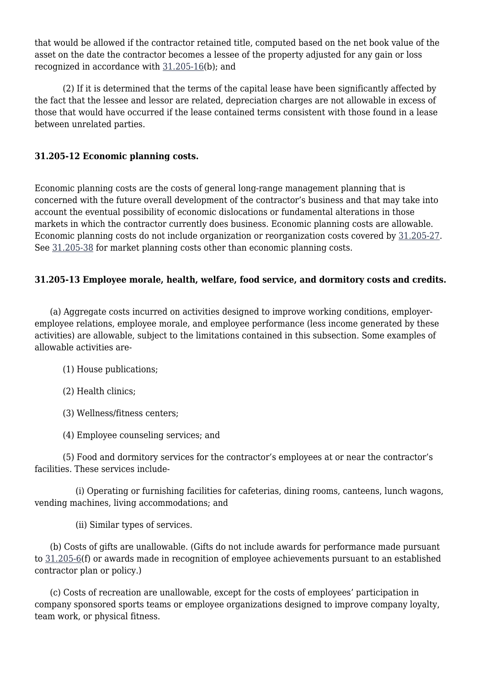that would be allowed if the contractor retained title, computed based on the net book value of the asset on the date the contractor becomes a lessee of the property adjusted for any gain or loss recognized in accordance with [31.205-16](#page--1-0)(b); and

 (2) If it is determined that the terms of the capital lease have been significantly affected by the fact that the lessee and lessor are related, depreciation charges are not allowable in excess of those that would have occurred if the lease contained terms consistent with those found in a lease between unrelated parties.

# **31.205-12 Economic planning costs.**

Economic planning costs are the costs of general long-range management planning that is concerned with the future overall development of the contractor's business and that may take into account the eventual possibility of economic dislocations or fundamental alterations in those markets in which the contractor currently does business. Economic planning costs are allowable. Economic planning costs do not include organization or reorganization costs covered by [31.205-27.](#page--1-0) See [31.205-38](#page--1-0) for market planning costs other than economic planning costs.

# **31.205-13 Employee morale, health, welfare, food service, and dormitory costs and credits.**

 (a) Aggregate costs incurred on activities designed to improve working conditions, employeremployee relations, employee morale, and employee performance (less income generated by these activities) are allowable, subject to the limitations contained in this subsection. Some examples of allowable activities are-

- (1) House publications;
- (2) Health clinics;
- (3) Wellness/fitness centers;
- (4) Employee counseling services; and

 (5) Food and dormitory services for the contractor's employees at or near the contractor's facilities. These services include-

 (i) Operating or furnishing facilities for cafeterias, dining rooms, canteens, lunch wagons, vending machines, living accommodations; and

(ii) Similar types of services.

 (b) Costs of gifts are unallowable. (Gifts do not include awards for performance made pursuant to [31.205-6\(](#page--1-0)f) or awards made in recognition of employee achievements pursuant to an established contractor plan or policy.)

 (c) Costs of recreation are unallowable, except for the costs of employees' participation in company sponsored sports teams or employee organizations designed to improve company loyalty, team work, or physical fitness.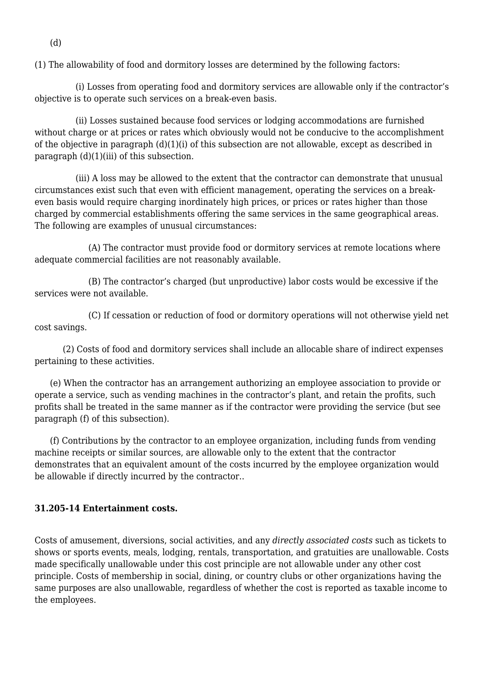(d)

(1) The allowability of food and dormitory losses are determined by the following factors:

 (i) Losses from operating food and dormitory services are allowable only if the contractor's objective is to operate such services on a break-even basis.

 (ii) Losses sustained because food services or lodging accommodations are furnished without charge or at prices or rates which obviously would not be conducive to the accomplishment of the objective in paragraph (d)(1)(i) of this subsection are not allowable, except as described in paragraph  $(d)(1)(iii)$  of this subsection.

 (iii) A loss may be allowed to the extent that the contractor can demonstrate that unusual circumstances exist such that even with efficient management, operating the services on a breakeven basis would require charging inordinately high prices, or prices or rates higher than those charged by commercial establishments offering the same services in the same geographical areas. The following are examples of unusual circumstances:

 (A) The contractor must provide food or dormitory services at remote locations where adequate commercial facilities are not reasonably available.

 (B) The contractor's charged (but unproductive) labor costs would be excessive if the services were not available.

 (C) If cessation or reduction of food or dormitory operations will not otherwise yield net cost savings.

 (2) Costs of food and dormitory services shall include an allocable share of indirect expenses pertaining to these activities.

 (e) When the contractor has an arrangement authorizing an employee association to provide or operate a service, such as vending machines in the contractor's plant, and retain the profits, such profits shall be treated in the same manner as if the contractor were providing the service (but see paragraph (f) of this subsection).

 (f) Contributions by the contractor to an employee organization, including funds from vending machine receipts or similar sources, are allowable only to the extent that the contractor demonstrates that an equivalent amount of the costs incurred by the employee organization would be allowable if directly incurred by the contractor..

#### **31.205-14 Entertainment costs.**

Costs of amusement, diversions, social activities, and any *directly associated costs* such as tickets to shows or sports events, meals, lodging, rentals, transportation, and gratuities are unallowable. Costs made specifically unallowable under this cost principle are not allowable under any other cost principle. Costs of membership in social, dining, or country clubs or other organizations having the same purposes are also unallowable, regardless of whether the cost is reported as taxable income to the employees.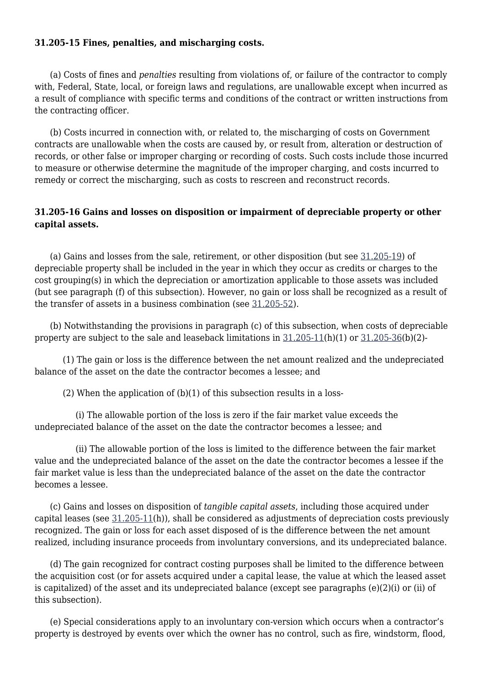#### **31.205-15 Fines, penalties, and mischarging costs.**

 (a) Costs of fines and *penalties* resulting from violations of, or failure of the contractor to comply with, Federal, State, local, or foreign laws and regulations, are unallowable except when incurred as a result of compliance with specific terms and conditions of the contract or written instructions from the contracting officer.

 (b) Costs incurred in connection with, or related to, the mischarging of costs on Government contracts are unallowable when the costs are caused by, or result from, alteration or destruction of records, or other false or improper charging or recording of costs. Such costs include those incurred to measure or otherwise determine the magnitude of the improper charging, and costs incurred to remedy or correct the mischarging, such as costs to rescreen and reconstruct records.

#### **31.205-16 Gains and losses on disposition or impairment of depreciable property or other capital assets.**

 (a) Gains and losses from the sale, retirement, or other disposition (but see [31.205-19](#page--1-0)) of depreciable property shall be included in the year in which they occur as credits or charges to the cost grouping(s) in which the depreciation or amortization applicable to those assets was included (but see paragraph (f) of this subsection). However, no gain or loss shall be recognized as a result of the transfer of assets in a business combination (see [31.205-52\)](#page--1-0).

 (b) Notwithstanding the provisions in paragraph (c) of this subsection, when costs of depreciable property are subject to the sale and leaseback limitations in [31.205-11\(](#page--1-0)h)(1) or [31.205-36\(](#page--1-0)b)(2)-

 (1) The gain or loss is the difference between the net amount realized and the undepreciated balance of the asset on the date the contractor becomes a lessee; and

(2) When the application of  $(b)(1)$  of this subsection results in a loss-

 (i) The allowable portion of the loss is zero if the fair market value exceeds the undepreciated balance of the asset on the date the contractor becomes a lessee; and

 (ii) The allowable portion of the loss is limited to the difference between the fair market value and the undepreciated balance of the asset on the date the contractor becomes a lessee if the fair market value is less than the undepreciated balance of the asset on the date the contractor becomes a lessee.

 (c) Gains and losses on disposition of *tangible capital assets*, including those acquired under capital leases (see  $31.205-11(h)$ ), shall be considered as adjustments of depreciation costs previously recognized. The gain or loss for each asset disposed of is the difference between the net amount realized, including insurance proceeds from involuntary conversions, and its undepreciated balance.

 (d) The gain recognized for contract costing purposes shall be limited to the difference between the acquisition cost (or for assets acquired under a capital lease, the value at which the leased asset is capitalized) of the asset and its undepreciated balance (except see paragraphs (e)(2)(i) or (ii) of this subsection).

 (e) Special considerations apply to an involuntary con-version which occurs when a contractor's property is destroyed by events over which the owner has no control, such as fire, windstorm, flood,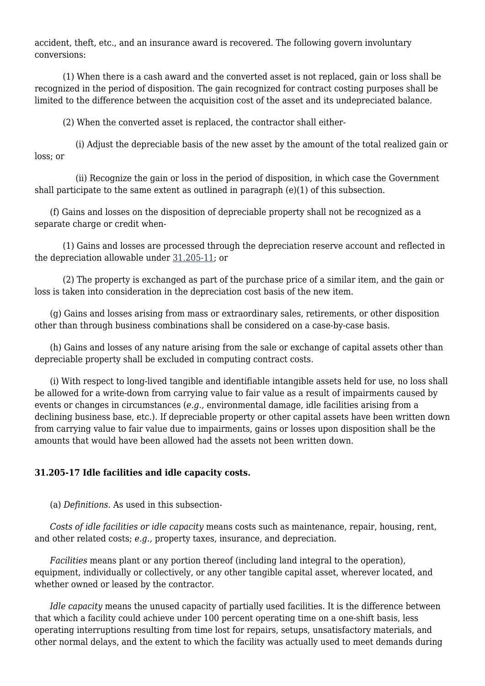accident, theft, etc., and an insurance award is recovered. The following govern involuntary conversions:

 (1) When there is a cash award and the converted asset is not replaced, gain or loss shall be recognized in the period of disposition. The gain recognized for contract costing purposes shall be limited to the difference between the acquisition cost of the asset and its undepreciated balance.

(2) When the converted asset is replaced, the contractor shall either-

 (i) Adjust the depreciable basis of the new asset by the amount of the total realized gain or loss; or

 (ii) Recognize the gain or loss in the period of disposition, in which case the Government shall participate to the same extent as outlined in paragraph (e)(1) of this subsection.

 (f) Gains and losses on the disposition of depreciable property shall not be recognized as a separate charge or credit when-

 (1) Gains and losses are processed through the depreciation reserve account and reflected in the depreciation allowable under [31.205-11;](#page--1-0) or

 (2) The property is exchanged as part of the purchase price of a similar item, and the gain or loss is taken into consideration in the depreciation cost basis of the new item.

 (g) Gains and losses arising from mass or extraordinary sales, retirements, or other disposition other than through business combinations shall be considered on a case-by-case basis.

 (h) Gains and losses of any nature arising from the sale or exchange of capital assets other than depreciable property shall be excluded in computing contract costs.

 (i) With respect to long-lived tangible and identifiable intangible assets held for use, no loss shall be allowed for a write-down from carrying value to fair value as a result of impairments caused by events or changes in circumstances (*e.g.,* environmental damage, idle facilities arising from a declining business base, etc.). If depreciable property or other capital assets have been written down from carrying value to fair value due to impairments, gains or losses upon disposition shall be the amounts that would have been allowed had the assets not been written down.

## **31.205-17 Idle facilities and idle capacity costs.**

(a) *Definitions*. As used in this subsection-

 *Costs of idle facilities or idle capacity* means costs such as maintenance, repair, housing, rent, and other related costs; *e.g.,* property taxes, insurance, and depreciation.

 *Facilities* means plant or any portion thereof (including land integral to the operation), equipment, individually or collectively, or any other tangible capital asset, wherever located, and whether owned or leased by the contractor.

 *Idle capacity* means the unused capacity of partially used facilities. It is the difference between that which a facility could achieve under 100 percent operating time on a one-shift basis, less operating interruptions resulting from time lost for repairs, setups, unsatisfactory materials, and other normal delays, and the extent to which the facility was actually used to meet demands during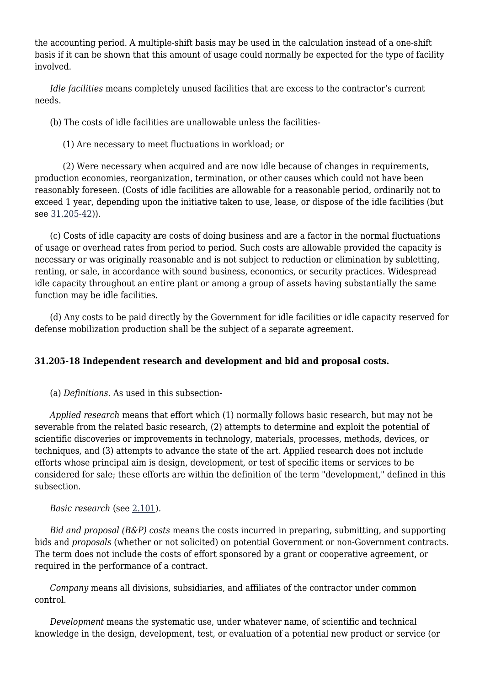the accounting period. A multiple-shift basis may be used in the calculation instead of a one-shift basis if it can be shown that this amount of usage could normally be expected for the type of facility involved.

 *Idle facilities* means completely unused facilities that are excess to the contractor's current needs.

(b) The costs of idle facilities are unallowable unless the facilities-

(1) Are necessary to meet fluctuations in workload; or

 (2) Were necessary when acquired and are now idle because of changes in requirements, production economies, reorganization, termination, or other causes which could not have been reasonably foreseen. (Costs of idle facilities are allowable for a reasonable period, ordinarily not to exceed 1 year, depending upon the initiative taken to use, lease, or dispose of the idle facilities (but see [31.205-42\)](#page--1-0)).

 (c) Costs of idle capacity are costs of doing business and are a factor in the normal fluctuations of usage or overhead rates from period to period. Such costs are allowable provided the capacity is necessary or was originally reasonable and is not subject to reduction or elimination by subletting, renting, or sale, in accordance with sound business, economics, or security practices. Widespread idle capacity throughout an entire plant or among a group of assets having substantially the same function may be idle facilities.

 (d) Any costs to be paid directly by the Government for idle facilities or idle capacity reserved for defense mobilization production shall be the subject of a separate agreement.

## **31.205-18 Independent research and development and bid and proposal costs.**

(a) *Definitions.* As used in this subsection-

 *Applied research* means that effort which (1) normally follows basic research, but may not be severable from the related basic research, (2) attempts to determine and exploit the potential of scientific discoveries or improvements in technology, materials, processes, methods, devices, or techniques, and (3) attempts to advance the state of the art. Applied research does not include efforts whose principal aim is design, development, or test of specific items or services to be considered for sale; these efforts are within the definition of the term "development," defined in this subsection.

*Basic research* (see [2.101\)](https://www.acquisition.gov/far/part-2#FAR_2_101).

 *Bid and proposal (B&P) costs* means the costs incurred in preparing, submitting, and supporting bids and *proposals* (whether or not solicited) on potential Government or non-Government contracts. The term does not include the costs of effort sponsored by a grant or cooperative agreement, or required in the performance of a contract.

 *Company* means all divisions, subsidiaries, and affiliates of the contractor under common control.

 *Development* means the systematic use, under whatever name, of scientific and technical knowledge in the design, development, test, or evaluation of a potential new product or service (or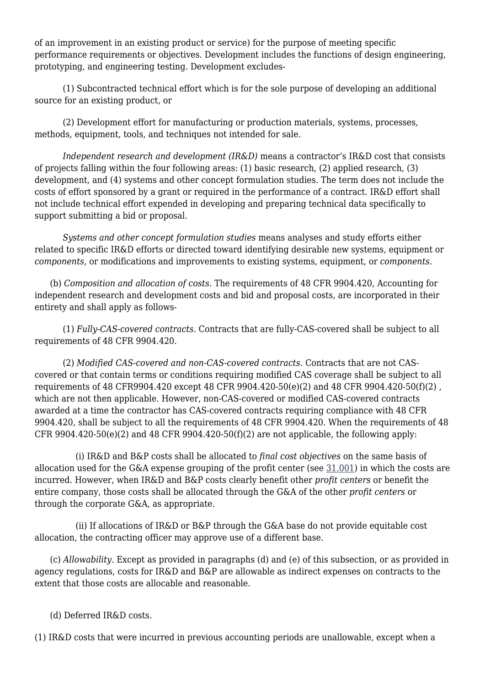of an improvement in an existing product or service) for the purpose of meeting specific performance requirements or objectives. Development includes the functions of design engineering, prototyping, and engineering testing. Development excludes-

 (1) Subcontracted technical effort which is for the sole purpose of developing an additional source for an existing product, or

 (2) Development effort for manufacturing or production materials, systems, processes, methods, equipment, tools, and techniques not intended for sale.

 *Independent research and development (IR&D)* means a contractor's IR&D cost that consists of projects falling within the four following areas: (1) basic research, (2) applied research, (3) development, and (4) systems and other concept formulation studies. The term does not include the costs of effort sponsored by a grant or required in the performance of a contract. IR&D effort shall not include technical effort expended in developing and preparing technical data specifically to support submitting a bid or proposal.

 *Systems and other concept formulation studies* means analyses and study efforts either related to specific IR&D efforts or directed toward identifying desirable new systems, equipment or *components*, or modifications and improvements to existing systems, equipment, or *components*.

 (b) *Composition and allocation of costs.* The requirements of 48 CFR 9904.420, Accounting for independent research and development costs and bid and proposal costs, are incorporated in their entirety and shall apply as follows-

 (1) *Fully-CAS-covered contracts.* Contracts that are fully-CAS-covered shall be subject to all requirements of 48 CFR 9904.420.

 (2) *Modified CAS-covered and non-CAS-covered contracts.* Contracts that are not CAScovered or that contain terms or conditions requiring modified CAS coverage shall be subject to all requirements of 48 CFR9904.420 except 48 CFR 9904.420-50(e)(2) and 48 CFR 9904.420-50(f)(2) , which are not then applicable. However, non-CAS-covered or modified CAS-covered contracts awarded at a time the contractor has CAS-covered contracts requiring compliance with 48 CFR 9904.420, shall be subject to all the requirements of 48 CFR 9904.420. When the requirements of 48 CFR 9904.420-50(e)(2) and 48 CFR 9904.420-50(f)(2) are not applicable, the following apply:

 (i) IR&D and B&P costs shall be allocated to *final cost objectives* on the same basis of allocation used for the G&A expense grouping of the profit center (see [31.001](#page--1-0)) in which the costs are incurred. However, when IR&D and B&P costs clearly benefit other *profit centers* or benefit the entire company, those costs shall be allocated through the G&A of the other *profit centers* or through the corporate G&A, as appropriate.

 (ii) If allocations of IR&D or B&P through the G&A base do not provide equitable cost allocation, the contracting officer may approve use of a different base.

 (c) *Allowability.* Except as provided in paragraphs (d) and (e) of this subsection, or as provided in agency regulations, costs for IR&D and B&P are allowable as indirect expenses on contracts to the extent that those costs are allocable and reasonable.

(d) Deferred IR&D costs.

(1) IR&D costs that were incurred in previous accounting periods are unallowable, except when a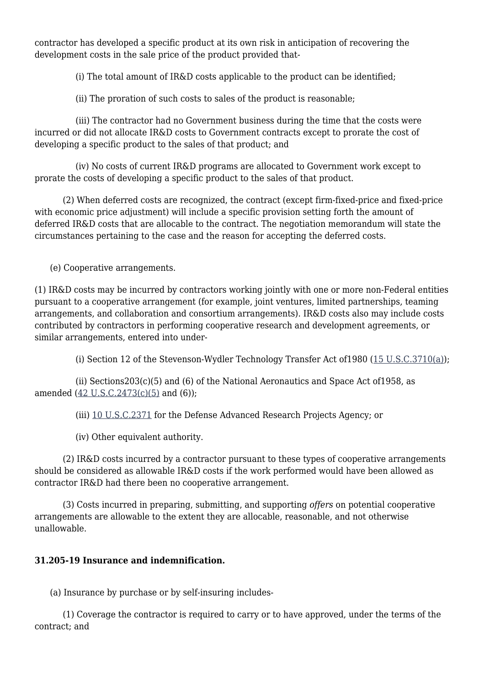contractor has developed a specific product at its own risk in anticipation of recovering the development costs in the sale price of the product provided that-

(i) The total amount of IR&D costs applicable to the product can be identified;

(ii) The proration of such costs to sales of the product is reasonable;

 (iii) The contractor had no Government business during the time that the costs were incurred or did not allocate IR&D costs to Government contracts except to prorate the cost of developing a specific product to the sales of that product; and

 (iv) No costs of current IR&D programs are allocated to Government work except to prorate the costs of developing a specific product to the sales of that product.

 (2) When deferred costs are recognized, the contract (except firm-fixed-price and fixed-price with economic price adjustment) will include a specific provision setting forth the amount of deferred IR&D costs that are allocable to the contract. The negotiation memorandum will state the circumstances pertaining to the case and the reason for accepting the deferred costs.

(e) Cooperative arrangements.

(1) IR&D costs may be incurred by contractors working jointly with one or more non-Federal entities pursuant to a cooperative arrangement (for example, joint ventures, limited partnerships, teaming arrangements, and collaboration and consortium arrangements). IR&D costs also may include costs contributed by contractors in performing cooperative research and development agreements, or similar arrangements, entered into under-

(i) Section 12 of the Stevenson-Wydler Technology Transfer Act of 1980  $(15 \text{ U.S.C.}3710(a))$ ;

(ii) Sections  $203(c)(5)$  and (6) of the National Aeronautics and Space Act of 1958, as amended ([42 U.S.C.2473\(c\)\(5\)](http://uscode.house.gov/browse.xhtml;jsessionid=114A3287C7B3359E597506A31FC855B3) and (6));

(iii) [10 U.S.C.2371](http://uscode.house.gov/browse.xhtml;jsessionid=114A3287C7B3359E597506A31FC855B3) for the Defense Advanced Research Projects Agency; or

(iv) Other equivalent authority.

 (2) IR&D costs incurred by a contractor pursuant to these types of cooperative arrangements should be considered as allowable IR&D costs if the work performed would have been allowed as contractor IR&D had there been no cooperative arrangement.

 (3) Costs incurred in preparing, submitting, and supporting *offers* on potential cooperative arrangements are allowable to the extent they are allocable, reasonable, and not otherwise unallowable.

# **31.205-19 Insurance and indemnification.**

(a) Insurance by purchase or by self-insuring includes-

 (1) Coverage the contractor is required to carry or to have approved, under the terms of the contract; and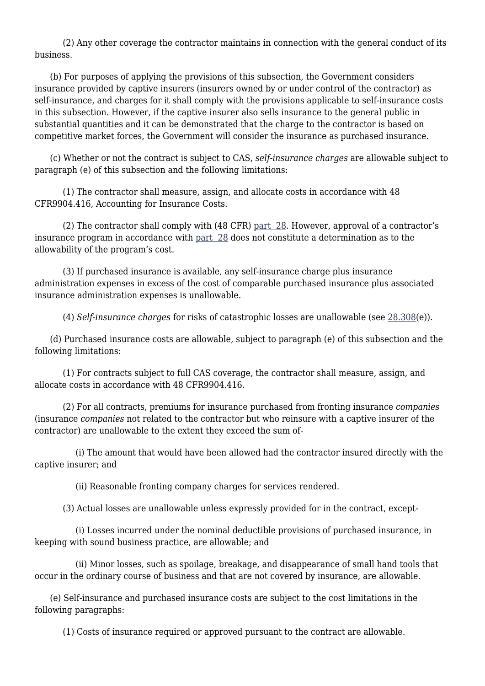(2) Any other coverage the contractor maintains in connection with the general conduct of its business.

 (b) For purposes of applying the provisions of this subsection, the Government considers insurance provided by captive insurers (insurers owned by or under control of the contractor) as self-insurance, and charges for it shall comply with the provisions applicable to self-insurance costs in this subsection. However, if the captive insurer also sells insurance to the general public in substantial quantities and it can be demonstrated that the charge to the contractor is based on competitive market forces, the Government will consider the insurance as purchased insurance.

 (c) Whether or not the contract is subject to CAS, *self-insurance charges* are allowable subject to paragraph (e) of this subsection and the following limitations:

 (1) The contractor shall measure, assign, and allocate costs in accordance with 48 CFR9904.416, Accounting for Insurance Costs.

 (2) The contractor shall comply with (48 CFR) [part 28](https://www.acquisition.gov/far/part-28#FAR_Part_28). However, approval of a contractor's insurance program in accordance with [part 28](https://www.acquisition.gov/far/part-28#FAR_Part_28) does not constitute a determination as to the allowability of the program's cost.

 (3) If purchased insurance is available, any self-insurance charge plus insurance administration expenses in excess of the cost of comparable purchased insurance plus associated insurance administration expenses is unallowable.

(4) *Self-insurance charges* for risks of catastrophic losses are unallowable (see [28.308\(](https://www.acquisition.gov/far/part-28#FAR_28_308)e)).

 (d) Purchased insurance costs are allowable, subject to paragraph (e) of this subsection and the following limitations:

 (1) For contracts subject to full CAS coverage, the contractor shall measure, assign, and allocate costs in accordance with 48 CFR9904.416.

 (2) For all contracts, premiums for insurance purchased from fronting insurance *companies* (insurance *companies* not related to the contractor but who reinsure with a captive insurer of the contractor) are unallowable to the extent they exceed the sum of-

 (i) The amount that would have been allowed had the contractor insured directly with the captive insurer; and

(ii) Reasonable fronting company charges for services rendered.

(3) Actual losses are unallowable unless expressly provided for in the contract, except-

 (i) Losses incurred under the nominal deductible provisions of purchased insurance, in keeping with sound business practice, are allowable; and

 (ii) Minor losses, such as spoilage, breakage, and disappearance of small hand tools that occur in the ordinary course of business and that are not covered by insurance, are allowable.

 (e) Self-insurance and purchased insurance costs are subject to the cost limitations in the following paragraphs:

(1) Costs of insurance required or approved pursuant to the contract are allowable.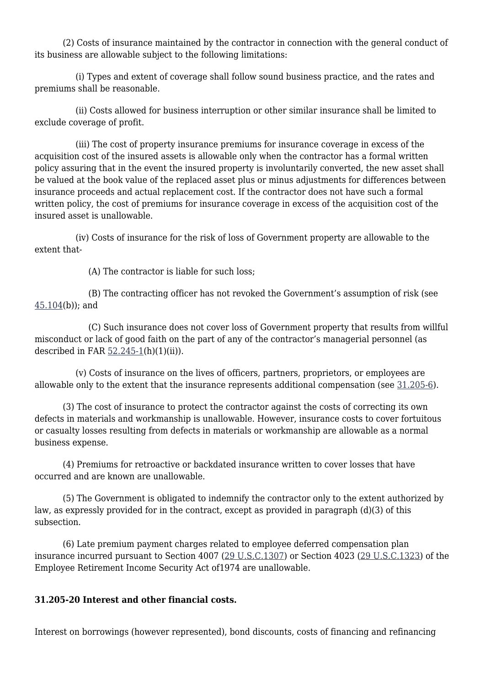(2) Costs of insurance maintained by the contractor in connection with the general conduct of its business are allowable subject to the following limitations:

 (i) Types and extent of coverage shall follow sound business practice, and the rates and premiums shall be reasonable.

 (ii) Costs allowed for business interruption or other similar insurance shall be limited to exclude coverage of profit.

 (iii) The cost of property insurance premiums for insurance coverage in excess of the acquisition cost of the insured assets is allowable only when the contractor has a formal written policy assuring that in the event the insured property is involuntarily converted, the new asset shall be valued at the book value of the replaced asset plus or minus adjustments for differences between insurance proceeds and actual replacement cost. If the contractor does not have such a formal written policy, the cost of premiums for insurance coverage in excess of the acquisition cost of the insured asset is unallowable.

 (iv) Costs of insurance for the risk of loss of Government property are allowable to the extent that-

(A) The contractor is liable for such loss;

 (B) The contracting officer has not revoked the Government's assumption of risk (see [45.104](https://www.acquisition.gov/far/part-45#FAR_45_104)(b)); and

 (C) Such insurance does not cover loss of Government property that results from willful misconduct or lack of good faith on the part of any of the contractor's managerial personnel (as described in FAR  $52.245-1(h)(1)(ii)$ .

 (v) Costs of insurance on the lives of officers, partners, proprietors, or employees are allowable only to the extent that the insurance represents additional compensation (see [31.205-6\)](#page--1-0).

 (3) The cost of insurance to protect the contractor against the costs of correcting its own defects in materials and workmanship is unallowable. However, insurance costs to cover fortuitous or casualty losses resulting from defects in materials or workmanship are allowable as a normal business expense.

 (4) Premiums for retroactive or backdated insurance written to cover losses that have occurred and are known are unallowable.

 (5) The Government is obligated to indemnify the contractor only to the extent authorized by law, as expressly provided for in the contract, except as provided in paragraph (d)(3) of this subsection.

 (6) Late premium payment charges related to employee deferred compensation plan insurance incurred pursuant to Section 4007 ([29 U.S.C.1307\)](http://uscode.house.gov/browse.xhtml;jsessionid=114A3287C7B3359E597506A31FC855B3) or Section 4023 ([29 U.S.C.1323\)](http://uscode.house.gov/browse.xhtml;jsessionid=114A3287C7B3359E597506A31FC855B3) of the Employee Retirement Income Security Act of1974 are unallowable.

## **31.205-20 Interest and other financial costs.**

Interest on borrowings (however represented), bond discounts, costs of financing and refinancing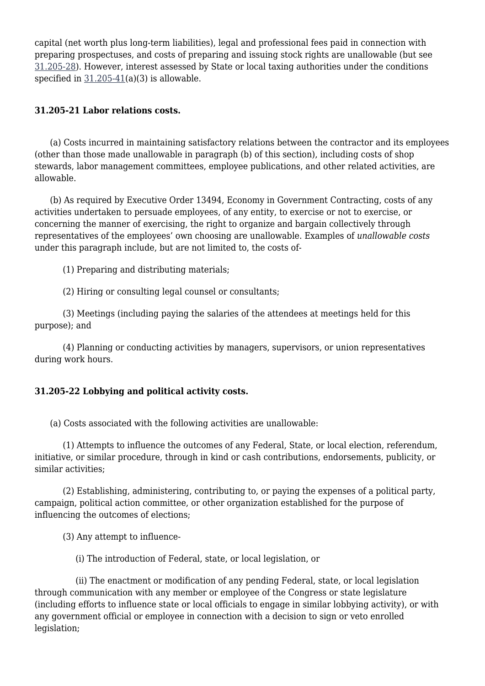capital (net worth plus long-term liabilities), legal and professional fees paid in connection with preparing prospectuses, and costs of preparing and issuing stock rights are unallowable (but see [31.205-28](#page--1-0)). However, interest assessed by State or local taxing authorities under the conditions specified in [31.205-41\(](#page--1-0)a)(3) is allowable.

## **31.205-21 Labor relations costs.**

 (a) Costs incurred in maintaining satisfactory relations between the contractor and its employees (other than those made unallowable in paragraph (b) of this section), including costs of shop stewards, labor management committees, employee publications, and other related activities, are allowable.

 (b) As required by Executive Order 13494, Economy in Government Contracting, costs of any activities undertaken to persuade employees, of any entity, to exercise or not to exercise, or concerning the manner of exercising, the right to organize and bargain collectively through representatives of the employees' own choosing are unallowable. Examples of *unallowable costs* under this paragraph include, but are not limited to, the costs of-

(1) Preparing and distributing materials;

(2) Hiring or consulting legal counsel or consultants;

 (3) Meetings (including paying the salaries of the attendees at meetings held for this purpose); and

 (4) Planning or conducting activities by managers, supervisors, or union representatives during work hours.

## **31.205-22 Lobbying and political activity costs.**

(a) Costs associated with the following activities are unallowable:

 (1) Attempts to influence the outcomes of any Federal, State, or local election, referendum, initiative, or similar procedure, through in kind or cash contributions, endorsements, publicity, or similar activities;

 (2) Establishing, administering, contributing to, or paying the expenses of a political party, campaign, political action committee, or other organization established for the purpose of influencing the outcomes of elections;

(3) Any attempt to influence-

(i) The introduction of Federal, state, or local legislation, or

 (ii) The enactment or modification of any pending Federal, state, or local legislation through communication with any member or employee of the Congress or state legislature (including efforts to influence state or local officials to engage in similar lobbying activity), or with any government official or employee in connection with a decision to sign or veto enrolled legislation;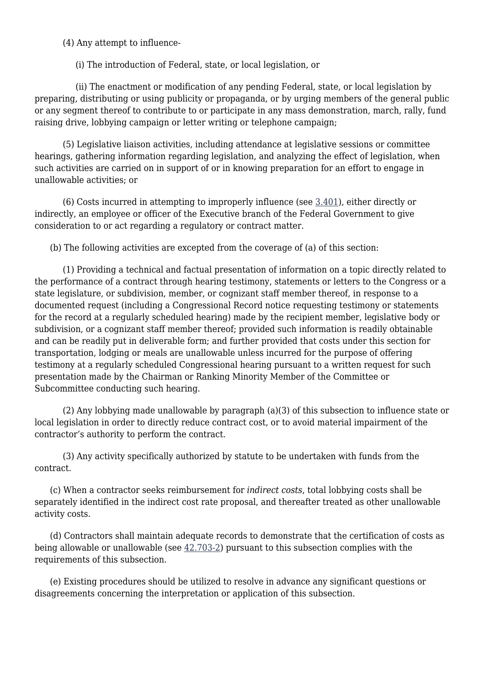(4) Any attempt to influence-

(i) The introduction of Federal, state, or local legislation, or

 (ii) The enactment or modification of any pending Federal, state, or local legislation by preparing, distributing or using publicity or propaganda, or by urging members of the general public or any segment thereof to contribute to or participate in any mass demonstration, march, rally, fund raising drive, lobbying campaign or letter writing or telephone campaign;

 (5) Legislative liaison activities, including attendance at legislative sessions or committee hearings, gathering information regarding legislation, and analyzing the effect of legislation, when such activities are carried on in support of or in knowing preparation for an effort to engage in unallowable activities; or

 (6) Costs incurred in attempting to improperly influence (see [3.401\)](https://www.acquisition.gov/far/part-3#FAR_3_401), either directly or indirectly, an employee or officer of the Executive branch of the Federal Government to give consideration to or act regarding a regulatory or contract matter.

(b) The following activities are excepted from the coverage of (a) of this section:

 (1) Providing a technical and factual presentation of information on a topic directly related to the performance of a contract through hearing testimony, statements or letters to the Congress or a state legislature, or subdivision, member, or cognizant staff member thereof, in response to a documented request (including a Congressional Record notice requesting testimony or statements for the record at a regularly scheduled hearing) made by the recipient member, legislative body or subdivision, or a cognizant staff member thereof; provided such information is readily obtainable and can be readily put in deliverable form; and further provided that costs under this section for transportation, lodging or meals are unallowable unless incurred for the purpose of offering testimony at a regularly scheduled Congressional hearing pursuant to a written request for such presentation made by the Chairman or Ranking Minority Member of the Committee or Subcommittee conducting such hearing.

 (2) Any lobbying made unallowable by paragraph (a)(3) of this subsection to influence state or local legislation in order to directly reduce contract cost, or to avoid material impairment of the contractor's authority to perform the contract.

 (3) Any activity specifically authorized by statute to be undertaken with funds from the contract.

 (c) When a contractor seeks reimbursement for *indirect costs*, total lobbying costs shall be separately identified in the indirect cost rate proposal, and thereafter treated as other unallowable activity costs.

 (d) Contractors shall maintain adequate records to demonstrate that the certification of costs as being allowable or unallowable (see  $42.703-2$ ) pursuant to this subsection complies with the requirements of this subsection.

 (e) Existing procedures should be utilized to resolve in advance any significant questions or disagreements concerning the interpretation or application of this subsection.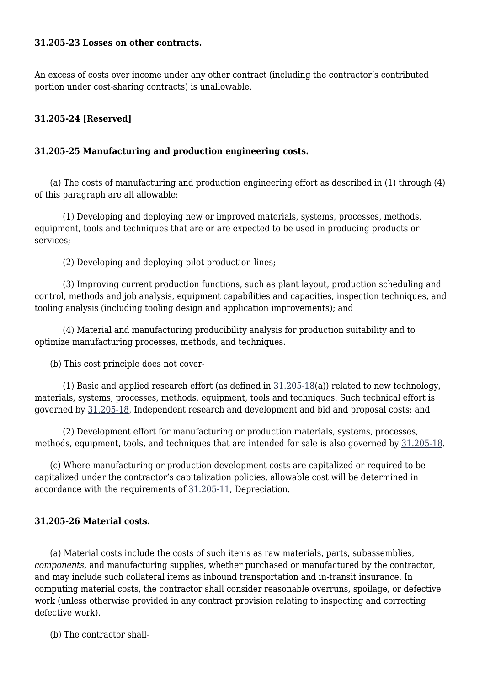#### **31.205-23 Losses on other contracts.**

An excess of costs over income under any other contract (including the contractor's contributed portion under cost-sharing contracts) is unallowable.

## **31.205-24 [Reserved]**

#### **31.205-25 Manufacturing and production engineering costs.**

 (a) The costs of manufacturing and production engineering effort as described in (1) through (4) of this paragraph are all allowable:

 (1) Developing and deploying new or improved materials, systems, processes, methods, equipment, tools and techniques that are or are expected to be used in producing products or services;

(2) Developing and deploying pilot production lines;

 (3) Improving current production functions, such as plant layout, production scheduling and control, methods and job analysis, equipment capabilities and capacities, inspection techniques, and tooling analysis (including tooling design and application improvements); and

 (4) Material and manufacturing producibility analysis for production suitability and to optimize manufacturing processes, methods, and techniques.

(b) This cost principle does not cover-

(1) Basic and applied research effort (as defined in  $31.205-18(a)$  $31.205-18(a)$ ) related to new technology, materials, systems, processes, methods, equipment, tools and techniques. Such technical effort is governed by [31.205-18](#page--1-0), Independent research and development and bid and proposal costs; and

 (2) Development effort for manufacturing or production materials, systems, processes, methods, equipment, tools, and techniques that are intended for sale is also governed by [31.205-18](#page--1-0).

 (c) Where manufacturing or production development costs are capitalized or required to be capitalized under the contractor's capitalization policies, allowable cost will be determined in accordance with the requirements of [31.205-11,](#page--1-0) Depreciation.

#### **31.205-26 Material costs.**

 (a) Material costs include the costs of such items as raw materials, parts, subassemblies, *components*, and manufacturing supplies, whether purchased or manufactured by the contractor, and may include such collateral items as inbound transportation and in-transit insurance. In computing material costs, the contractor shall consider reasonable overruns, spoilage, or defective work (unless otherwise provided in any contract provision relating to inspecting and correcting defective work).

(b) The contractor shall-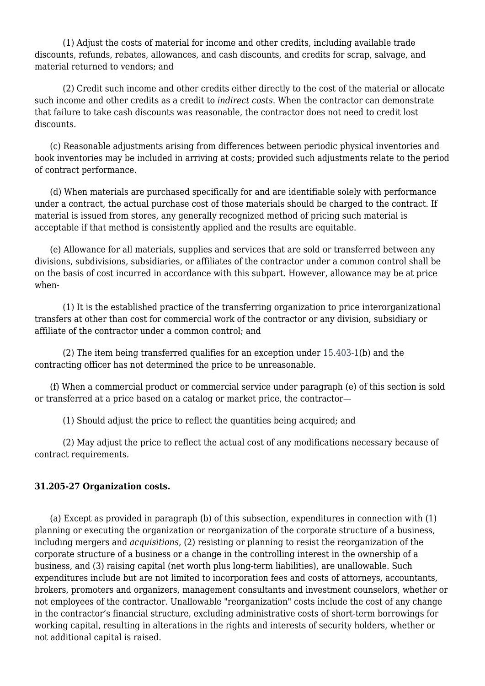(1) Adjust the costs of material for income and other credits, including available trade discounts, refunds, rebates, allowances, and cash discounts, and credits for scrap, salvage, and material returned to vendors; and

 (2) Credit such income and other credits either directly to the cost of the material or allocate such income and other credits as a credit to *indirect costs*. When the contractor can demonstrate that failure to take cash discounts was reasonable, the contractor does not need to credit lost discounts.

 (c) Reasonable adjustments arising from differences between periodic physical inventories and book inventories may be included in arriving at costs; provided such adjustments relate to the period of contract performance.

 (d) When materials are purchased specifically for and are identifiable solely with performance under a contract, the actual purchase cost of those materials should be charged to the contract. If material is issued from stores, any generally recognized method of pricing such material is acceptable if that method is consistently applied and the results are equitable.

 (e) Allowance for all materials, supplies and services that are sold or transferred between any divisions, subdivisions, subsidiaries, or affiliates of the contractor under a common control shall be on the basis of cost incurred in accordance with this subpart. However, allowance may be at price when-

 (1) It is the established practice of the transferring organization to price interorganizational transfers at other than cost for commercial work of the contractor or any division, subsidiary or affiliate of the contractor under a common control; and

 (2) The item being transferred qualifies for an exception under [15.403-1\(](https://www.acquisition.gov/far/part-15#FAR_15_403_1)b) and the contracting officer has not determined the price to be unreasonable.

 (f) When a commercial product or commercial service under paragraph (e) of this section is sold or transferred at a price based on a catalog or market price, the contractor—

(1) Should adjust the price to reflect the quantities being acquired; and

 (2) May adjust the price to reflect the actual cost of any modifications necessary because of contract requirements.

#### **31.205-27 Organization costs.**

 (a) Except as provided in paragraph (b) of this subsection, expenditures in connection with (1) planning or executing the organization or reorganization of the corporate structure of a business, including mergers and *acquisitions*, (2) resisting or planning to resist the reorganization of the corporate structure of a business or a change in the controlling interest in the ownership of a business, and (3) raising capital (net worth plus long-term liabilities), are unallowable. Such expenditures include but are not limited to incorporation fees and costs of attorneys, accountants, brokers, promoters and organizers, management consultants and investment counselors, whether or not employees of the contractor. Unallowable "reorganization" costs include the cost of any change in the contractor's financial structure, excluding administrative costs of short-term borrowings for working capital, resulting in alterations in the rights and interests of security holders, whether or not additional capital is raised.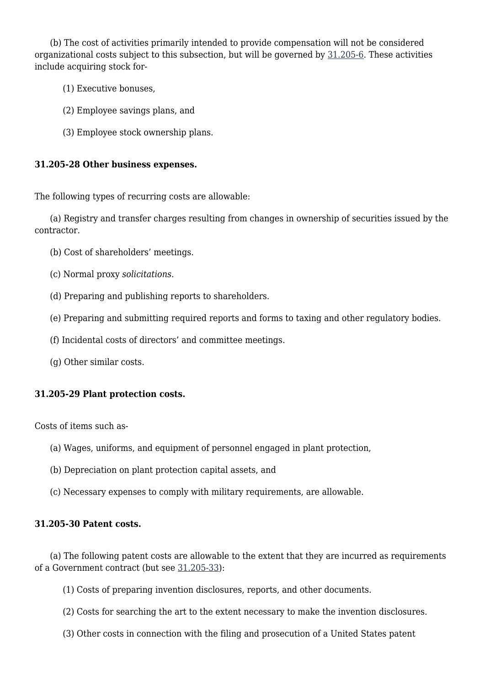(b) The cost of activities primarily intended to provide compensation will not be considered organizational costs subject to this subsection, but will be governed by [31.205-6.](#page--1-0) These activities include acquiring stock for-

- (1) Executive bonuses,
- (2) Employee savings plans, and
- (3) Employee stock ownership plans.

#### **31.205-28 Other business expenses.**

The following types of recurring costs are allowable:

 (a) Registry and transfer charges resulting from changes in ownership of securities issued by the contractor.

- (b) Cost of shareholders' meetings.
- (c) Normal proxy *solicitations*.
- (d) Preparing and publishing reports to shareholders.
- (e) Preparing and submitting required reports and forms to taxing and other regulatory bodies.
- (f) Incidental costs of directors' and committee meetings.
- (g) Other similar costs.

## **31.205-29 Plant protection costs.**

Costs of items such as-

- (a) Wages, uniforms, and equipment of personnel engaged in plant protection,
- (b) Depreciation on plant protection capital assets, and
- (c) Necessary expenses to comply with military requirements, are allowable.

#### **31.205-30 Patent costs.**

 (a) The following patent costs are allowable to the extent that they are incurred as requirements of a Government contract (but see [31.205-33\)](#page--1-0):

- (1) Costs of preparing invention disclosures, reports, and other documents.
- (2) Costs for searching the art to the extent necessary to make the invention disclosures.
- (3) Other costs in connection with the filing and prosecution of a United States patent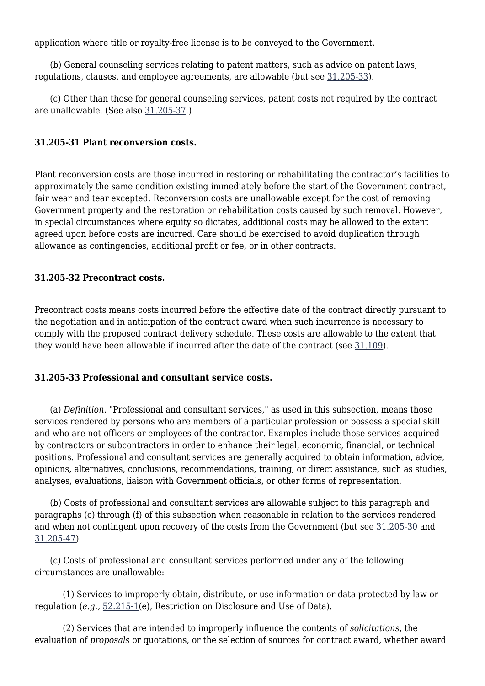application where title or royalty-free license is to be conveyed to the Government.

 (b) General counseling services relating to patent matters, such as advice on patent laws, regulations, clauses, and employee agreements, are allowable (but see [31.205-33](#page--1-0)).

 (c) Other than those for general counseling services, patent costs not required by the contract are unallowable. (See also [31.205-37](#page--1-0).)

#### **31.205-31 Plant reconversion costs.**

Plant reconversion costs are those incurred in restoring or rehabilitating the contractor's facilities to approximately the same condition existing immediately before the start of the Government contract, fair wear and tear excepted. Reconversion costs are unallowable except for the cost of removing Government property and the restoration or rehabilitation costs caused by such removal. However, in special circumstances where equity so dictates, additional costs may be allowed to the extent agreed upon before costs are incurred. Care should be exercised to avoid duplication through allowance as contingencies, additional profit or fee, or in other contracts.

#### **31.205-32 Precontract costs.**

Precontract costs means costs incurred before the effective date of the contract directly pursuant to the negotiation and in anticipation of the contract award when such incurrence is necessary to comply with the proposed contract delivery schedule. These costs are allowable to the extent that they would have been allowable if incurred after the date of the contract (see [31.109](#page--1-0)).

#### **31.205-33 Professional and consultant service costs.**

 (a) *Definition. "*Professional and consultant services," as used in this subsection, means those services rendered by persons who are members of a particular profession or possess a special skill and who are not officers or employees of the contractor. Examples include those services acquired by contractors or subcontractors in order to enhance their legal, economic, financial, or technical positions. Professional and consultant services are generally acquired to obtain information, advice, opinions, alternatives, conclusions, recommendations, training, or direct assistance, such as studies, analyses, evaluations, liaison with Government officials, or other forms of representation.

 (b) Costs of professional and consultant services are allowable subject to this paragraph and paragraphs (c) through (f) of this subsection when reasonable in relation to the services rendered and when not contingent upon recovery of the costs from the Government (but see [31.205-30](#page--1-0) and [31.205-47](#page--1-0)).

 (c) Costs of professional and consultant services performed under any of the following circumstances are unallowable:

 (1) Services to improperly obtain, distribute, or use information or data protected by law or regulation (*e.g.,* [52.215-1](https://www.acquisition.gov/far/part-52#FAR_52_215_1)(e), Restriction on Disclosure and Use of Data).

 (2) Services that are intended to improperly influence the contents of *solicitations*, the evaluation of *proposals* or quotations, or the selection of sources for contract award, whether award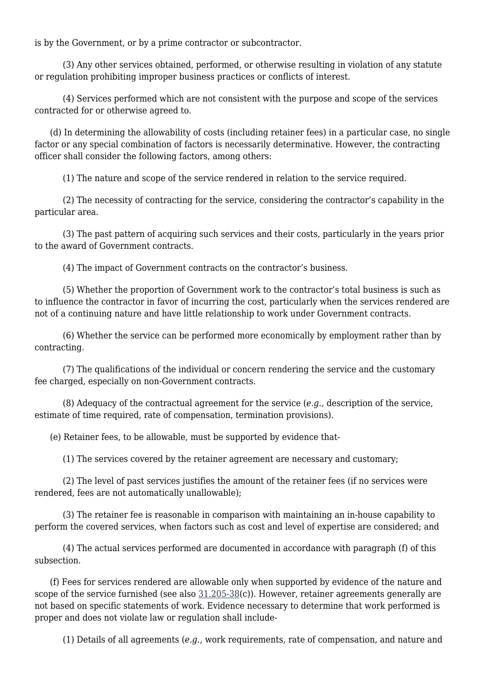is by the Government, or by a prime contractor or subcontractor.

 (3) Any other services obtained, performed, or otherwise resulting in violation of any statute or regulation prohibiting improper business practices or conflicts of interest.

 (4) Services performed which are not consistent with the purpose and scope of the services contracted for or otherwise agreed to.

 (d) In determining the allowability of costs (including retainer fees) in a particular case, no single factor or any special combination of factors is necessarily determinative. However, the contracting officer shall consider the following factors, among others:

(1) The nature and scope of the service rendered in relation to the service required.

 (2) The necessity of contracting for the service, considering the contractor's capability in the particular area.

 (3) The past pattern of acquiring such services and their costs, particularly in the years prior to the award of Government contracts.

(4) The impact of Government contracts on the contractor's business.

 (5) Whether the proportion of Government work to the contractor's total business is such as to influence the contractor in favor of incurring the cost, particularly when the services rendered are not of a continuing nature and have little relationship to work under Government contracts.

 (6) Whether the service can be performed more economically by employment rather than by contracting.

 (7) The qualifications of the individual or concern rendering the service and the customary fee charged, especially on non-Government contracts.

 (8) Adequacy of the contractual agreement for the service (*e.g.,* description of the service, estimate of time required, rate of compensation, termination provisions).

(e) Retainer fees, to be allowable, must be supported by evidence that-

(1) The services covered by the retainer agreement are necessary and customary;

 (2) The level of past services justifies the amount of the retainer fees (if no services were rendered, fees are not automatically unallowable);

 (3) The retainer fee is reasonable in comparison with maintaining an in-house capability to perform the covered services, when factors such as cost and level of expertise are considered; and

 (4) The actual services performed are documented in accordance with paragraph (f) of this subsection.

 (f) Fees for services rendered are allowable only when supported by evidence of the nature and scope of the service furnished (see also  $31.205-38(c)$  $31.205-38(c)$ ). However, retainer agreements generally are not based on specific statements of work. Evidence necessary to determine that work performed is proper and does not violate law or regulation shall include-

(1) Details of all agreements (*e.g.,* work requirements, rate of compensation, and nature and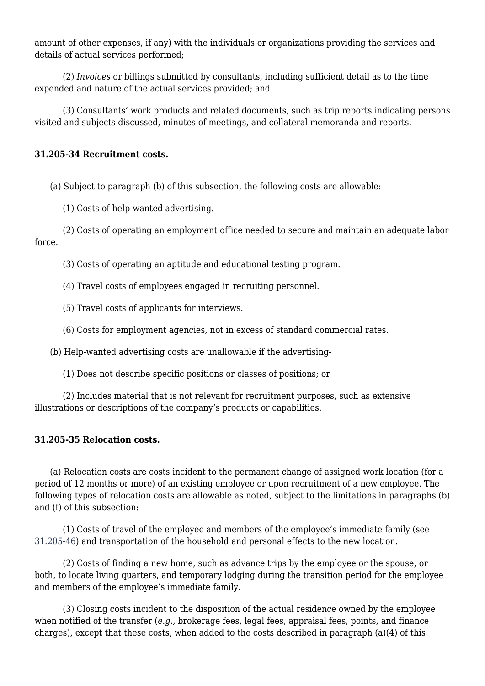amount of other expenses, if any) with the individuals or organizations providing the services and details of actual services performed;

 (2) *Invoices* or billings submitted by consultants, including sufficient detail as to the time expended and nature of the actual services provided; and

 (3) Consultants' work products and related documents, such as trip reports indicating persons visited and subjects discussed, minutes of meetings, and collateral memoranda and reports.

## **31.205-34 Recruitment costs.**

(a) Subject to paragraph (b) of this subsection, the following costs are allowable:

(1) Costs of help-wanted advertising.

 (2) Costs of operating an employment office needed to secure and maintain an adequate labor force.

(3) Costs of operating an aptitude and educational testing program.

(4) Travel costs of employees engaged in recruiting personnel.

(5) Travel costs of applicants for interviews.

(6) Costs for employment agencies, not in excess of standard commercial rates.

(b) Help-wanted advertising costs are unallowable if the advertising-

(1) Does not describe specific positions or classes of positions; or

 (2) Includes material that is not relevant for recruitment purposes, such as extensive illustrations or descriptions of the company's products or capabilities.

#### **31.205-35 Relocation costs.**

 (a) Relocation costs are costs incident to the permanent change of assigned work location (for a period of 12 months or more) of an existing employee or upon recruitment of a new employee. The following types of relocation costs are allowable as noted, subject to the limitations in paragraphs (b) and (f) of this subsection:

 (1) Costs of travel of the employee and members of the employee's immediate family (see [31.205-46](#page--1-0)) and transportation of the household and personal effects to the new location.

 (2) Costs of finding a new home, such as advance trips by the employee or the spouse, or both, to locate living quarters, and temporary lodging during the transition period for the employee and members of the employee's immediate family.

 (3) Closing costs incident to the disposition of the actual residence owned by the employee when notified of the transfer (*e.g.,* brokerage fees, legal fees, appraisal fees, points, and finance charges), except that these costs, when added to the costs described in paragraph (a)(4) of this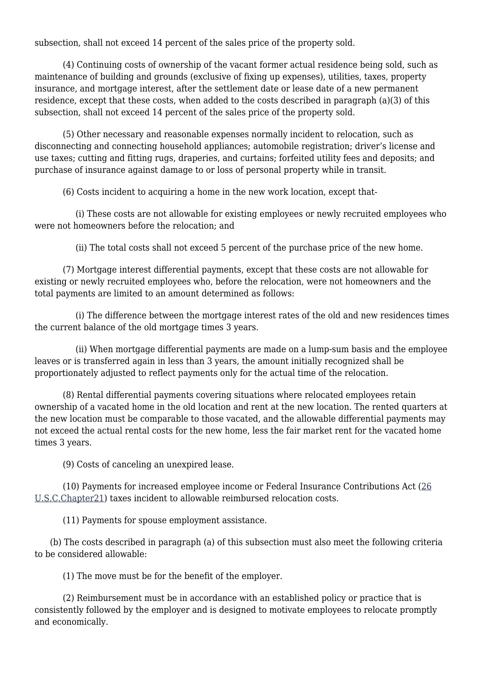subsection, shall not exceed 14 percent of the sales price of the property sold.

 (4) Continuing costs of ownership of the vacant former actual residence being sold, such as maintenance of building and grounds (exclusive of fixing up expenses), utilities, taxes, property insurance, and mortgage interest, after the settlement date or lease date of a new permanent residence, except that these costs, when added to the costs described in paragraph (a)(3) of this subsection, shall not exceed 14 percent of the sales price of the property sold.

 (5) Other necessary and reasonable expenses normally incident to relocation, such as disconnecting and connecting household appliances; automobile registration; driver's license and use taxes; cutting and fitting rugs, draperies, and curtains; forfeited utility fees and deposits; and purchase of insurance against damage to or loss of personal property while in transit.

(6) Costs incident to acquiring a home in the new work location, except that-

 (i) These costs are not allowable for existing employees or newly recruited employees who were not homeowners before the relocation; and

(ii) The total costs shall not exceed 5 percent of the purchase price of the new home.

 (7) Mortgage interest differential payments, except that these costs are not allowable for existing or newly recruited employees who, before the relocation, were not homeowners and the total payments are limited to an amount determined as follows:

 (i) The difference between the mortgage interest rates of the old and new residences times the current balance of the old mortgage times 3 years.

 (ii) When mortgage differential payments are made on a lump-sum basis and the employee leaves or is transferred again in less than 3 years, the amount initially recognized shall be proportionately adjusted to reflect payments only for the actual time of the relocation.

 (8) Rental differential payments covering situations where relocated employees retain ownership of a vacated home in the old location and rent at the new location. The rented quarters at the new location must be comparable to those vacated, and the allowable differential payments may not exceed the actual rental costs for the new home, less the fair market rent for the vacated home times 3 years.

(9) Costs of canceling an unexpired lease.

 (10) Payments for increased employee income or Federal Insurance Contributions Act [\(26](http://uscode.house.gov/browse.xhtml;jsessionid=114A3287C7B3359E597506A31FC855B3) [U.S.C.Chapter21\)](http://uscode.house.gov/browse.xhtml;jsessionid=114A3287C7B3359E597506A31FC855B3) taxes incident to allowable reimbursed relocation costs.

(11) Payments for spouse employment assistance.

 (b) The costs described in paragraph (a) of this subsection must also meet the following criteria to be considered allowable:

(1) The move must be for the benefit of the employer.

 (2) Reimbursement must be in accordance with an established policy or practice that is consistently followed by the employer and is designed to motivate employees to relocate promptly and economically.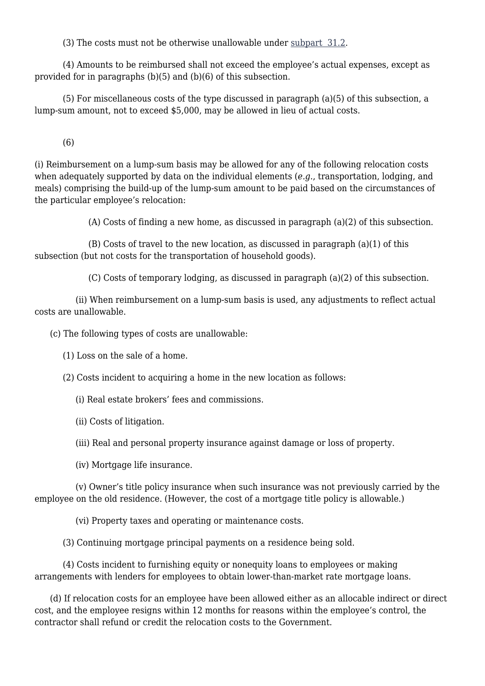(3) The costs must not be otherwise unallowable under [subpart 31.2](#page--1-0).

 (4) Amounts to be reimbursed shall not exceed the employee's actual expenses, except as provided for in paragraphs (b)(5) and (b)(6) of this subsection.

 (5) For miscellaneous costs of the type discussed in paragraph (a)(5) of this subsection, a lump-sum amount, not to exceed \$5,000, may be allowed in lieu of actual costs.

(6)

(i) Reimbursement on a lump-sum basis may be allowed for any of the following relocation costs when adequately supported by data on the individual elements (*e.g*., transportation, lodging, and meals) comprising the build-up of the lump-sum amount to be paid based on the circumstances of the particular employee's relocation:

(A) Costs of finding a new home, as discussed in paragraph (a)(2) of this subsection.

 (B) Costs of travel to the new location, as discussed in paragraph (a)(1) of this subsection (but not costs for the transportation of household goods).

(C) Costs of temporary lodging, as discussed in paragraph (a)(2) of this subsection.

 (ii) When reimbursement on a lump-sum basis is used, any adjustments to reflect actual costs are unallowable.

(c) The following types of costs are unallowable:

(1) Loss on the sale of a home.

(2) Costs incident to acquiring a home in the new location as follows:

- (i) Real estate brokers' fees and commissions.
- (ii) Costs of litigation.

(iii) Real and personal property insurance against damage or loss of property.

(iv) Mortgage life insurance.

 (v) Owner's title policy insurance when such insurance was not previously carried by the employee on the old residence. (However, the cost of a mortgage title policy is allowable.)

(vi) Property taxes and operating or maintenance costs.

(3) Continuing mortgage principal payments on a residence being sold.

 (4) Costs incident to furnishing equity or nonequity loans to employees or making arrangements with lenders for employees to obtain lower-than-market rate mortgage loans.

 (d) If relocation costs for an employee have been allowed either as an allocable indirect or direct cost, and the employee resigns within 12 months for reasons within the employee's control, the contractor shall refund or credit the relocation costs to the Government.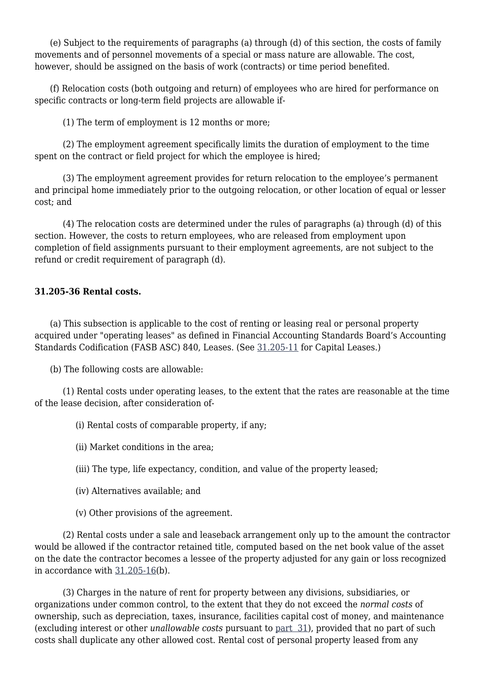(e) Subject to the requirements of paragraphs (a) through (d) of this section, the costs of family movements and of personnel movements of a special or mass nature are allowable. The cost, however, should be assigned on the basis of work (contracts) or time period benefited.

 (f) Relocation costs (both outgoing and return) of employees who are hired for performance on specific contracts or long-term field projects are allowable if-

(1) The term of employment is 12 months or more;

 (2) The employment agreement specifically limits the duration of employment to the time spent on the contract or field project for which the employee is hired;

 (3) The employment agreement provides for return relocation to the employee's permanent and principal home immediately prior to the outgoing relocation, or other location of equal or lesser cost; and

 (4) The relocation costs are determined under the rules of paragraphs (a) through (d) of this section. However, the costs to return employees, who are released from employment upon completion of field assignments pursuant to their employment agreements, are not subject to the refund or credit requirement of paragraph (d).

## **31.205-36 Rental costs.**

 (a) This subsection is applicable to the cost of renting or leasing real or personal property acquired under "operating leases" as defined in Financial Accounting Standards Board's Accounting Standards Codification (FASB ASC) 840, Leases. (See [31.205-11](#page--1-0) for Capital Leases.)

(b) The following costs are allowable:

 (1) Rental costs under operating leases, to the extent that the rates are reasonable at the time of the lease decision, after consideration of-

(i) Rental costs of comparable property, if any;

(ii) Market conditions in the area;

(iii) The type, life expectancy, condition, and value of the property leased;

(iv) Alternatives available; and

(v) Other provisions of the agreement.

 (2) Rental costs under a sale and leaseback arrangement only up to the amount the contractor would be allowed if the contractor retained title, computed based on the net book value of the asset on the date the contractor becomes a lessee of the property adjusted for any gain or loss recognized in accordance with [31.205-16\(](#page--1-0)b).

 (3) Charges in the nature of rent for property between any divisions, subsidiaries, or organizations under common control, to the extent that they do not exceed the *normal costs* of ownership, such as depreciation, taxes, insurance, facilities capital cost of money, and maintenance (excluding interest or other *unallowable costs* pursuant to [part 31](#page--1-0)), provided that no part of such costs shall duplicate any other allowed cost. Rental cost of personal property leased from any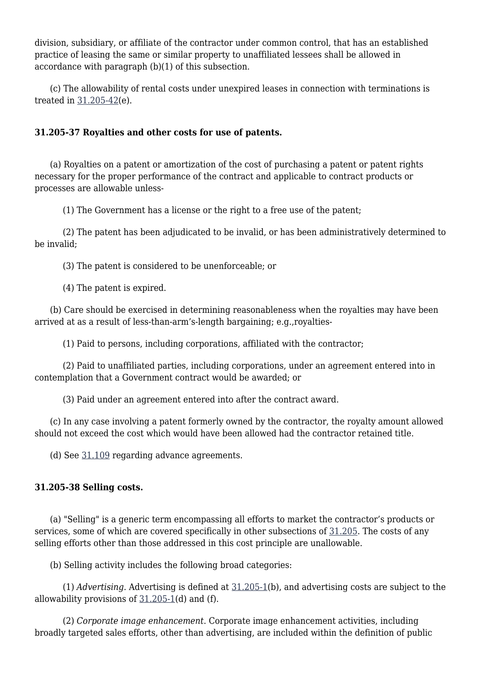division, subsidiary, or affiliate of the contractor under common control, that has an established practice of leasing the same or similar property to unaffiliated lessees shall be allowed in accordance with paragraph (b)(1) of this subsection.

 (c) The allowability of rental costs under unexpired leases in connection with terminations is treated in [31.205-42\(](#page--1-0)e).

## **31.205-37 Royalties and other costs for use of patents.**

 (a) Royalties on a patent or amortization of the cost of purchasing a patent or patent rights necessary for the proper performance of the contract and applicable to contract products or processes are allowable unless-

(1) The Government has a license or the right to a free use of the patent;

 (2) The patent has been adjudicated to be invalid, or has been administratively determined to be invalid;

(3) The patent is considered to be unenforceable; or

(4) The patent is expired.

 (b) Care should be exercised in determining reasonableness when the royalties may have been arrived at as a result of less-than-arm's-length bargaining; e.g.,royalties-

(1) Paid to persons, including corporations, affiliated with the contractor;

 (2) Paid to unaffiliated parties, including corporations, under an agreement entered into in contemplation that a Government contract would be awarded; or

(3) Paid under an agreement entered into after the contract award.

 (c) In any case involving a patent formerly owned by the contractor, the royalty amount allowed should not exceed the cost which would have been allowed had the contractor retained title.

(d) See [31.109](#page--1-0) regarding advance agreements.

## **31.205-38 Selling costs.**

 (a) "Selling" is a generic term encompassing all efforts to market the contractor's products or services, some of which are covered specifically in other subsections of [31.205.](#page--1-0) The costs of any selling efforts other than those addressed in this cost principle are unallowable.

(b) Selling activity includes the following broad categories:

 (1) *Advertising*. Advertising is defined at [31.205-1\(](#page--1-0)b), and advertising costs are subject to the allowability provisions of [31.205-1](#page--1-0)(d) and (f).

 (2) *Corporate image enhancement*. Corporate image enhancement activities, including broadly targeted sales efforts, other than advertising, are included within the definition of public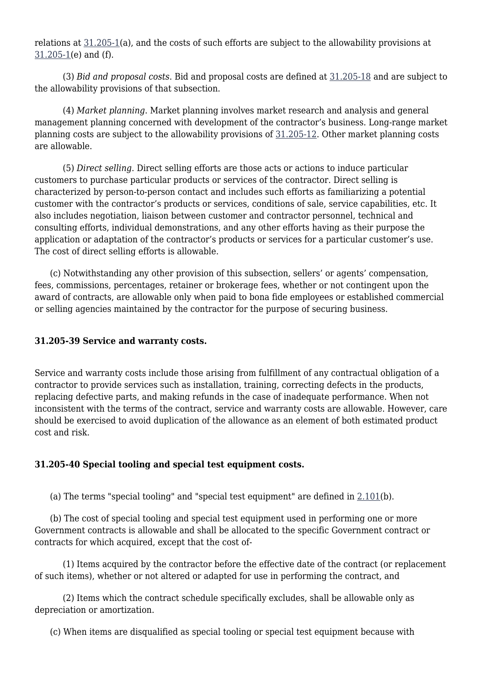relations at [31.205-1](#page--1-0)(a), and the costs of such efforts are subject to the allowability provisions at [31.205-1\(](#page--1-0)e) and (f).

 (3) *Bid and proposal costs*. Bid and proposal costs are defined at [31.205-18](#page--1-0) and are subject to the allowability provisions of that subsection.

 (4) *Market planning*. Market planning involves market research and analysis and general management planning concerned with development of the contractor's business. Long-range market planning costs are subject to the allowability provisions of [31.205-12.](#page--1-0) Other market planning costs are allowable.

 (5) *Direct selling*. Direct selling efforts are those acts or actions to induce particular customers to purchase particular products or services of the contractor. Direct selling is characterized by person-to-person contact and includes such efforts as familiarizing a potential customer with the contractor's products or services, conditions of sale, service capabilities, etc. It also includes negotiation, liaison between customer and contractor personnel, technical and consulting efforts, individual demonstrations, and any other efforts having as their purpose the application or adaptation of the contractor's products or services for a particular customer's use. The cost of direct selling efforts is allowable.

 (c) Notwithstanding any other provision of this subsection, sellers' or agents' compensation, fees, commissions, percentages, retainer or brokerage fees, whether or not contingent upon the award of contracts, are allowable only when paid to bona fide employees or established commercial or selling agencies maintained by the contractor for the purpose of securing business.

## **31.205-39 Service and warranty costs.**

Service and warranty costs include those arising from fulfillment of any contractual obligation of a contractor to provide services such as installation, training, correcting defects in the products, replacing defective parts, and making refunds in the case of inadequate performance. When not inconsistent with the terms of the contract, service and warranty costs are allowable. However, care should be exercised to avoid duplication of the allowance as an element of both estimated product cost and risk.

## **31.205-40 Special tooling and special test equipment costs.**

(a) The terms "special tooling" and "special test equipment" are defined in [2.101\(](https://www.acquisition.gov/far/part-2#FAR_2_101)b).

 (b) The cost of special tooling and special test equipment used in performing one or more Government contracts is allowable and shall be allocated to the specific Government contract or contracts for which acquired, except that the cost of-

 (1) Items acquired by the contractor before the effective date of the contract (or replacement of such items), whether or not altered or adapted for use in performing the contract, and

 (2) Items which the contract schedule specifically excludes, shall be allowable only as depreciation or amortization.

(c) When items are disqualified as special tooling or special test equipment because with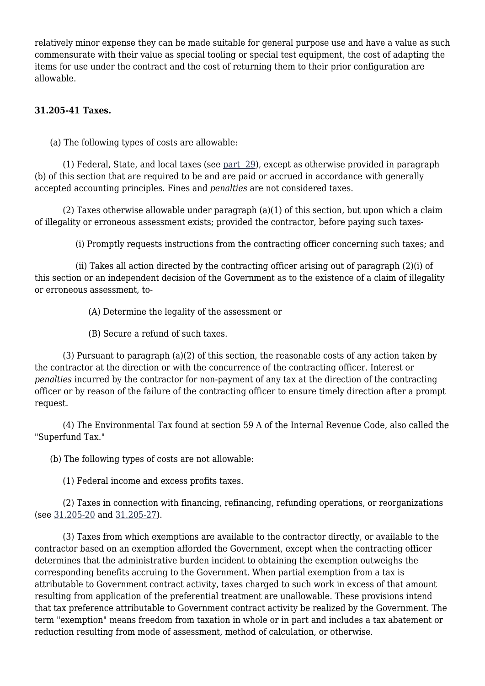relatively minor expense they can be made suitable for general purpose use and have a value as such commensurate with their value as special tooling or special test equipment, the cost of adapting the items for use under the contract and the cost of returning them to their prior configuration are allowable.

## **31.205-41 Taxes.**

(a) The following types of costs are allowable:

 (1) Federal, State, and local taxes (see [part 29\)](https://www.acquisition.gov/far/part-29#FAR_Part_29), except as otherwise provided in paragraph (b) of this section that are required to be and are paid or accrued in accordance with generally accepted accounting principles. Fines and *penalties* are not considered taxes.

 (2) Taxes otherwise allowable under paragraph (a)(1) of this section, but upon which a claim of illegality or erroneous assessment exists; provided the contractor, before paying such taxes-

(i) Promptly requests instructions from the contracting officer concerning such taxes; and

 (ii) Takes all action directed by the contracting officer arising out of paragraph (2)(i) of this section or an independent decision of the Government as to the existence of a claim of illegality or erroneous assessment, to-

(A) Determine the legality of the assessment or

(B) Secure a refund of such taxes.

 (3) Pursuant to paragraph (a)(2) of this section, the reasonable costs of any action taken by the contractor at the direction or with the concurrence of the contracting officer. Interest or *penalties* incurred by the contractor for non-payment of any tax at the direction of the contracting officer or by reason of the failure of the contracting officer to ensure timely direction after a prompt request.

 (4) The Environmental Tax found at section 59 A of the Internal Revenue Code, also called the "Superfund Tax."

(b) The following types of costs are not allowable:

(1) Federal income and excess profits taxes.

 (2) Taxes in connection with financing, refinancing, refunding operations, or reorganizations (see [31.205-20](#page--1-0) and [31.205-27](#page--1-0)).

 (3) Taxes from which exemptions are available to the contractor directly, or available to the contractor based on an exemption afforded the Government, except when the contracting officer determines that the administrative burden incident to obtaining the exemption outweighs the corresponding benefits accruing to the Government. When partial exemption from a tax is attributable to Government contract activity, taxes charged to such work in excess of that amount resulting from application of the preferential treatment are unallowable. These provisions intend that tax preference attributable to Government contract activity be realized by the Government. The term "exemption" means freedom from taxation in whole or in part and includes a tax abatement or reduction resulting from mode of assessment, method of calculation, or otherwise.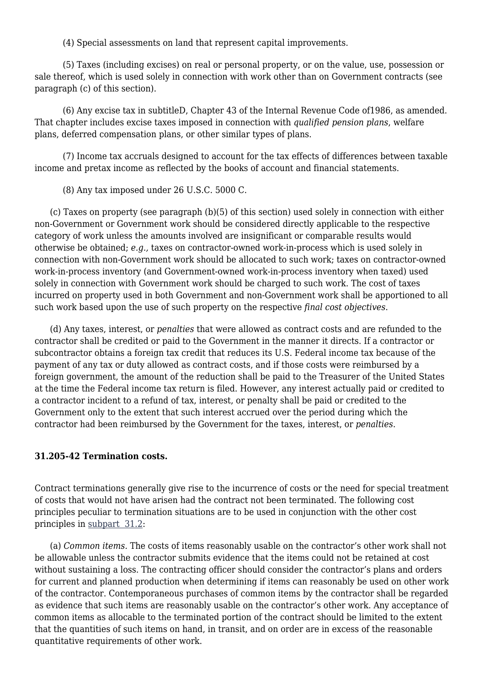(4) Special assessments on land that represent capital improvements.

 (5) Taxes (including excises) on real or personal property, or on the value, use, possession or sale thereof, which is used solely in connection with work other than on Government contracts (see paragraph (c) of this section).

 (6) Any excise tax in subtitleD, Chapter 43 of the Internal Revenue Code of1986, as amended. That chapter includes excise taxes imposed in connection with *qualified pension plans*, welfare plans, deferred compensation plans, or other similar types of plans.

 (7) Income tax accruals designed to account for the tax effects of differences between taxable income and pretax income as reflected by the books of account and financial statements.

(8) Any tax imposed under 26 U.S.C. 5000 C.

 (c) Taxes on property (see paragraph (b)(5) of this section) used solely in connection with either non-Government or Government work should be considered directly applicable to the respective category of work unless the amounts involved are insignificant or comparable results would otherwise be obtained; *e.g.,* taxes on contractor-owned work-in-process which is used solely in connection with non-Government work should be allocated to such work; taxes on contractor-owned work-in-process inventory (and Government-owned work-in-process inventory when taxed) used solely in connection with Government work should be charged to such work. The cost of taxes incurred on property used in both Government and non-Government work shall be apportioned to all such work based upon the use of such property on the respective *final cost objectives*.

 (d) Any taxes, interest, or *penalties* that were allowed as contract costs and are refunded to the contractor shall be credited or paid to the Government in the manner it directs. If a contractor or subcontractor obtains a foreign tax credit that reduces its U.S. Federal income tax because of the payment of any tax or duty allowed as contract costs, and if those costs were reimbursed by a foreign government, the amount of the reduction shall be paid to the Treasurer of the United States at the time the Federal income tax return is filed. However, any interest actually paid or credited to a contractor incident to a refund of tax, interest, or penalty shall be paid or credited to the Government only to the extent that such interest accrued over the period during which the contractor had been reimbursed by the Government for the taxes, interest, or *penalties*.

#### **31.205-42 Termination costs.**

Contract terminations generally give rise to the incurrence of costs or the need for special treatment of costs that would not have arisen had the contract not been terminated. The following cost principles peculiar to termination situations are to be used in conjunction with the other cost principles in [subpart 31.2](#page--1-0):

 (a) *Common items.* The costs of items reasonably usable on the contractor's other work shall not be allowable unless the contractor submits evidence that the items could not be retained at cost without sustaining a loss. The contracting officer should consider the contractor's plans and orders for current and planned production when determining if items can reasonably be used on other work of the contractor. Contemporaneous purchases of common items by the contractor shall be regarded as evidence that such items are reasonably usable on the contractor's other work. Any acceptance of common items as allocable to the terminated portion of the contract should be limited to the extent that the quantities of such items on hand, in transit, and on order are in excess of the reasonable quantitative requirements of other work.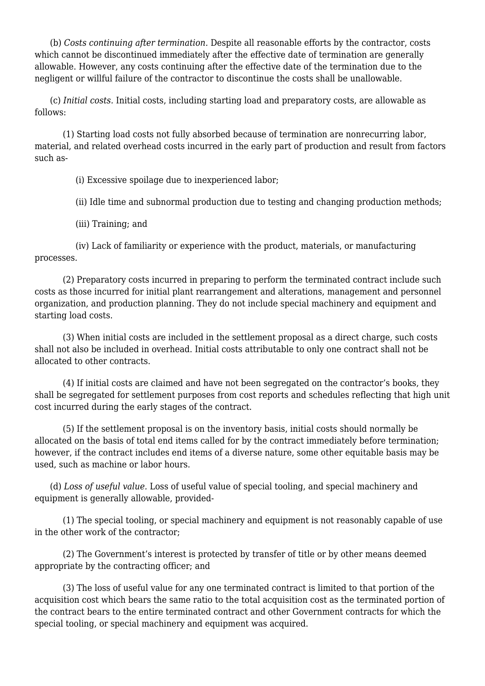(b) *Costs continuing after termination.* Despite all reasonable efforts by the contractor, costs which cannot be discontinued immediately after the effective date of termination are generally allowable. However, any costs continuing after the effective date of the termination due to the negligent or willful failure of the contractor to discontinue the costs shall be unallowable.

 (c) *Initial costs.* Initial costs, including starting load and preparatory costs, are allowable as follows:

 (1) Starting load costs not fully absorbed because of termination are nonrecurring labor, material, and related overhead costs incurred in the early part of production and result from factors such as-

(i) Excessive spoilage due to inexperienced labor;

(ii) Idle time and subnormal production due to testing and changing production methods;

(iii) Training; and

 (iv) Lack of familiarity or experience with the product, materials, or manufacturing processes.

 (2) Preparatory costs incurred in preparing to perform the terminated contract include such costs as those incurred for initial plant rearrangement and alterations, management and personnel organization, and production planning. They do not include special machinery and equipment and starting load costs.

 (3) When initial costs are included in the settlement proposal as a direct charge, such costs shall not also be included in overhead. Initial costs attributable to only one contract shall not be allocated to other contracts.

 (4) If initial costs are claimed and have not been segregated on the contractor's books, they shall be segregated for settlement purposes from cost reports and schedules reflecting that high unit cost incurred during the early stages of the contract.

 (5) If the settlement proposal is on the inventory basis, initial costs should normally be allocated on the basis of total end items called for by the contract immediately before termination; however, if the contract includes end items of a diverse nature, some other equitable basis may be used, such as machine or labor hours.

 (d) *Loss of useful value.* Loss of useful value of special tooling, and special machinery and equipment is generally allowable, provided-

 (1) The special tooling, or special machinery and equipment is not reasonably capable of use in the other work of the contractor;

 (2) The Government's interest is protected by transfer of title or by other means deemed appropriate by the contracting officer; and

 (3) The loss of useful value for any one terminated contract is limited to that portion of the acquisition cost which bears the same ratio to the total acquisition cost as the terminated portion of the contract bears to the entire terminated contract and other Government contracts for which the special tooling, or special machinery and equipment was acquired.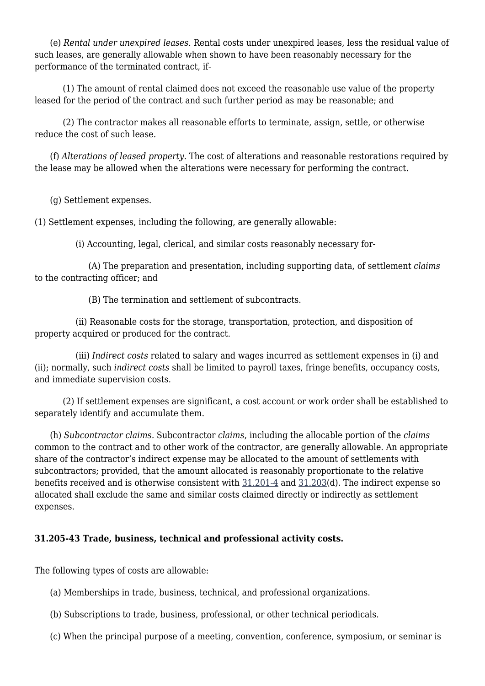(e) *Rental under unexpired leases.* Rental costs under unexpired leases, less the residual value of such leases, are generally allowable when shown to have been reasonably necessary for the performance of the terminated contract, if-

 (1) The amount of rental claimed does not exceed the reasonable use value of the property leased for the period of the contract and such further period as may be reasonable; and

 (2) The contractor makes all reasonable efforts to terminate, assign, settle, or otherwise reduce the cost of such lease.

 (f) *Alterations of leased property.* The cost of alterations and reasonable restorations required by the lease may be allowed when the alterations were necessary for performing the contract.

(g) Settlement expenses.

(1) Settlement expenses, including the following, are generally allowable:

(i) Accounting, legal, clerical, and similar costs reasonably necessary for-

 (A) The preparation and presentation, including supporting data, of settlement *claims* to the contracting officer; and

(B) The termination and settlement of subcontracts.

 (ii) Reasonable costs for the storage, transportation, protection, and disposition of property acquired or produced for the contract.

 (iii) *Indirect costs* related to salary and wages incurred as settlement expenses in (i) and (ii); normally, such *indirect costs* shall be limited to payroll taxes, fringe benefits, occupancy costs, and immediate supervision costs.

 (2) If settlement expenses are significant, a cost account or work order shall be established to separately identify and accumulate them.

 (h) *Subcontractor claims.* Subcontractor *claims*, including the allocable portion of the *claims* common to the contract and to other work of the contractor, are generally allowable. An appropriate share of the contractor's indirect expense may be allocated to the amount of settlements with subcontractors; provided, that the amount allocated is reasonably proportionate to the relative benefits received and is otherwise consistent with [31.201-4](#page--1-0) and [31.203](#page--1-0)(d). The indirect expense so allocated shall exclude the same and similar costs claimed directly or indirectly as settlement expenses.

## **31.205-43 Trade, business, technical and professional activity costs.**

The following types of costs are allowable:

- (a) Memberships in trade, business, technical, and professional organizations.
- (b) Subscriptions to trade, business, professional, or other technical periodicals.
- (c) When the principal purpose of a meeting, convention, conference, symposium, or seminar is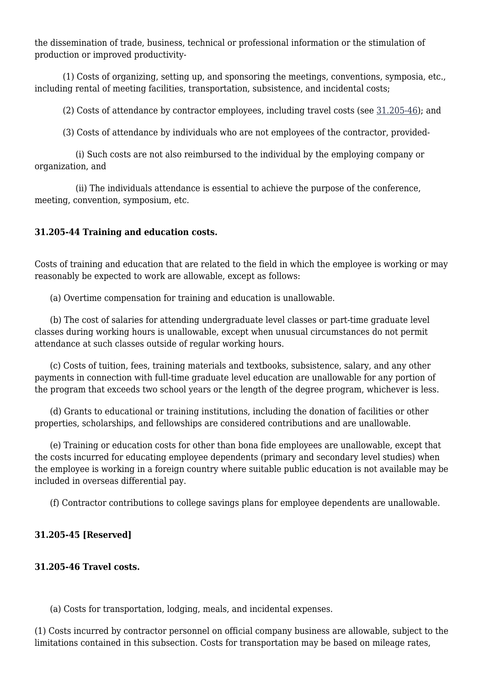the dissemination of trade, business, technical or professional information or the stimulation of production or improved productivity-

 (1) Costs of organizing, setting up, and sponsoring the meetings, conventions, symposia, etc., including rental of meeting facilities, transportation, subsistence, and incidental costs;

(2) Costs of attendance by contractor employees, including travel costs (see  $31.205-46$ ); and

(3) Costs of attendance by individuals who are not employees of the contractor, provided-

 (i) Such costs are not also reimbursed to the individual by the employing company or organization, and

 (ii) The individuals attendance is essential to achieve the purpose of the conference, meeting, convention, symposium, etc.

#### **31.205-44 Training and education costs.**

Costs of training and education that are related to the field in which the employee is working or may reasonably be expected to work are allowable, except as follows:

(a) Overtime compensation for training and education is unallowable.

 (b) The cost of salaries for attending undergraduate level classes or part-time graduate level classes during working hours is unallowable, except when unusual circumstances do not permit attendance at such classes outside of regular working hours.

 (c) Costs of tuition, fees, training materials and textbooks, subsistence, salary, and any other payments in connection with full-time graduate level education are unallowable for any portion of the program that exceeds two school years or the length of the degree program, whichever is less.

 (d) Grants to educational or training institutions, including the donation of facilities or other properties, scholarships, and fellowships are considered contributions and are unallowable.

 (e) Training or education costs for other than bona fide employees are unallowable, except that the costs incurred for educating employee dependents (primary and secondary level studies) when the employee is working in a foreign country where suitable public education is not available may be included in overseas differential pay.

(f) Contractor contributions to college savings plans for employee dependents are unallowable.

#### **31.205-45 [Reserved]**

#### **31.205-46 Travel costs.**

(a) Costs for transportation, lodging, meals, and incidental expenses.

(1) Costs incurred by contractor personnel on official company business are allowable, subject to the limitations contained in this subsection. Costs for transportation may be based on mileage rates,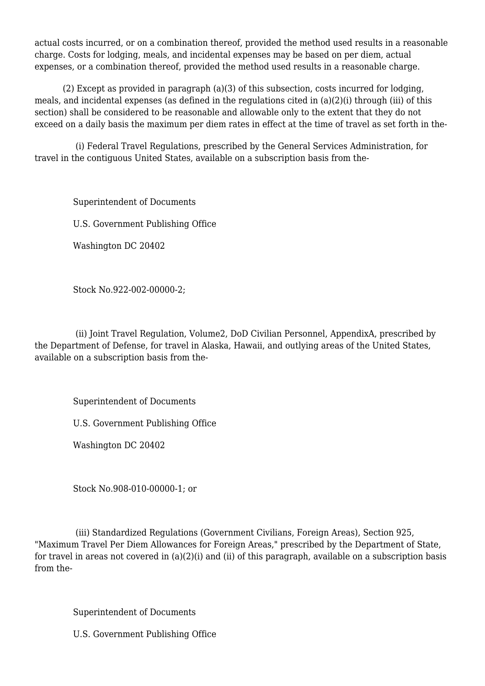actual costs incurred, or on a combination thereof, provided the method used results in a reasonable charge. Costs for lodging, meals, and incidental expenses may be based on per diem, actual expenses, or a combination thereof, provided the method used results in a reasonable charge.

 (2) Except as provided in paragraph (a)(3) of this subsection, costs incurred for lodging, meals, and incidental expenses (as defined in the regulations cited in (a)(2)(i) through (iii) of this section) shall be considered to be reasonable and allowable only to the extent that they do not exceed on a daily basis the maximum per diem rates in effect at the time of travel as set forth in the-

 (i) Federal Travel Regulations, prescribed by the General Services Administration, for travel in the contiguous United States, available on a subscription basis from the-

Superintendent of Documents

U.S. Government Publishing Office

Washington DC 20402

Stock No.922-002-00000-2;

 (ii) Joint Travel Regulation, Volume2, DoD Civilian Personnel, AppendixA, prescribed by the Department of Defense, for travel in Alaska, Hawaii, and outlying areas of the United States, available on a subscription basis from the-

Superintendent of Documents

U.S. Government Publishing Office

Washington DC 20402

Stock No.908-010-00000-1; or

 (iii) Standardized Regulations (Government Civilians, Foreign Areas), Section 925, "Maximum Travel Per Diem Allowances for Foreign Areas," prescribed by the Department of State, for travel in areas not covered in (a)(2)(i) and (ii) of this paragraph, available on a subscription basis from the-

Superintendent of Documents

U.S. Government Publishing Office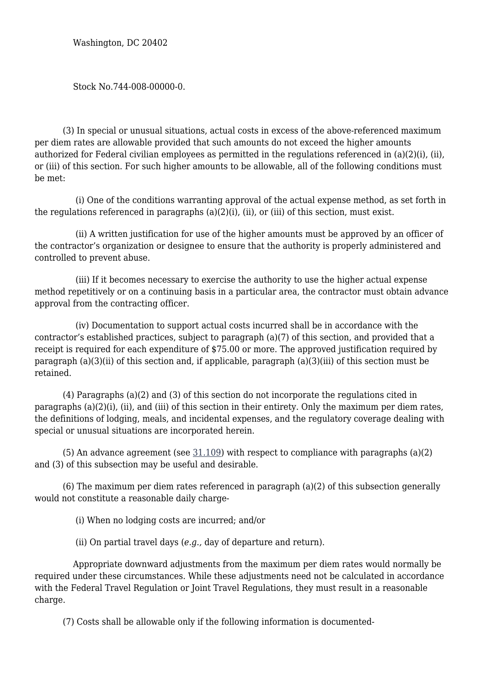Washington, DC 20402

Stock No.744-008-00000-0.

 (3) In special or unusual situations, actual costs in excess of the above-referenced maximum per diem rates are allowable provided that such amounts do not exceed the higher amounts authorized for Federal civilian employees as permitted in the regulations referenced in (a)(2)(i), (ii), or (iii) of this section. For such higher amounts to be allowable, all of the following conditions must be met:

 (i) One of the conditions warranting approval of the actual expense method, as set forth in the regulations referenced in paragraphs (a)(2)(i), (ii), or (iii) of this section, must exist.

 (ii) A written justification for use of the higher amounts must be approved by an officer of the contractor's organization or designee to ensure that the authority is properly administered and controlled to prevent abuse.

 (iii) If it becomes necessary to exercise the authority to use the higher actual expense method repetitively or on a continuing basis in a particular area, the contractor must obtain advance approval from the contracting officer.

 (iv) Documentation to support actual costs incurred shall be in accordance with the contractor's established practices, subject to paragraph (a)(7) of this section, and provided that a receipt is required for each expenditure of \$75.00 or more. The approved justification required by paragraph (a)(3)(ii) of this section and, if applicable, paragraph (a)(3)(iii) of this section must be retained.

 (4) Paragraphs (a)(2) and (3) of this section do not incorporate the regulations cited in paragraphs (a)(2)(i), (ii), and (iii) of this section in their entirety. Only the maximum per diem rates, the definitions of lodging, meals, and incidental expenses, and the regulatory coverage dealing with special or unusual situations are incorporated herein.

 (5) An advance agreement (see [31.109](#page--1-0)) with respect to compliance with paragraphs (a)(2) and (3) of this subsection may be useful and desirable.

 (6) The maximum per diem rates referenced in paragraph (a)(2) of this subsection generally would not constitute a reasonable daily charge-

(i) When no lodging costs are incurred; and/or

(ii) On partial travel days (*e.g.,* day of departure and return).

 Appropriate downward adjustments from the maximum per diem rates would normally be required under these circumstances. While these adjustments need not be calculated in accordance with the Federal Travel Regulation or Joint Travel Regulations, they must result in a reasonable charge.

(7) Costs shall be allowable only if the following information is documented-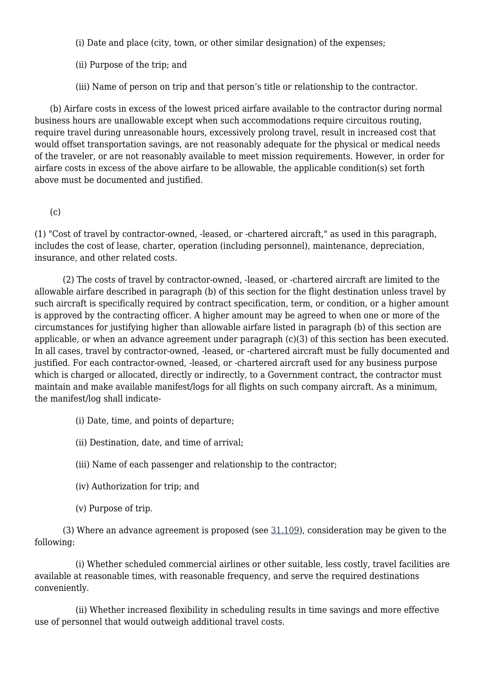(i) Date and place (city, town, or other similar designation) of the expenses;

(ii) Purpose of the trip; and

(iii) Name of person on trip and that person's title or relationship to the contractor.

 (b) Airfare costs in excess of the lowest priced airfare available to the contractor during normal business hours are unallowable except when such accommodations require circuitous routing, require travel during unreasonable hours, excessively prolong travel, result in increased cost that would offset transportation savings, are not reasonably adequate for the physical or medical needs of the traveler, or are not reasonably available to meet mission requirements. However, in order for airfare costs in excess of the above airfare to be allowable, the applicable condition(s) set forth above must be documented and justified.

 $(c)$ 

(1) "Cost of travel by contractor-owned, -leased, or -chartered aircraft," as used in this paragraph, includes the cost of lease, charter, operation (including personnel), maintenance, depreciation, insurance, and other related costs.

 (2) The costs of travel by contractor-owned, -leased, or -chartered aircraft are limited to the allowable airfare described in paragraph (b) of this section for the flight destination unless travel by such aircraft is specifically required by contract specification, term, or condition, or a higher amount is approved by the contracting officer. A higher amount may be agreed to when one or more of the circumstances for justifying higher than allowable airfare listed in paragraph (b) of this section are applicable, or when an advance agreement under paragraph (c)(3) of this section has been executed. In all cases, travel by contractor-owned, -leased, or -chartered aircraft must be fully documented and justified. For each contractor-owned, -leased, or -chartered aircraft used for any business purpose which is charged or allocated, directly or indirectly, to a Government contract, the contractor must maintain and make available manifest/logs for all flights on such company aircraft. As a minimum, the manifest/log shall indicate-

(i) Date, time, and points of departure;

(ii) Destination, date, and time of arrival;

(iii) Name of each passenger and relationship to the contractor;

(iv) Authorization for trip; and

(v) Purpose of trip.

 (3) Where an advance agreement is proposed (see [31.109](#page--1-0)), consideration may be given to the following:

 (i) Whether scheduled commercial airlines or other suitable, less costly, travel facilities are available at reasonable times, with reasonable frequency, and serve the required destinations conveniently.

 (ii) Whether increased flexibility in scheduling results in time savings and more effective use of personnel that would outweigh additional travel costs.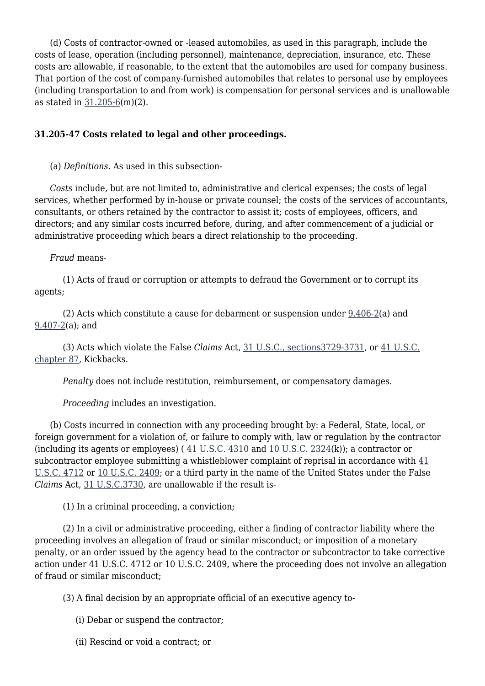(d) Costs of contractor-owned or -leased automobiles, as used in this paragraph, include the costs of lease, operation (including personnel), maintenance, depreciation, insurance, etc. These costs are allowable, if reasonable, to the extent that the automobiles are used for company business. That portion of the cost of company-furnished automobiles that relates to personal use by employees (including transportation to and from work) is compensation for personal services and is unallowable as stated in [31.205-6\(](#page--1-0)m)(2).

# **31.205-47 Costs related to legal and other proceedings.**

(a) *Definitions.* As used in this subsection-

 *Costs* include, but are not limited to, administrative and clerical expenses; the costs of legal services, whether performed by in-house or private counsel; the costs of the services of accountants, consultants, or others retained by the contractor to assist it; costs of employees, officers, and directors; and any similar costs incurred before, during, and after commencement of a judicial or administrative proceeding which bears a direct relationship to the proceeding.

*Fraud* means-

 (1) Acts of fraud or corruption or attempts to defraud the Government or to corrupt its agents;

 (2) Acts which constitute a cause for debarment or suspension under [9.406-2](https://www.acquisition.gov/far/part-9#FAR_9_406_2)(a) and [9.407-2](https://www.acquisition.gov/far/part-9#FAR_9_407_2)(a); and

 (3) Acts which violate the False *Claims* Act, [31 U.S.C., sections3729-3731,](http://uscode.house.gov/browse.xhtml;jsessionid=114A3287C7B3359E597506A31FC855B3) or [41 U.S.C.](http://uscode.house.gov/browse.xhtml;jsessionid=114A3287C7B3359E597506A31FC855B3) [chapter 87,](http://uscode.house.gov/browse.xhtml;jsessionid=114A3287C7B3359E597506A31FC855B3) Kickbacks.

*Penalty* does not include restitution, reimbursement, or compensatory damages.

*Proceeding* includes an investigation.

 (b) Costs incurred in connection with any proceeding brought by: a Federal, State, local, or foreign government for a violation of, or failure to comply with, law or regulation by the contractor (including its agents or employees)  $(41 \text{ U.S.C. } 4310 \text{ and } 10 \text{ U.S.C. } 2324 \text{ (k)})$ ; a contractor or subcontractor employee submitting a whistleblower complaint of reprisal in accordance with [41](http://uscode.house.gov/browse.xhtml;jsessionid=114A3287C7B3359E597506A31FC855B3) [U.S.C. 4712](http://uscode.house.gov/browse.xhtml;jsessionid=114A3287C7B3359E597506A31FC855B3) or [10 U.S.C. 2409](http://uscode.house.gov/browse.xhtml;jsessionid=114A3287C7B3359E597506A31FC855B3); or a third party in the name of the United States under the False *Claims* Act, [31 U.S.C.3730,](http://uscode.house.gov/browse.xhtml;jsessionid=114A3287C7B3359E597506A31FC855B3) are unallowable if the result is-

(1) In a criminal proceeding, a conviction;

 (2) In a civil or administrative proceeding, either a finding of contractor liability where the proceeding involves an allegation of fraud or similar misconduct; or imposition of a monetary penalty, or an order issued by the agency head to the contractor or subcontractor to take corrective action under 41 U.S.C. 4712 or 10 U.S.C. 2409, where the proceeding does not involve an allegation of fraud or similar misconduct;

(3) A final decision by an appropriate official of an executive agency to-

(i) Debar or suspend the contractor;

(ii) Rescind or void a contract; or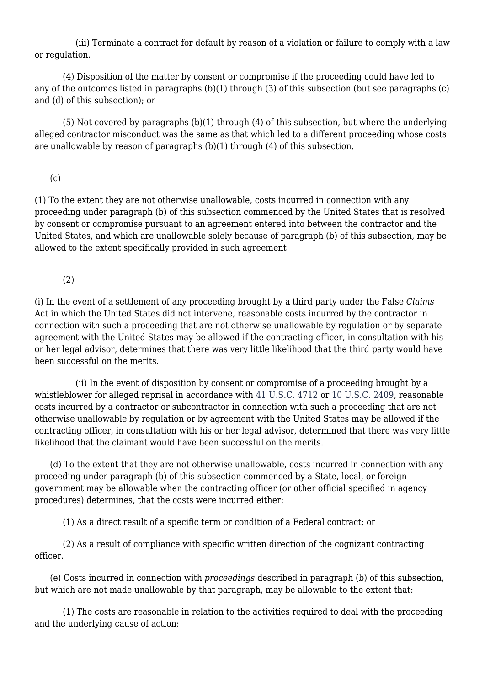(iii) Terminate a contract for default by reason of a violation or failure to comply with a law or regulation.

 (4) Disposition of the matter by consent or compromise if the proceeding could have led to any of the outcomes listed in paragraphs (b)(1) through (3) of this subsection (but see paragraphs (c) and (d) of this subsection); or

 (5) Not covered by paragraphs (b)(1) through (4) of this subsection, but where the underlying alleged contractor misconduct was the same as that which led to a different proceeding whose costs are unallowable by reason of paragraphs (b)(1) through (4) of this subsection.

(c)

(1) To the extent they are not otherwise unallowable, costs incurred in connection with any proceeding under paragraph (b) of this subsection commenced by the United States that is resolved by consent or compromise pursuant to an agreement entered into between the contractor and the United States, and which are unallowable solely because of paragraph (b) of this subsection, may be allowed to the extent specifically provided in such agreement

(2)

(i) In the event of a settlement of any proceeding brought by a third party under the False *Claims* Act in which the United States did not intervene, reasonable costs incurred by the contractor in connection with such a proceeding that are not otherwise unallowable by regulation or by separate agreement with the United States may be allowed if the contracting officer, in consultation with his or her legal advisor, determines that there was very little likelihood that the third party would have been successful on the merits.

 (ii) In the event of disposition by consent or compromise of a proceeding brought by a whistleblower for alleged reprisal in accordance with [41 U.S.C. 4712](http://uscode.house.gov/browse.xhtml;jsessionid=114A3287C7B3359E597506A31FC855B3) or [10 U.S.C. 2409,](http://uscode.house.gov/browse.xhtml;jsessionid=114A3287C7B3359E597506A31FC855B3) reasonable costs incurred by a contractor or subcontractor in connection with such a proceeding that are not otherwise unallowable by regulation or by agreement with the United States may be allowed if the contracting officer, in consultation with his or her legal advisor, determined that there was very little likelihood that the claimant would have been successful on the merits.

 (d) To the extent that they are not otherwise unallowable, costs incurred in connection with any proceeding under paragraph (b) of this subsection commenced by a State, local, or foreign government may be allowable when the contracting officer (or other official specified in agency procedures) determines, that the costs were incurred either:

(1) As a direct result of a specific term or condition of a Federal contract; or

 (2) As a result of compliance with specific written direction of the cognizant contracting officer.

 (e) Costs incurred in connection with *proceedings* described in paragraph (b) of this subsection, but which are not made unallowable by that paragraph, may be allowable to the extent that:

 (1) The costs are reasonable in relation to the activities required to deal with the proceeding and the underlying cause of action;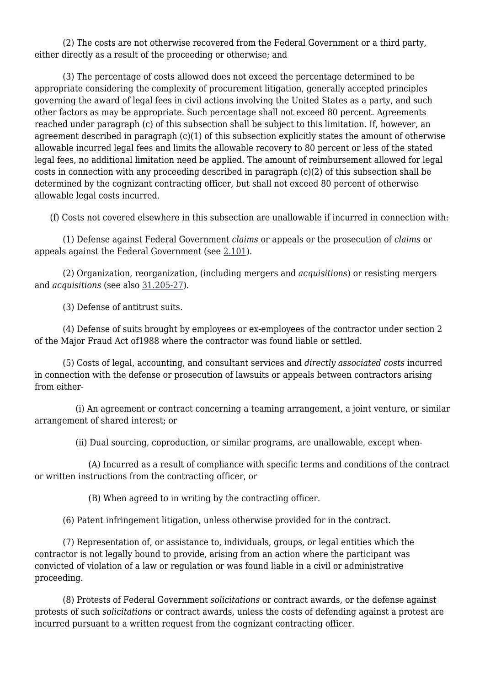(2) The costs are not otherwise recovered from the Federal Government or a third party, either directly as a result of the proceeding or otherwise; and

 (3) The percentage of costs allowed does not exceed the percentage determined to be appropriate considering the complexity of procurement litigation, generally accepted principles governing the award of legal fees in civil actions involving the United States as a party, and such other factors as may be appropriate. Such percentage shall not exceed 80 percent. Agreements reached under paragraph (c) of this subsection shall be subject to this limitation. If, however, an agreement described in paragraph (c)(1) of this subsection explicitly states the amount of otherwise allowable incurred legal fees and limits the allowable recovery to 80 percent or less of the stated legal fees, no additional limitation need be applied. The amount of reimbursement allowed for legal costs in connection with any proceeding described in paragraph (c)(2) of this subsection shall be determined by the cognizant contracting officer, but shall not exceed 80 percent of otherwise allowable legal costs incurred.

(f) Costs not covered elsewhere in this subsection are unallowable if incurred in connection with:

 (1) Defense against Federal Government *claims* or appeals or the prosecution of *claims* or appeals against the Federal Government (see [2.101\)](https://www.acquisition.gov/far/part-2#FAR_2_101).

 (2) Organization, reorganization, (including mergers and *acquisitions*) or resisting mergers and *acquisitions* (see also [31.205-27](#page--1-0)).

(3) Defense of antitrust suits.

 (4) Defense of suits brought by employees or ex-employees of the contractor under section 2 of the Major Fraud Act of1988 where the contractor was found liable or settled.

 (5) Costs of legal, accounting, and consultant services and *directly associated costs* incurred in connection with the defense or prosecution of lawsuits or appeals between contractors arising from either-

 (i) An agreement or contract concerning a teaming arrangement, a joint venture, or similar arrangement of shared interest; or

(ii) Dual sourcing, coproduction, or similar programs, are unallowable, except when-

 (A) Incurred as a result of compliance with specific terms and conditions of the contract or written instructions from the contracting officer, or

(B) When agreed to in writing by the contracting officer.

(6) Patent infringement litigation, unless otherwise provided for in the contract.

 (7) Representation of, or assistance to, individuals, groups, or legal entities which the contractor is not legally bound to provide, arising from an action where the participant was convicted of violation of a law or regulation or was found liable in a civil or administrative proceeding.

 (8) Protests of Federal Government *solicitations* or contract awards, or the defense against protests of such *solicitations* or contract awards, unless the costs of defending against a protest are incurred pursuant to a written request from the cognizant contracting officer.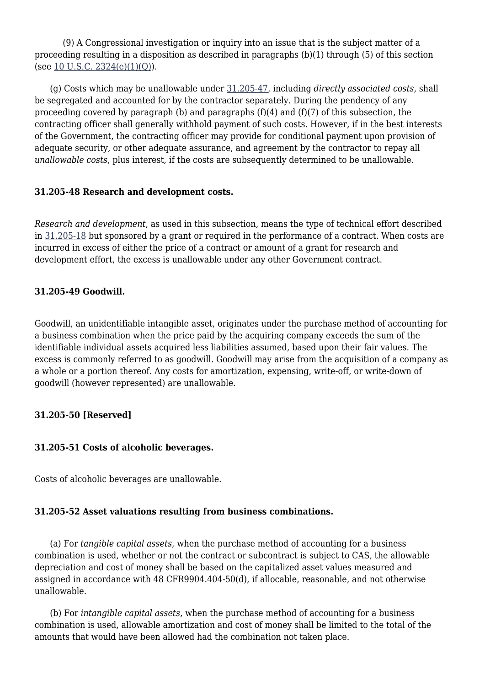(9) A Congressional investigation or inquiry into an issue that is the subject matter of a proceeding resulting in a disposition as described in paragraphs (b)(1) through (5) of this section (see [10 U.S.C. 2324\(e\)\(1\)\(Q\)\)](http://uscode.house.gov/browse.xhtml;jsessionid=114A3287C7B3359E597506A31FC855B3).

 (g) Costs which may be unallowable under [31.205-47](#page--1-0), including *directly associated costs*, shall be segregated and accounted for by the contractor separately. During the pendency of any proceeding covered by paragraph (b) and paragraphs (f)(4) and (f)(7) of this subsection, the contracting officer shall generally withhold payment of such costs. However, if in the best interests of the Government, the contracting officer may provide for conditional payment upon provision of adequate security, or other adequate assurance, and agreement by the contractor to repay all *unallowable costs*, plus interest, if the costs are subsequently determined to be unallowable.

### **31.205-48 Research and development costs.**

*Research and development*, as used in this subsection, means the type of technical effort described in [31.205-18](#page--1-0) but sponsored by a grant or required in the performance of a contract. When costs are incurred in excess of either the price of a contract or amount of a grant for research and development effort, the excess is unallowable under any other Government contract.

### **31.205-49 Goodwill.**

Goodwill, an unidentifiable intangible asset, originates under the purchase method of accounting for a business combination when the price paid by the acquiring company exceeds the sum of the identifiable individual assets acquired less liabilities assumed, based upon their fair values. The excess is commonly referred to as goodwill. Goodwill may arise from the acquisition of a company as a whole or a portion thereof. Any costs for amortization, expensing, write-off, or write-down of goodwill (however represented) are unallowable.

### **31.205-50 [Reserved]**

### **31.205-51 Costs of alcoholic beverages.**

Costs of alcoholic beverages are unallowable.

### **31.205-52 Asset valuations resulting from business combinations.**

 (a) For *tangible capital assets*, when the purchase method of accounting for a business combination is used, whether or not the contract or subcontract is subject to CAS, the allowable depreciation and cost of money shall be based on the capitalized asset values measured and assigned in accordance with 48 CFR9904.404-50(d), if allocable, reasonable, and not otherwise unallowable.

 (b) For *intangible capital assets*, when the purchase method of accounting for a business combination is used, allowable amortization and cost of money shall be limited to the total of the amounts that would have been allowed had the combination not taken place.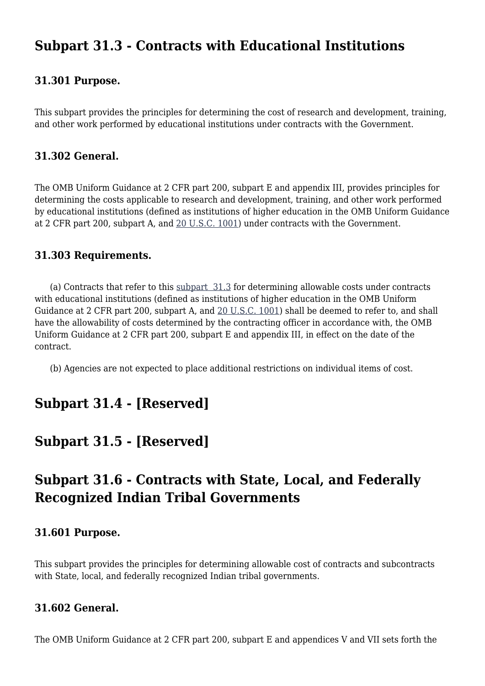# **Subpart 31.3 - Contracts with Educational Institutions**

### **31.301 Purpose.**

This subpart provides the principles for determining the cost of research and development, training, and other work performed by educational institutions under contracts with the Government.

### **31.302 General.**

The OMB Uniform Guidance at 2 CFR part 200, subpart E and appendix III, provides principles for determining the costs applicable to research and development, training, and other work performed by educational institutions (defined as institutions of higher education in the OMB Uniform Guidance at 2 CFR part 200, subpart A, and [20 U.S.C. 1001](http://uscode.house.gov/browse.xhtml;jsessionid=114A3287C7B3359E597506A31FC855B3)) under contracts with the Government.

### **31.303 Requirements.**

 (a) Contracts that refer to this [subpart 31.3](#page--1-0) for determining allowable costs under contracts with educational institutions (defined as institutions of higher education in the OMB Uniform Guidance at 2 CFR part 200, subpart A, and [20 U.S.C. 1001](http://uscode.house.gov/browse.xhtml;jsessionid=114A3287C7B3359E597506A31FC855B3)) shall be deemed to refer to, and shall have the allowability of costs determined by the contracting officer in accordance with, the OMB Uniform Guidance at 2 CFR part 200, subpart E and appendix III, in effect on the date of the contract.

(b) Agencies are not expected to place additional restrictions on individual items of cost.

# **Subpart 31.4 - [Reserved]**

# **Subpart 31.5 - [Reserved]**

# **Subpart 31.6 - Contracts with State, Local, and Federally Recognized Indian Tribal Governments**

### **31.601 Purpose.**

This subpart provides the principles for determining allowable cost of contracts and subcontracts with State, local, and federally recognized Indian tribal governments.

### **31.602 General.**

The OMB Uniform Guidance at 2 CFR part 200, subpart E and appendices V and VII sets forth the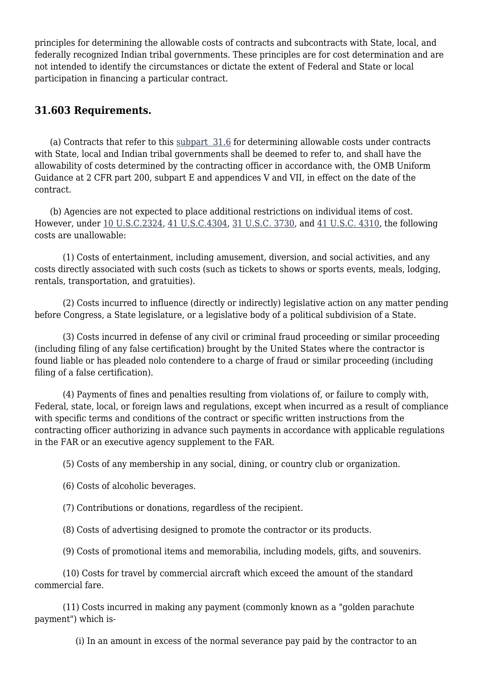principles for determining the allowable costs of contracts and subcontracts with State, local, and federally recognized Indian tribal governments. These principles are for cost determination and are not intended to identify the circumstances or dictate the extent of Federal and State or local participation in financing a particular contract.

### **31.603 Requirements.**

(a) Contracts that refer to this  $\frac{\text{subpart}}{31.6}$  for determining allowable costs under contracts with State, local and Indian tribal governments shall be deemed to refer to, and shall have the allowability of costs determined by the contracting officer in accordance with, the OMB Uniform Guidance at 2 CFR part 200, subpart E and appendices V and VII, in effect on the date of the contract.

 (b) Agencies are not expected to place additional restrictions on individual items of cost. However, under [10 U.S.C.2324, 41 U.S.C.4304](http://uscode.house.gov/browse.xhtml;jsessionid=114A3287C7B3359E597506A31FC855B3), [31 U.S.C. 3730,](http://uscode.house.gov/browse.xhtml;jsessionid=114A3287C7B3359E597506A31FC855B3) and [41 U.S.C. 4310,](http://uscode.house.gov/browse.xhtml;jsessionid=114A3287C7B3359E597506A31FC855B3) the following costs are unallowable:

 (1) Costs of entertainment, including amusement, diversion, and social activities, and any costs directly associated with such costs (such as tickets to shows or sports events, meals, lodging, rentals, transportation, and gratuities).

 (2) Costs incurred to influence (directly or indirectly) legislative action on any matter pending before Congress, a State legislature, or a legislative body of a political subdivision of a State.

 (3) Costs incurred in defense of any civil or criminal fraud proceeding or similar proceeding (including filing of any false certification) brought by the United States where the contractor is found liable or has pleaded nolo contendere to a charge of fraud or similar proceeding (including filing of a false certification).

 (4) Payments of fines and penalties resulting from violations of, or failure to comply with, Federal, state, local, or foreign laws and regulations, except when incurred as a result of compliance with specific terms and conditions of the contract or specific written instructions from the contracting officer authorizing in advance such payments in accordance with applicable regulations in the FAR or an executive agency supplement to the FAR.

(5) Costs of any membership in any social, dining, or country club or organization.

(6) Costs of alcoholic beverages.

(7) Contributions or donations, regardless of the recipient.

(8) Costs of advertising designed to promote the contractor or its products.

(9) Costs of promotional items and memorabilia, including models, gifts, and souvenirs.

 (10) Costs for travel by commercial aircraft which exceed the amount of the standard commercial fare.

 (11) Costs incurred in making any payment (commonly known as a "golden parachute payment") which is-

(i) In an amount in excess of the normal severance pay paid by the contractor to an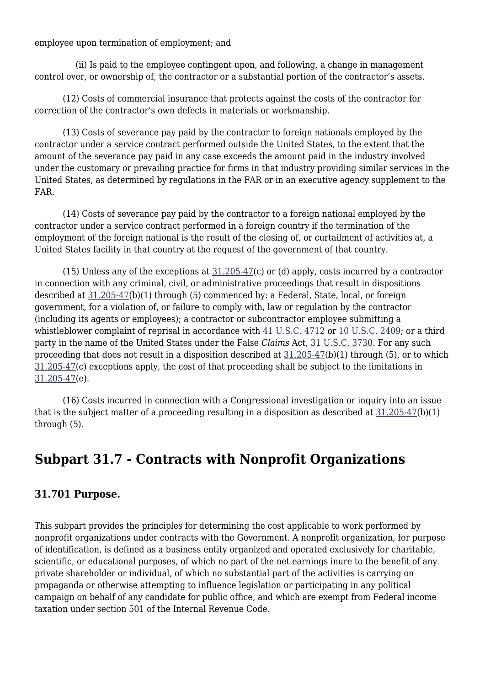employee upon termination of employment; and

 (ii) Is paid to the employee contingent upon, and following, a change in management control over, or ownership of, the contractor or a substantial portion of the contractor's assets.

 (12) Costs of commercial insurance that protects against the costs of the contractor for correction of the contractor's own defects in materials or workmanship.

 (13) Costs of severance pay paid by the contractor to foreign nationals employed by the contractor under a service contract performed outside the United States, to the extent that the amount of the severance pay paid in any case exceeds the amount paid in the industry involved under the customary or prevailing practice for firms in that industry providing similar services in the United States, as determined by regulations in the FAR or in an executive agency supplement to the FAR.

 (14) Costs of severance pay paid by the contractor to a foreign national employed by the contractor under a service contract performed in a foreign country if the termination of the employment of the foreign national is the result of the closing of, or curtailment of activities at, a United States facility in that country at the request of the government of that country.

 (15) Unless any of the exceptions at [31.205-47](#page--1-0)(c) or (d) apply, costs incurred by a contractor in connection with any criminal, civil, or administrative proceedings that result in dispositions described at [31.205-47](#page--1-0)(b)(1) through (5) commenced by: a Federal, State, local, or foreign government, for a violation of, or failure to comply with, law or regulation by the contractor (including its agents or employees); a contractor or subcontractor employee submitting a whistleblower complaint of reprisal in accordance with [41 U.S.C. 4712](http://uscode.house.gov/browse.xhtml;jsessionid=114A3287C7B3359E597506A31FC855B3) or [10 U.S.C. 2409](http://uscode.house.gov/browse.xhtml;jsessionid=114A3287C7B3359E597506A31FC855B3); or a third party in the name of the United States under the False *Claims* Act, [31 U.S.C. 3730.](http://uscode.house.gov/browse.xhtml;jsessionid=114A3287C7B3359E597506A31FC855B3) For any such proceeding that does not result in a disposition described at [31.205-47](#page--1-0)(b)(1) through (5), or to which [31.205-47](#page--1-0)(c) exceptions apply, the cost of that proceeding shall be subject to the limitations in [31.205-47](#page--1-0)(e).

 (16) Costs incurred in connection with a Congressional investigation or inquiry into an issue that is the subject matter of a proceeding resulting in a disposition as described at  $31.205-47(b)(1)$  $31.205-47(b)(1)$ through (5).

# **Subpart 31.7 - Contracts with Nonprofit Organizations**

## **31.701 Purpose.**

This subpart provides the principles for determining the cost applicable to work performed by nonprofit organizations under contracts with the Government. A nonprofit organization, for purpose of identification, is defined as a business entity organized and operated exclusively for charitable, scientific, or educational purposes, of which no part of the net earnings inure to the benefit of any private shareholder or individual, of which no substantial part of the activities is carrying on propaganda or otherwise attempting to influence legislation or participating in any political campaign on behalf of any candidate for public office, and which are exempt from Federal income taxation under section 501 of the Internal Revenue Code.